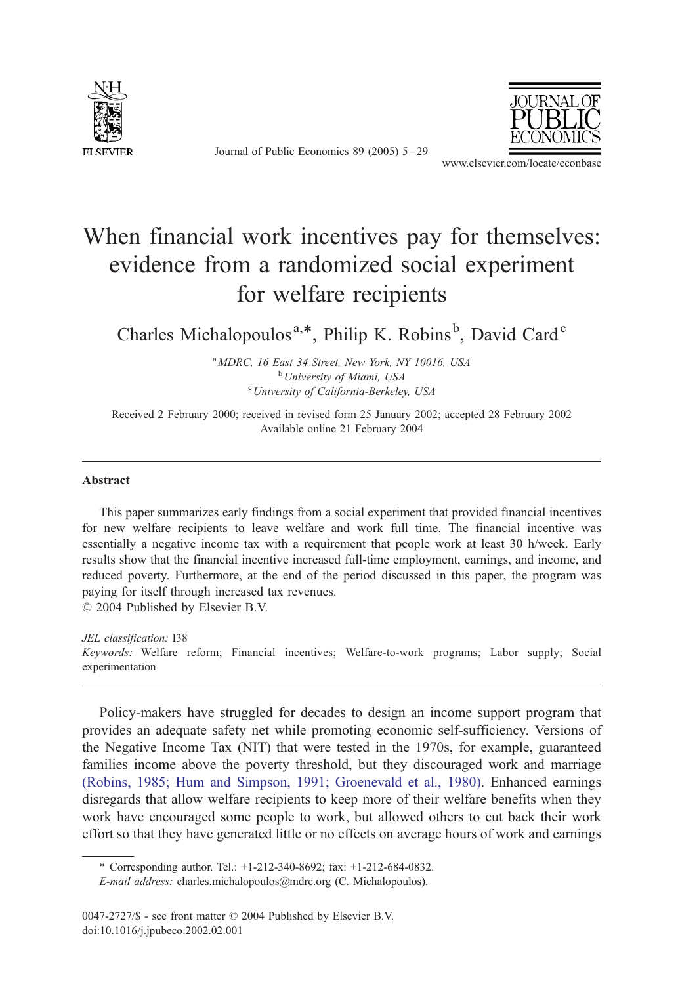

Journal of Public Economics 89 (2005) 5 – 29



www.elsevier.com/locate/econbase

# When financial work incentives pay for themselves: evidence from a randomized social experiment for welfare recipients

Charles Michalopoulos<sup>a,\*</sup>, Philip K. Robins<sup>b</sup>, David Card<sup>c</sup>

<sup>a</sup> MDRC, 16 East 34 Street, New York, NY 10016, USA  $b$ University of Miami, USA University of California-Berkeley, USA

Received 2 February 2000; received in revised form 25 January 2002; accepted 28 February 2002 Available online 21 February 2004

### Abstract

This paper summarizes early findings from a social experiment that provided financial incentives for new welfare recipients to leave welfare and work full time. The financial incentive was essentially a negative income tax with a requirement that people work at least 30 h/week. Early results show that the financial incentive increased full-time employment, earnings, and income, and reduced poverty. Furthermore, at the end of the period discussed in this paper, the program was paying for itself through increased tax revenues.  $© 2004$  Published by Elsevier B.V.

JEL classification: I38 Keywords: Welfare reform; Financial incentives; Welfare-to-work programs; Labor supply; Social experimentation

Policy-makers have struggled for decades to design an income support program that provides an adequate safety net while promoting economic self-sufficiency. Versions of the Negative Income Tax (NIT) that were tested in the 1970s, for example, guaranteed families income above the poverty threshold, but they discouraged work and marriage [\(Robins, 1985; Hum and Simpson, 1991; Groenevald et al., 1980\).](#page-24-0) Enhanced earnings disregards that allow welfare recipients to keep more of their welfare benefits when they work have encouraged some people to work, but allowed others to cut back their work effort so that they have generated little or no effects on average hours of work and earnings

<sup>\*</sup> Corresponding author. Tel.: +1-212-340-8692; fax: +1-212-684-0832.

E-mail address: charles.michalopoulos@mdrc.org (C. Michalopoulos).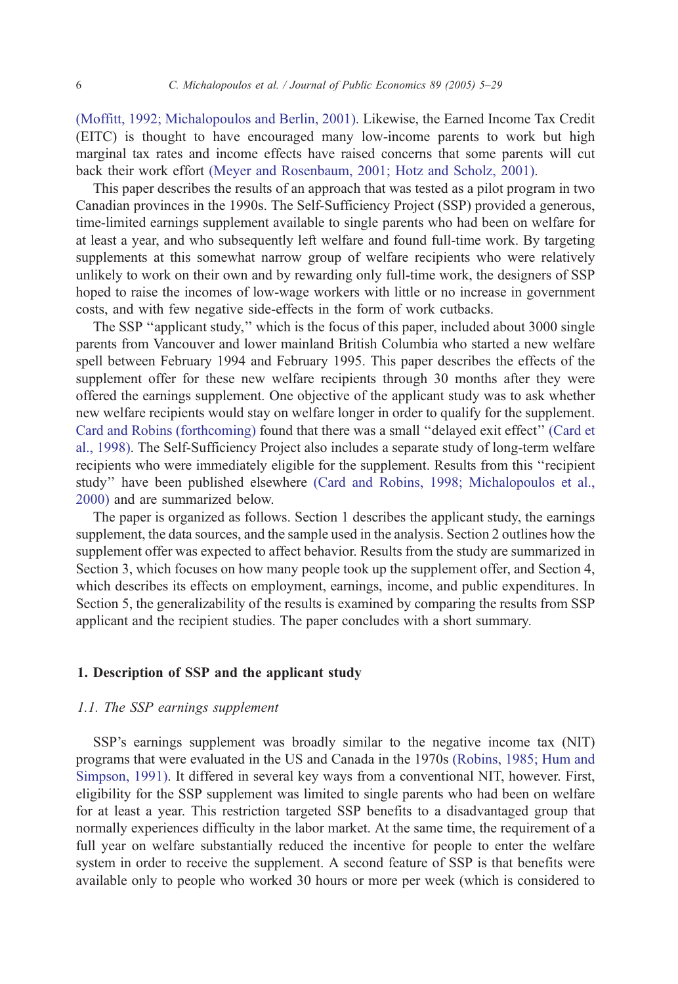[\(Moffitt, 1992; Michalopoulos and Berlin, 2001\).](#page-24-0) Likewise, the Earned Income Tax Credit (EITC) is thought to have encouraged many low-income parents to work but high marginal tax rates and income effects have raised concerns that some parents will cut back their work effort [\(Meyer and Rosenbaum, 2001; Hotz and Scholz, 2001\).](#page-23-0)

This paper describes the results of an approach that was tested as a pilot program in two Canadian provinces in the 1990s. The Self-Sufficiency Project (SSP) provided a generous, time-limited earnings supplement available to single parents who had been on welfare for at least a year, and who subsequently left welfare and found full-time work. By targeting supplements at this somewhat narrow group of welfare recipients who were relatively unlikely to work on their own and by rewarding only full-time work, the designers of SSP hoped to raise the incomes of low-wage workers with little or no increase in government costs, and with few negative side-effects in the form of work cutbacks.

The SSP ''applicant study,'' which is the focus of this paper, included about 3000 single parents from Vancouver and lower mainland British Columbia who started a new welfare spell between February 1994 and February 1995. This paper describes the effects of the supplement offer for these new welfare recipients through 30 months after they were offered the earnings supplement. One objective of the applicant study was to ask whether new welfare recipients would stay on welfare longer in order to qualify for the supplement. [Card and Robins \(forthcoming\)](#page-23-0) found that there was a small ''delayed exit effect'' [\(Card et](#page-23-0) al., 1998). The Self-Sufficiency Project also includes a separate study of long-term welfare recipients who were immediately eligible for the supplement. Results from this ''recipient study'' have been published elsewhere [\(Card and Robins, 1998; Michalopoulos et al.,](#page-23-0) 2000) and are summarized below.

The paper is organized as follows. Section 1 describes the applicant study, the earnings supplement, the data sources, and the sample used in the analysis. Section 2 outlines how the supplement offer was expected to affect behavior. Results from the study are summarized in Section 3, which focuses on how many people took up the supplement offer, and Section 4, which describes its effects on employment, earnings, income, and public expenditures. In Section 5, the generalizability of the results is examined by comparing the results from SSP applicant and the recipient studies. The paper concludes with a short summary.

#### 1. Description of SSP and the applicant study

### 1.1. The SSP earnings supplement

SSP's earnings supplement was broadly similar to the negative income tax (NIT) programs that were evaluated in the US and Canada in the 1970s [\(Robins, 1985; Hum and](#page-24-0) Simpson, 1991). It differed in several key ways from a conventional NIT, however. First, eligibility for the SSP supplement was limited to single parents who had been on welfare for at least a year. This restriction targeted SSP benefits to a disadvantaged group that normally experiences difficulty in the labor market. At the same time, the requirement of a full year on welfare substantially reduced the incentive for people to enter the welfare system in order to receive the supplement. A second feature of SSP is that benefits were available only to people who worked 30 hours or more per week (which is considered to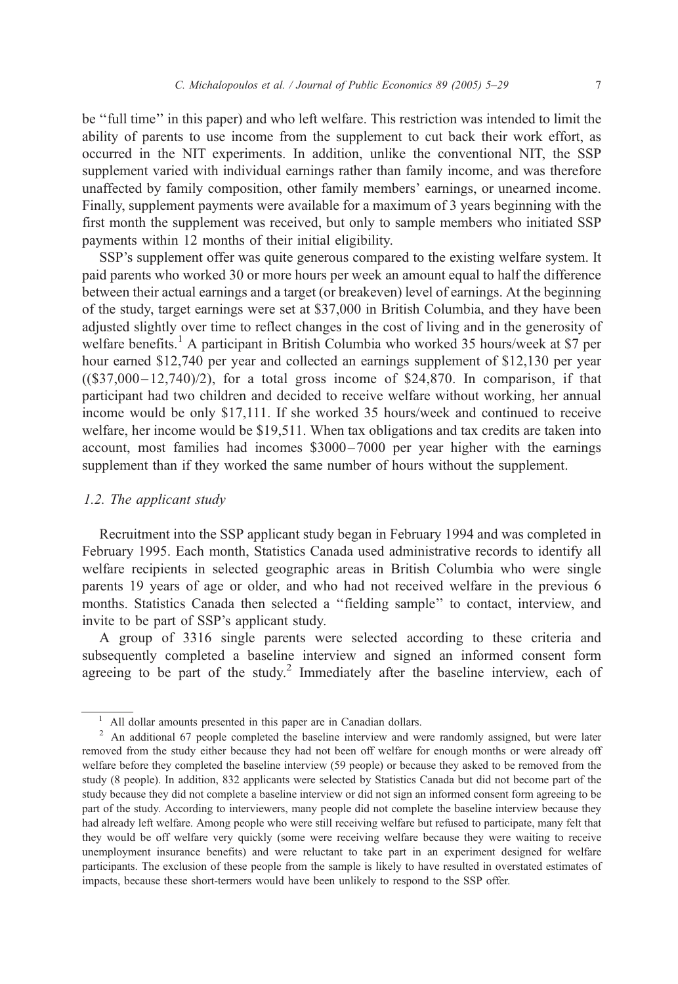be ''full time'' in this paper) and who left welfare. This restriction was intended to limit the ability of parents to use income from the supplement to cut back their work effort, as occurred in the NIT experiments. In addition, unlike the conventional NIT, the SSP supplement varied with individual earnings rather than family income, and was therefore unaffected by family composition, other family members' earnings, or unearned income. Finally, supplement payments were available for a maximum of 3 years beginning with the first month the supplement was received, but only to sample members who initiated SSP payments within 12 months of their initial eligibility.

SSP's supplement offer was quite generous compared to the existing welfare system. It paid parents who worked 30 or more hours per week an amount equal to half the difference between their actual earnings and a target (or breakeven) level of earnings. At the beginning of the study, target earnings were set at \$37,000 in British Columbia, and they have been adjusted slightly over time to reflect changes in the cost of living and in the generosity of welfare benefits.<sup>1</sup> A participant in British Columbia who worked 35 hours/week at \$7 per hour earned \$12,740 per year and collected an earnings supplement of \$12,130 per year  $((\$37,000 - 12,740)/2)$ , for a total gross income of \$24,870. In comparison, if that participant had two children and decided to receive welfare without working, her annual income would be only \$17,111. If she worked 35 hours/week and continued to receive welfare, her income would be \$19,511. When tax obligations and tax credits are taken into account, most families had incomes \$3000 – 7000 per year higher with the earnings supplement than if they worked the same number of hours without the supplement.

### 1.2. The applicant study

Recruitment into the SSP applicant study began in February 1994 and was completed in February 1995. Each month, Statistics Canada used administrative records to identify all welfare recipients in selected geographic areas in British Columbia who were single parents 19 years of age or older, and who had not received welfare in the previous 6 months. Statistics Canada then selected a ''fielding sample'' to contact, interview, and invite to be part of SSP's applicant study.

A group of 3316 single parents were selected according to these criteria and subsequently completed a baseline interview and signed an informed consent form agreeing to be part of the study.<sup>2</sup> Immediately after the baseline interview, each of

 $1$  All dollar amounts presented in this paper are in Canadian dollars.

<sup>&</sup>lt;sup>2</sup> An additional 67 people completed the baseline interview and were randomly assigned, but were later removed from the study either because they had not been off welfare for enough months or were already off welfare before they completed the baseline interview (59 people) or because they asked to be removed from the study (8 people). In addition, 832 applicants were selected by Statistics Canada but did not become part of the study because they did not complete a baseline interview or did not sign an informed consent form agreeing to be part of the study. According to interviewers, many people did not complete the baseline interview because they had already left welfare. Among people who were still receiving welfare but refused to participate, many felt that they would be off welfare very quickly (some were receiving welfare because they were waiting to receive unemployment insurance benefits) and were reluctant to take part in an experiment designed for welfare participants. The exclusion of these people from the sample is likely to have resulted in overstated estimates of impacts, because these short-termers would have been unlikely to respond to the SSP offer.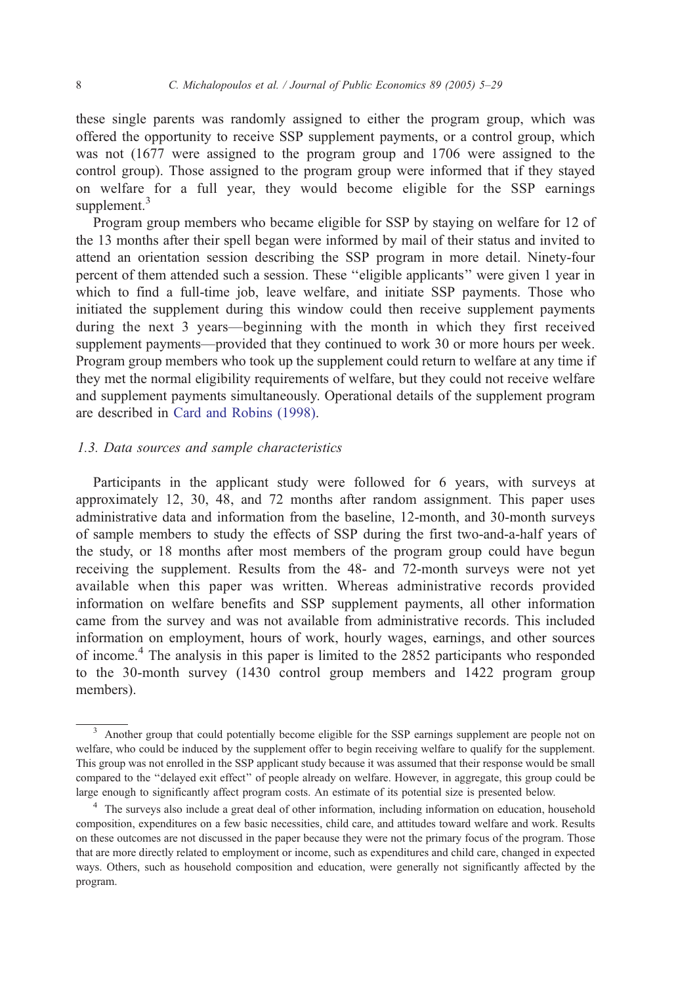these single parents was randomly assigned to either the program group, which was offered the opportunity to receive SSP supplement payments, or a control group, which was not (1677 were assigned to the program group and 1706 were assigned to the control group). Those assigned to the program group were informed that if they stayed on welfare for a full year, they would become eligible for the SSP earnings supplement. $3$ 

Program group members who became eligible for SSP by staying on welfare for 12 of the 13 months after their spell began were informed by mail of their status and invited to attend an orientation session describing the SSP program in more detail. Ninety-four percent of them attended such a session. These ''eligible applicants'' were given 1 year in which to find a full-time job, leave welfare, and initiate SSP payments. Those who initiated the supplement during this window could then receive supplement payments during the next 3 years—beginning with the month in which they first received supplement payments—provided that they continued to work 30 or more hours per week. Program group members who took up the supplement could return to welfare at any time if they met the normal eligibility requirements of welfare, but they could not receive welfare and supplement payments simultaneously. Operational details of the supplement program are described in [Card and Robins \(1998\).](#page-23-0)

### 1.3. Data sources and sample characteristics

Participants in the applicant study were followed for 6 years, with surveys at approximately 12, 30, 48, and 72 months after random assignment. This paper uses administrative data and information from the baseline, 12-month, and 30-month surveys of sample members to study the effects of SSP during the first two-and-a-half years of the study, or 18 months after most members of the program group could have begun receiving the supplement. Results from the 48- and 72-month surveys were not yet available when this paper was written. Whereas administrative records provided information on welfare benefits and SSP supplement payments, all other information came from the survey and was not available from administrative records. This included information on employment, hours of work, hourly wages, earnings, and other sources of income.<sup>4</sup> The analysis in this paper is limited to the 2852 participants who responded to the 30-month survey (1430 control group members and 1422 program group members).

<sup>3</sup> Another group that could potentially become eligible for the SSP earnings supplement are people not on welfare, who could be induced by the supplement offer to begin receiving welfare to qualify for the supplement. This group was not enrolled in the SSP applicant study because it was assumed that their response would be small compared to the ''delayed exit effect'' of people already on welfare. However, in aggregate, this group could be large enough to significantly affect program costs. An estimate of its potential size is presented below.

<sup>&</sup>lt;sup>4</sup> The surveys also include a great deal of other information, including information on education, household composition, expenditures on a few basic necessities, child care, and attitudes toward welfare and work. Results on these outcomes are not discussed in the paper because they were not the primary focus of the program. Those that are more directly related to employment or income, such as expenditures and child care, changed in expected ways. Others, such as household composition and education, were generally not significantly affected by the program.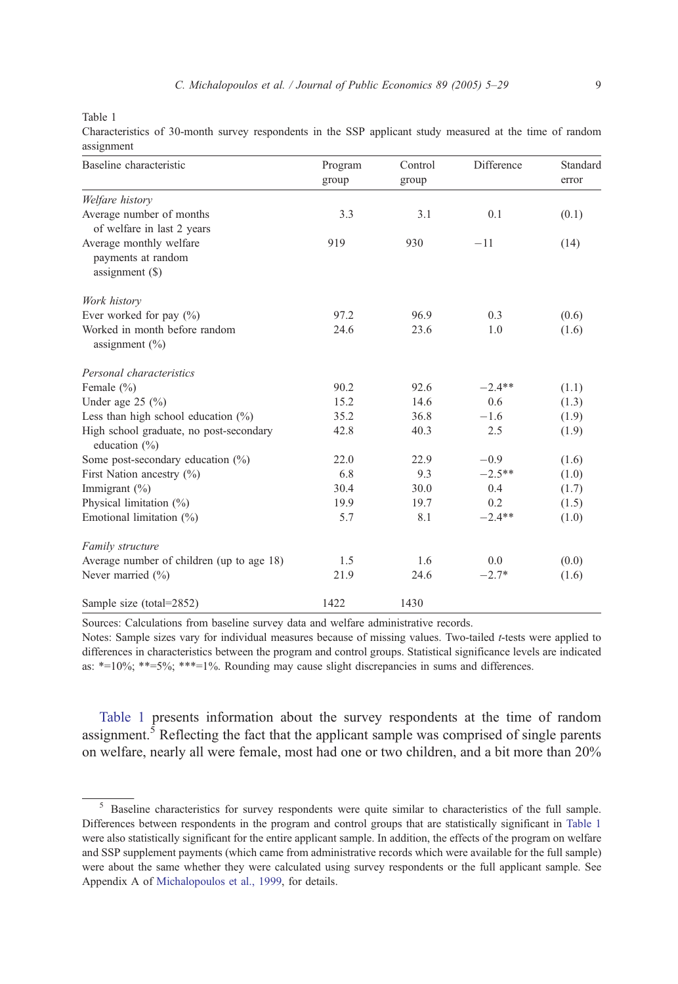Table 1

Characteristics of 30-month survey respondents in the SSP applicant study measured at the time of random assignment

| Baseline characteristic                                      | Program<br>group | Control<br>group | Difference | Standard<br>error |
|--------------------------------------------------------------|------------------|------------------|------------|-------------------|
| Welfare history                                              |                  |                  |            |                   |
| Average number of months                                     | 3.3              | 3.1              | 0.1        | (0.1)             |
| of welfare in last 2 years                                   |                  |                  |            |                   |
| Average monthly welfare                                      | 919              | 930              | $-11$      | (14)              |
| payments at random                                           |                  |                  |            |                   |
| assignment $(\$)$                                            |                  |                  |            |                   |
| Work history                                                 |                  |                  |            |                   |
| Ever worked for pay $(\% )$                                  | 97.2             | 96.9             | 0.3        | (0.6)             |
| Worked in month before random                                | 24.6             | 23.6             | 1.0        | (1.6)             |
| assignment $(\%)$                                            |                  |                  |            |                   |
| Personal characteristics                                     |                  |                  |            |                   |
| Female $(\% )$                                               | 90.2             | 92.6             | $-2.4**$   | (1.1)             |
| Under age 25 $(\%$                                           | 15.2             | 14.6             | 0.6        | (1.3)             |
| Less than high school education $(\%)$                       | 35.2             | 36.8             | $-1.6$     | (1.9)             |
| High school graduate, no post-secondary<br>education $(\% )$ | 42.8             | 40.3             | 2.5        | (1.9)             |
| Some post-secondary education $(\%)$                         | 22.0             | 22.9             | $-0.9$     | (1.6)             |
| First Nation ancestry (%)                                    | 6.8              | 9.3              | $-2.5**$   | (1.0)             |
| Immigrant $(\% )$                                            | 30.4             | 30.0             | 0.4        | (1.7)             |
| Physical limitation (%)                                      | 19.9             | 19.7             | 0.2        | (1.5)             |
| Emotional limitation (%)                                     | 5.7              | 8.1              | $-2.4**$   | (1.0)             |
| Family structure                                             |                  |                  |            |                   |
| Average number of children (up to age 18)                    | 1.5              | 1.6              | 0.0        | (0.0)             |
| Never married $(\% )$                                        | 21.9             | 24.6             | $-2.7*$    | (1.6)             |
| Sample size (total=2852)                                     | 1422             | 1430             |            |                   |

Sources: Calculations from baseline survey data and welfare administrative records.

Notes: Sample sizes vary for individual measures because of missing values. Two-tailed t-tests were applied to differences in characteristics between the program and control groups. Statistical significance levels are indicated as:  $*=10\%$ ;  $**=5\%$ ;  $**=1\%$ . Rounding may cause slight discrepancies in sums and differences.

Table 1 presents information about the survey respondents at the time of random assignment.<sup>5</sup> Reflecting the fact that the applicant sample was comprised of single parents on welfare, nearly all were female, most had one or two children, and a bit more than 20%

<sup>&</sup>lt;sup>5</sup> Baseline characteristics for survey respondents were quite similar to characteristics of the full sample. Differences between respondents in the program and control groups that are statistically significant in Table 1 were also statistically significant for the entire applicant sample. In addition, the effects of the program on welfare and SSP supplement payments (which came from administrative records which were available for the full sample) were about the same whether they were calculated using survey respondents or the full applicant sample. See Appendix A of [Michalopoulos et al., 1999,](#page-23-0) for details.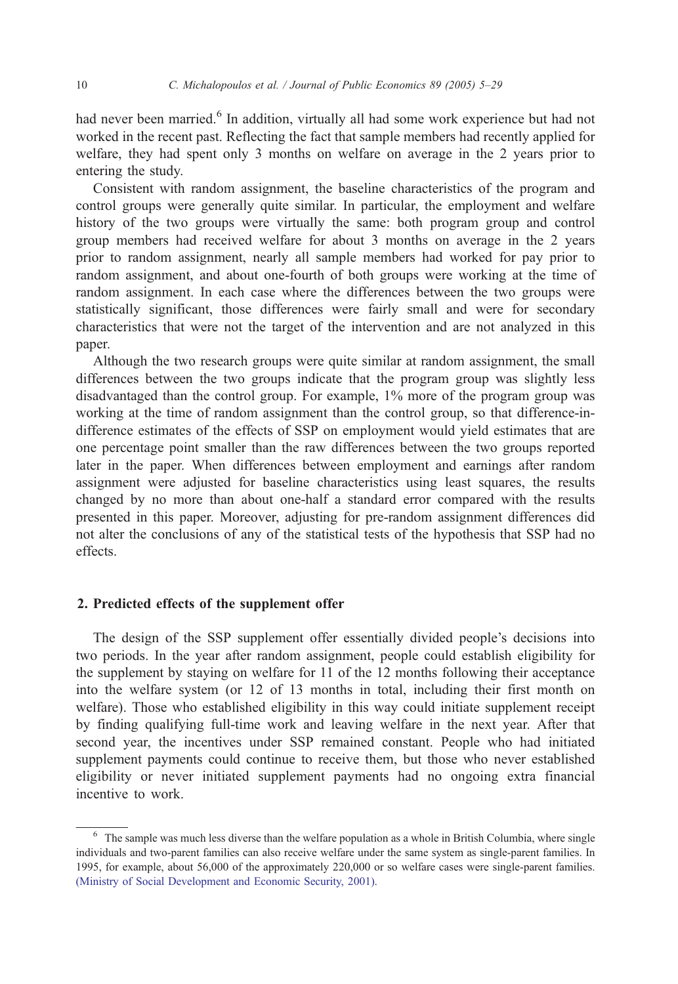had never been married.<sup>6</sup> In addition, virtually all had some work experience but had not worked in the recent past. Reflecting the fact that sample members had recently applied for welfare, they had spent only 3 months on welfare on average in the 2 years prior to entering the study.

Consistent with random assignment, the baseline characteristics of the program and control groups were generally quite similar. In particular, the employment and welfare history of the two groups were virtually the same: both program group and control group members had received welfare for about 3 months on average in the 2 years prior to random assignment, nearly all sample members had worked for pay prior to random assignment, and about one-fourth of both groups were working at the time of random assignment. In each case where the differences between the two groups were statistically significant, those differences were fairly small and were for secondary characteristics that were not the target of the intervention and are not analyzed in this paper.

Although the two research groups were quite similar at random assignment, the small differences between the two groups indicate that the program group was slightly less disadvantaged than the control group. For example, 1% more of the program group was working at the time of random assignment than the control group, so that difference-indifference estimates of the effects of SSP on employment would yield estimates that are one percentage point smaller than the raw differences between the two groups reported later in the paper. When differences between employment and earnings after random assignment were adjusted for baseline characteristics using least squares, the results changed by no more than about one-half a standard error compared with the results presented in this paper. Moreover, adjusting for pre-random assignment differences did not alter the conclusions of any of the statistical tests of the hypothesis that SSP had no effects.

### 2. Predicted effects of the supplement offer

The design of the SSP supplement offer essentially divided people's decisions into two periods. In the year after random assignment, people could establish eligibility for the supplement by staying on welfare for 11 of the 12 months following their acceptance into the welfare system (or 12 of 13 months in total, including their first month on welfare). Those who established eligibility in this way could initiate supplement receipt by finding qualifying full-time work and leaving welfare in the next year. After that second year, the incentives under SSP remained constant. People who had initiated supplement payments could continue to receive them, but those who never established eligibility or never initiated supplement payments had no ongoing extra financial incentive to work.

<sup>&</sup>lt;sup>6</sup> The sample was much less diverse than the welfare population as a whole in British Columbia, where single individuals and two-parent families can also receive welfare under the same system as single-parent families. In 1995, for example, about 56,000 of the approximately 220,000 or so welfare cases were single-parent families. [\(Ministry of Social Development and Economic Security, 2001\).](#page-23-0)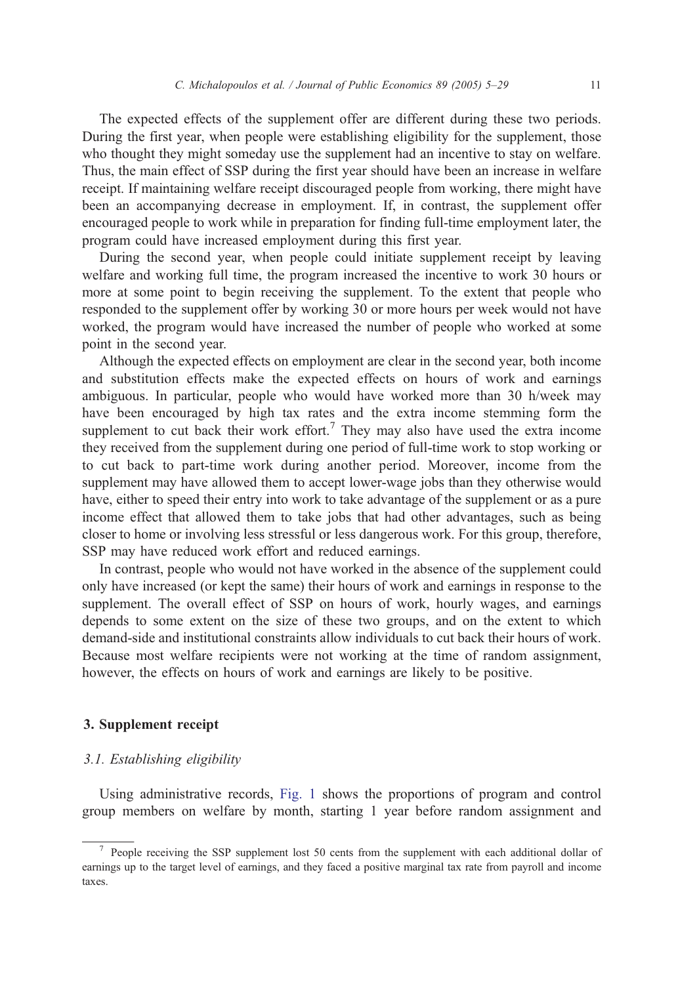The expected effects of the supplement offer are different during these two periods. During the first year, when people were establishing eligibility for the supplement, those who thought they might someday use the supplement had an incentive to stay on welfare. Thus, the main effect of SSP during the first year should have been an increase in welfare receipt. If maintaining welfare receipt discouraged people from working, there might have been an accompanying decrease in employment. If, in contrast, the supplement offer encouraged people to work while in preparation for finding full-time employment later, the program could have increased employment during this first year.

During the second year, when people could initiate supplement receipt by leaving welfare and working full time, the program increased the incentive to work 30 hours or more at some point to begin receiving the supplement. To the extent that people who responded to the supplement offer by working 30 or more hours per week would not have worked, the program would have increased the number of people who worked at some point in the second year.

Although the expected effects on employment are clear in the second year, both income and substitution effects make the expected effects on hours of work and earnings ambiguous. In particular, people who would have worked more than 30 h/week may have been encouraged by high tax rates and the extra income stemming form the supplement to cut back their work effort.<sup>7</sup> They may also have used the extra income they received from the supplement during one period of full-time work to stop working or to cut back to part-time work during another period. Moreover, income from the supplement may have allowed them to accept lower-wage jobs than they otherwise would have, either to speed their entry into work to take advantage of the supplement or as a pure income effect that allowed them to take jobs that had other advantages, such as being closer to home or involving less stressful or less dangerous work. For this group, therefore, SSP may have reduced work effort and reduced earnings.

In contrast, people who would not have worked in the absence of the supplement could only have increased (or kept the same) their hours of work and earnings in response to the supplement. The overall effect of SSP on hours of work, hourly wages, and earnings depends to some extent on the size of these two groups, and on the extent to which demand-side and institutional constraints allow individuals to cut back their hours of work. Because most welfare recipients were not working at the time of random assignment, however, the effects on hours of work and earnings are likely to be positive.

### 3. Supplement receipt

### 3.1. Establishing eligibility

Using administrative records, [Fig. 1](#page-7-0) shows the proportions of program and control group members on welfare by month, starting 1 year before random assignment and

 $7$  People receiving the SSP supplement lost 50 cents from the supplement with each additional dollar of earnings up to the target level of earnings, and they faced a positive marginal tax rate from payroll and income taxes.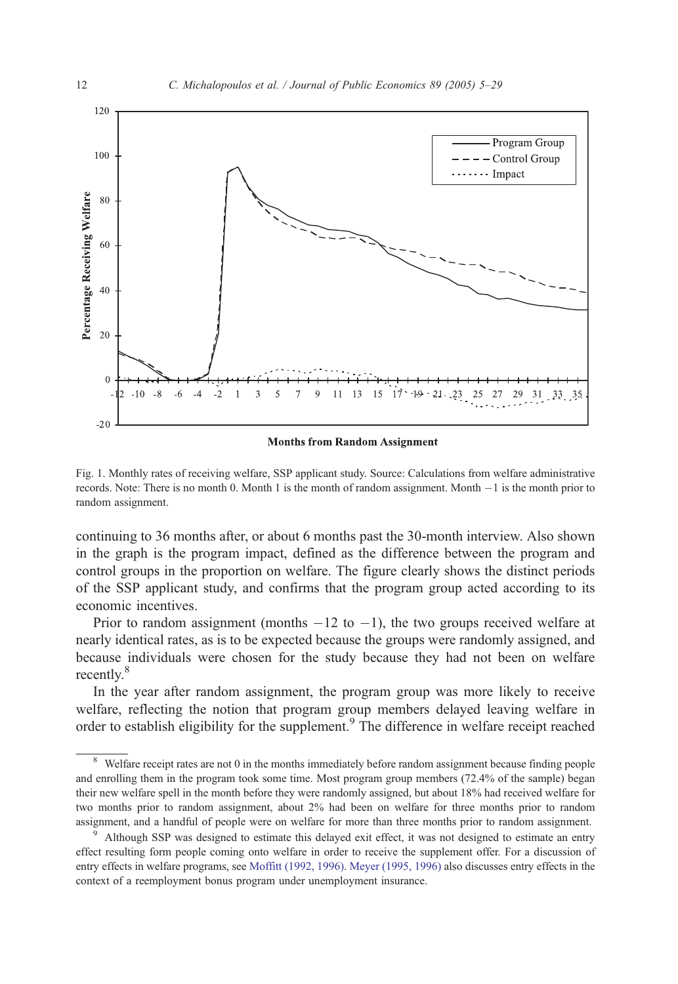<span id="page-7-0"></span>

**Months from Random Assignment** 

Fig. 1. Monthly rates of receiving welfare, SSP applicant study. Source: Calculations from welfare administrative records. Note: There is no month 0. Month 1 is the month of random assignment. Month  $-1$  is the month prior to random assignment.

continuing to 36 months after, or about 6 months past the 30-month interview. Also shown in the graph is the program impact, defined as the difference between the program and control groups in the proportion on welfare. The figure clearly shows the distinct periods of the SSP applicant study, and confirms that the program group acted according to its economic incentives.

Prior to random assignment (months  $-12$  to  $-1$ ), the two groups received welfare at nearly identical rates, as is to be expected because the groups were randomly assigned, and because individuals were chosen for the study because they had not been on welfare recently.<sup>8</sup>

In the year after random assignment, the program group was more likely to receive welfare, reflecting the notion that program group members delayed leaving welfare in order to establish eligibility for the supplement.<sup>9</sup> The difference in welfare receipt reached

<sup>8</sup> Welfare receipt rates are not 0 in the months immediately before random assignment because finding people and enrolling them in the program took some time. Most program group members (72.4% of the sample) began their new welfare spell in the month before they were randomly assigned, but about 18% had received welfare for two months prior to random assignment, about 2% had been on welfare for three months prior to random assignment, and a handful of people were on welfare for more than three months prior to random assignment.

<sup>&</sup>lt;sup>9</sup> Although SSP was designed to estimate this delayed exit effect, it was not designed to estimate an entry effect resulting form people coming onto welfare in order to receive the supplement offer. For a discussion of entry effects in welfare programs, see [Moffitt \(1992, 1996\).](#page-24-0) [Meyer \(1995, 1996\)](#page-23-0) also discusses entry effects in the context of a reemployment bonus program under unemployment insurance.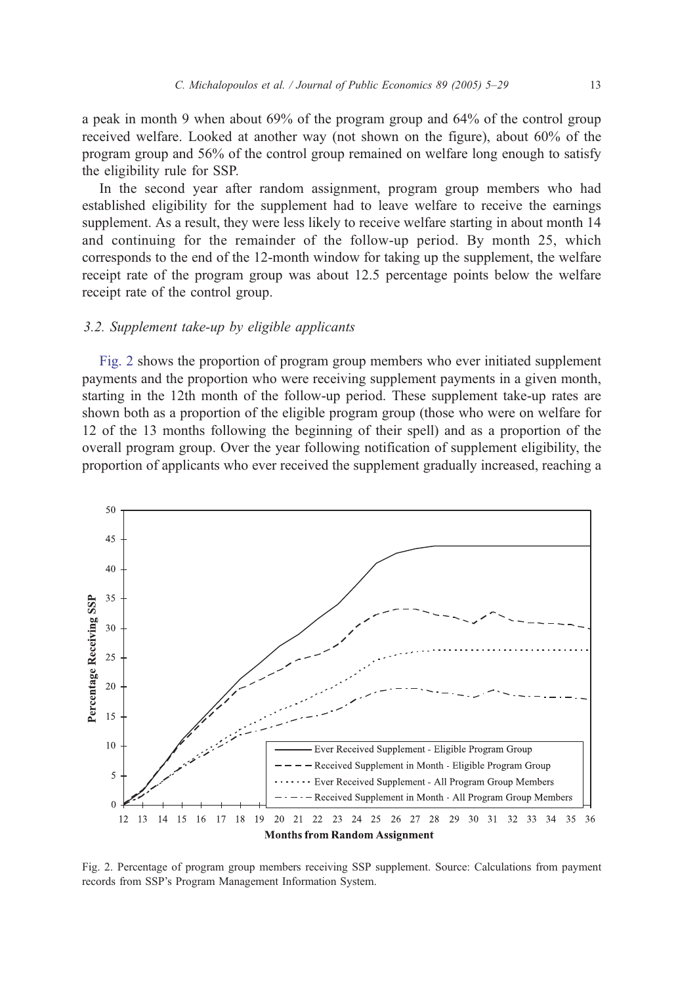a peak in month 9 when about 69% of the program group and 64% of the control group received welfare. Looked at another way (not shown on the figure), about 60% of the program group and 56% of the control group remained on welfare long enough to satisfy the eligibility rule for SSP.

In the second year after random assignment, program group members who had established eligibility for the supplement had to leave welfare to receive the earnings supplement. As a result, they were less likely to receive welfare starting in about month 14 and continuing for the remainder of the follow-up period. By month 25, which corresponds to the end of the 12-month window for taking up the supplement, the welfare receipt rate of the program group was about 12.5 percentage points below the welfare receipt rate of the control group.

### 3.2. Supplement take-up by eligible applicants

Fig. 2 shows the proportion of program group members who ever initiated supplement payments and the proportion who were receiving supplement payments in a given month, starting in the 12th month of the follow-up period. These supplement take-up rates are shown both as a proportion of the eligible program group (those who were on welfare for 12 of the 13 months following the beginning of their spell) and as a proportion of the overall program group. Over the year following notification of supplement eligibility, the proportion of applicants who ever received the supplement gradually increased, reaching a



Fig. 2. Percentage of program group members receiving SSP supplement. Source: Calculations from payment records from SSP's Program Management Information System.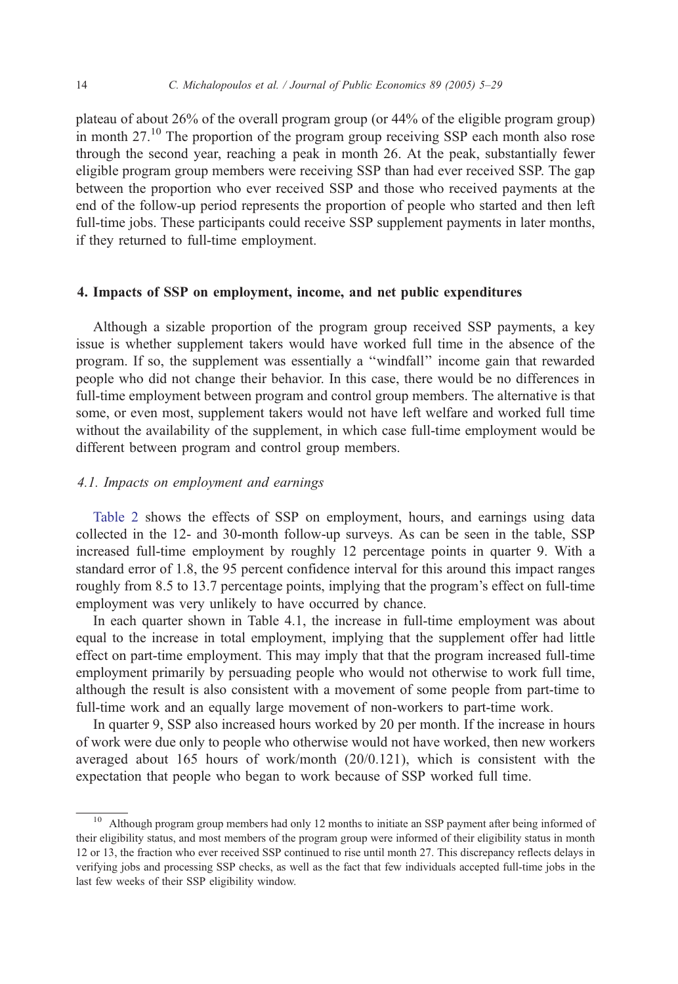plateau of about 26% of the overall program group (or 44% of the eligible program group) in month  $27<sup>10</sup>$ . The proportion of the program group receiving SSP each month also rose through the second year, reaching a peak in month 26. At the peak, substantially fewer eligible program group members were receiving SSP than had ever received SSP. The gap between the proportion who ever received SSP and those who received payments at the end of the follow-up period represents the proportion of people who started and then left full-time jobs. These participants could receive SSP supplement payments in later months, if they returned to full-time employment.

### 4. Impacts of SSP on employment, income, and net public expenditures

Although a sizable proportion of the program group received SSP payments, a key issue is whether supplement takers would have worked full time in the absence of the program. If so, the supplement was essentially a ''windfall'' income gain that rewarded people who did not change their behavior. In this case, there would be no differences in full-time employment between program and control group members. The alternative is that some, or even most, supplement takers would not have left welfare and worked full time without the availability of the supplement, in which case full-time employment would be different between program and control group members.

### 4.1. Impacts on employment and earnings

[Table 2](#page-11-0) shows the effects of SSP on employment, hours, and earnings using data collected in the 12- and 30-month follow-up surveys. As can be seen in the table, SSP increased full-time employment by roughly 12 percentage points in quarter 9. With a standard error of 1.8, the 95 percent confidence interval for this around this impact ranges roughly from 8.5 to 13.7 percentage points, implying that the program's effect on full-time employment was very unlikely to have occurred by chance.

In each quarter shown in Table 4.1, the increase in full-time employment was about equal to the increase in total employment, implying that the supplement offer had little effect on part-time employment. This may imply that that the program increased full-time employment primarily by persuading people who would not otherwise to work full time, although the result is also consistent with a movement of some people from part-time to full-time work and an equally large movement of non-workers to part-time work.

In quarter 9, SSP also increased hours worked by 20 per month. If the increase in hours of work were due only to people who otherwise would not have worked, then new workers averaged about 165 hours of work/month (20/0.121), which is consistent with the expectation that people who began to work because of SSP worked full time.

<sup>&</sup>lt;sup>10</sup> Although program group members had only 12 months to initiate an SSP payment after being informed of their eligibility status, and most members of the program group were informed of their eligibility status in month 12 or 13, the fraction who ever received SSP continued to rise until month 27. This discrepancy reflects delays in verifying jobs and processing SSP checks, as well as the fact that few individuals accepted full-time jobs in the last few weeks of their SSP eligibility window.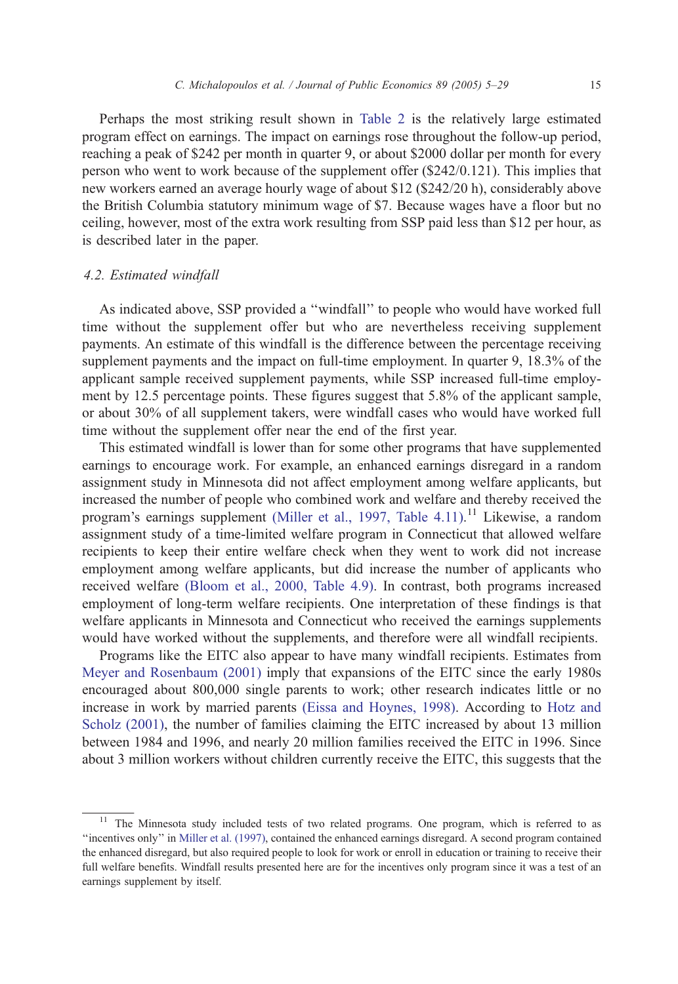Perhaps the most striking result shown in [Table 2](#page-11-0) is the relatively large estimated program effect on earnings. The impact on earnings rose throughout the follow-up period, reaching a peak of \$242 per month in quarter 9, or about \$2000 dollar per month for every person who went to work because of the supplement offer (\$242/0.121). This implies that new workers earned an average hourly wage of about \$12 (\$242/20 h), considerably above the British Columbia statutory minimum wage of \$7. Because wages have a floor but no ceiling, however, most of the extra work resulting from SSP paid less than \$12 per hour, as is described later in the paper.

#### 4.2. Estimated windfall

As indicated above, SSP provided a ''windfall'' to people who would have worked full time without the supplement offer but who are nevertheless receiving supplement payments. An estimate of this windfall is the difference between the percentage receiving supplement payments and the impact on full-time employment. In quarter 9, 18.3% of the applicant sample received supplement payments, while SSP increased full-time employment by 12.5 percentage points. These figures suggest that 5.8% of the applicant sample, or about 30% of all supplement takers, were windfall cases who would have worked full time without the supplement offer near the end of the first year.

This estimated windfall is lower than for some other programs that have supplemented earnings to encourage work. For example, an enhanced earnings disregard in a random assignment study in Minnesota did not affect employment among welfare applicants, but increased the number of people who combined work and welfare and thereby received the program's earnings supplement [\(Miller et al., 1997, Table 4.11\).](#page-23-0) <sup>11</sup> Likewise, a random assignment study of a time-limited welfare program in Connecticut that allowed welfare recipients to keep their entire welfare check when they went to work did not increase employment among welfare applicants, but did increase the number of applicants who received welfare [\(Bloom et al., 2000, Table 4.9\).](#page-23-0) In contrast, both programs increased employment of long-term welfare recipients. One interpretation of these findings is that welfare applicants in Minnesota and Connecticut who received the earnings supplements would have worked without the supplements, and therefore were all windfall recipients.

Programs like the EITC also appear to have many windfall recipients. Estimates from [Meyer and Rosenbaum \(2001\)](#page-23-0) imply that expansions of the EITC since the early 1980s encouraged about 800,000 single parents to work; other research indicates little or no increase in work by married parents [\(Eissa and Hoynes, 1998\).](#page-23-0) According to [Hotz and](#page-23-0) Scholz (2001), the number of families claiming the EITC increased by about 13 million between 1984 and 1996, and nearly 20 million families received the EITC in 1996. Since about 3 million workers without children currently receive the EITC, this suggests that the

The Minnesota study included tests of two related programs. One program, which is referred to as ''incentives only'' in [Miller et al. \(1997\),](#page-23-0) contained the enhanced earnings disregard. A second program contained the enhanced disregard, but also required people to look for work or enroll in education or training to receive their full welfare benefits. Windfall results presented here are for the incentives only program since it was a test of an earnings supplement by itself.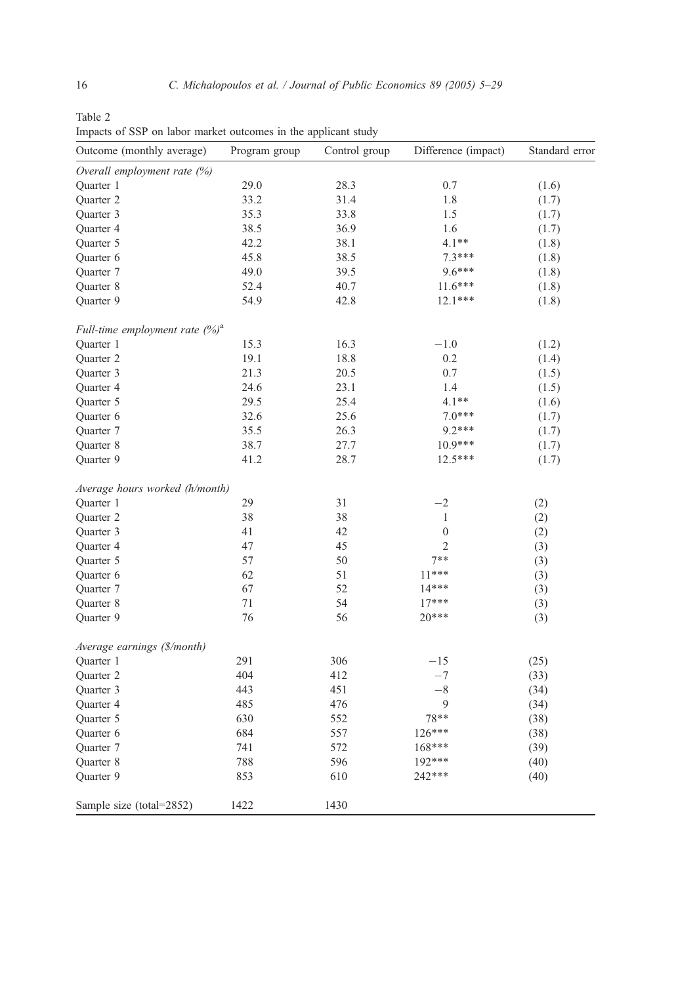<span id="page-11-0"></span>Table 2 Impacts of SSP on labor market outcomes in the applicant study

| Outcome (monthly average)                  | Program group | Control group | Difference (impact) | Standard error |
|--------------------------------------------|---------------|---------------|---------------------|----------------|
| Overall employment rate (%)                |               |               |                     |                |
| Quarter 1                                  | 29.0          | 28.3          | 0.7                 | (1.6)          |
| Quarter 2                                  | 33.2          | 31.4          | 1.8                 | (1.7)          |
| Quarter 3                                  | 35.3          | 33.8          | 1.5                 | (1.7)          |
| Quarter 4                                  | 38.5          | 36.9          | 1.6                 | (1.7)          |
| Quarter 5                                  | 42.2          | 38.1          | $4.1**$             | (1.8)          |
| Quarter 6                                  | 45.8          | 38.5          | $7.3***$            | (1.8)          |
| Quarter 7                                  | 49.0          | 39.5          | $9.6***$            | (1.8)          |
| Quarter 8                                  | 52.4          | 40.7          | $11.6***$           | (1.8)          |
| Quarter 9                                  | 54.9          | 42.8          | $12.1***$           | (1.8)          |
| Full-time employment rate (%) <sup>a</sup> |               |               |                     |                |
| Quarter 1                                  | 15.3          | 16.3          | $-1.0$              | (1.2)          |
| Quarter 2                                  | 19.1          | 18.8          | 0.2                 | (1.4)          |
| Quarter 3                                  | 21.3          | 20.5          | 0.7                 | (1.5)          |
| Quarter 4                                  | 24.6          | 23.1          | 1.4                 | (1.5)          |
| Quarter 5                                  | 29.5          | 25.4          | $4.1**$             | (1.6)          |
| Quarter 6                                  | 32.6          | 25.6          | $7.0***$            | (1.7)          |
| Quarter 7                                  | 35.5          | 26.3          | $9.2***$            | (1.7)          |
| Quarter 8                                  | 38.7          | 27.7          | $10.9***$           | (1.7)          |
| Quarter 9                                  | 41.2          | 28.7          | 12.5***             | (1.7)          |
| Average hours worked (h/month)             |               |               |                     |                |
| Quarter 1                                  | 29            | 31            | $-2$                | (2)            |
| Quarter 2                                  | 38            | 38            | $\mathbf{1}$        | (2)            |
| Quarter 3                                  | 41            | 42            | $\boldsymbol{0}$    | (2)            |
| Quarter 4                                  | 47            | 45            | $\overline{c}$      | (3)            |
| Quarter 5                                  | 57            | 50            | $7**$               | (3)            |
| Quarter 6                                  | 62            | 51            | $11***$             | (3)            |
| Quarter 7                                  | 67            | 52            | $14***$             | (3)            |
| Quarter 8                                  | $71\,$        | 54            | $17***$             | (3)            |
| Quarter 9                                  | 76            | 56            | $20***$             | (3)            |
| Average earnings (\$/month)                |               |               |                     |                |
| Quarter 1                                  | 291           | 306           | $-15$               | (25)           |
| Quarter 2                                  | 404           | 412           | $-7$                | (33)           |
| Quarter 3                                  | 443           | 451           | $-8$                | (34)           |
| Quarter 4                                  | 485           | 476           | 9                   | (34)           |
| Quarter 5                                  | 630           | 552           | 78**                | (38)           |
| Quarter 6                                  | 684           | 557           | 126***              | (38)           |
| Quarter 7                                  | 741           | 572           | 168***              | (39)           |
| Quarter 8                                  | 788           | 596           | 192***              | (40)           |
| Quarter 9                                  | 853           | 610           | 242***              | (40)           |
| Sample size (total=2852)                   | 1422          | 1430          |                     |                |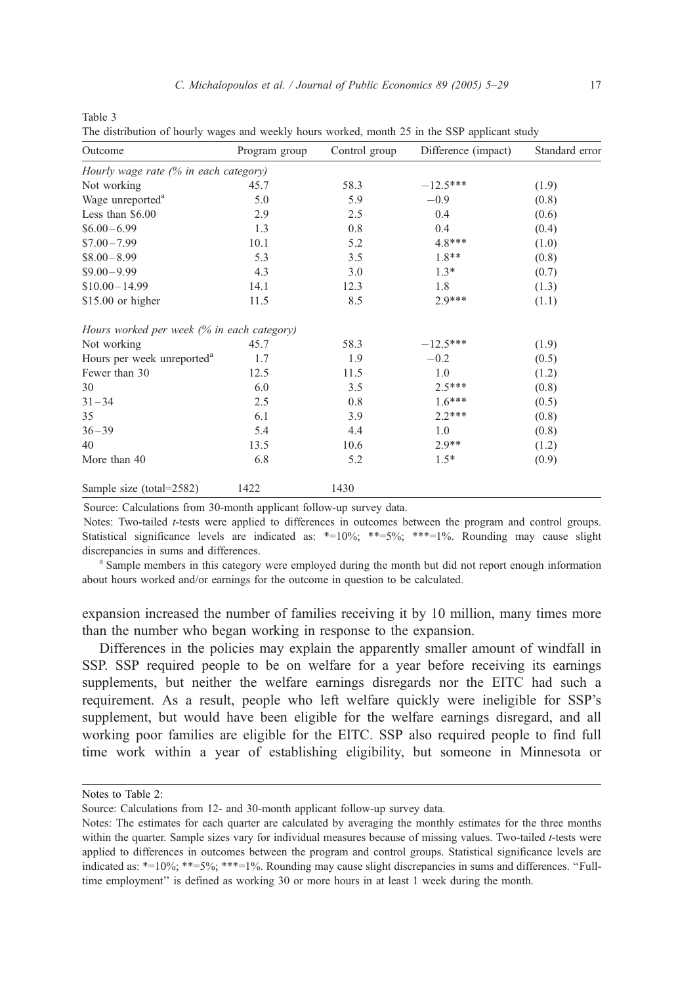<span id="page-12-0"></span>

| .<br>۰,<br>$\sim$ |  |  |  |
|-------------------|--|--|--|
|-------------------|--|--|--|

The distribution of hourly wages and weekly hours worked, month 25 in the SSP applicant study

| Outcome                                    | Program group | Control group | Difference (impact) | Standard error |
|--------------------------------------------|---------------|---------------|---------------------|----------------|
| Hourly wage rate (% in each category)      |               |               |                     |                |
| Not working                                | 45.7          | 58.3          | $-12.5***$          | (1.9)          |
| Wage unreported <sup>a</sup>               | 5.0           | 5.9           | $-0.9$              | (0.8)          |
| Less than \$6.00                           | 2.9           | 2.5           | 0.4                 | (0.6)          |
| $$6.00 - 6.99$                             | 1.3           | 0.8           | 0.4                 | (0.4)          |
| $$7.00 - 7.99$                             | 10.1          | 5.2           | 4.8***              | (1.0)          |
| $$8.00 - 8.99$                             | 5.3           | 3.5           | $1.8**$             | (0.8)          |
| $$9.00 - 9.99$                             | 4.3           | 3.0           | $1.3*$              | (0.7)          |
| $$10.00 - 14.99$                           | 14.1          | 12.3          | 1.8                 | (1.3)          |
| $$15.00$ or higher                         | 11.5          | 8.5           | $2.9***$            | (1.1)          |
| Hours worked per week (% in each category) |               |               |                     |                |
| Not working                                | 45.7          | 58.3          | $-12.5***$          | (1.9)          |
| Hours per week unreported <sup>a</sup>     | 1.7           | 1.9           | $-0.2$              | (0.5)          |
| Fewer than 30                              | 12.5          | 11.5          | 1.0                 | (1.2)          |
| 30                                         | 6.0           | 3.5           | $2.5***$            | (0.8)          |
| $31 - 34$                                  | 2.5           | 0.8           | $1.6***$            | (0.5)          |
| 35                                         | 6.1           | 3.9           | $2.2***$            | (0.8)          |
| $36 - 39$                                  | 5.4           | 4.4           | 1.0                 | (0.8)          |
| 40                                         | 13.5          | 10.6          | $2.9**$             | (1.2)          |
| More than 40                               | 6.8           | 5.2           | $1.5*$              | (0.9)          |
| Sample size (total=2582)                   | 1422          | 1430          |                     |                |

Source: Calculations from 30-month applicant follow-up survey data.

Notes: Two-tailed t-tests were applied to differences in outcomes between the program and control groups. Statistical significance levels are indicated as:  $*=10\%$ ;  $**=5\%$ ;  $**=1\%$ . Rounding may cause slight discrepancies in sums and differences.<br>a Sample members in this category were employed during the month but did not report enough information

about hours worked and/or earnings for the outcome in question to be calculated.

expansion increased the number of families receiving it by 10 million, many times more than the number who began working in response to the expansion.

Differences in the policies may explain the apparently smaller amount of windfall in SSP. SSP required people to be on welfare for a year before receiving its earnings supplements, but neither the welfare earnings disregards nor the EITC had such a requirement. As a result, people who left welfare quickly were ineligible for SSP's supplement, but would have been eligible for the welfare earnings disregard, and all working poor families are eligible for the EITC. SSP also required people to find full time work within a year of establishing eligibility, but someone in Minnesota or

Notes to Table 2:

Source: Calculations from 12- and 30-month applicant follow-up survey data.

Notes: The estimates for each quarter are calculated by averaging the monthly estimates for the three months within the quarter. Sample sizes vary for individual measures because of missing values. Two-tailed t-tests were applied to differences in outcomes between the program and control groups. Statistical significance levels are indicated as: \*=10%; \*\*=5%; \*\*\*=1%. Rounding may cause slight discrepancies in sums and differences. ''Fulltime employment'' is defined as working 30 or more hours in at least 1 week during the month.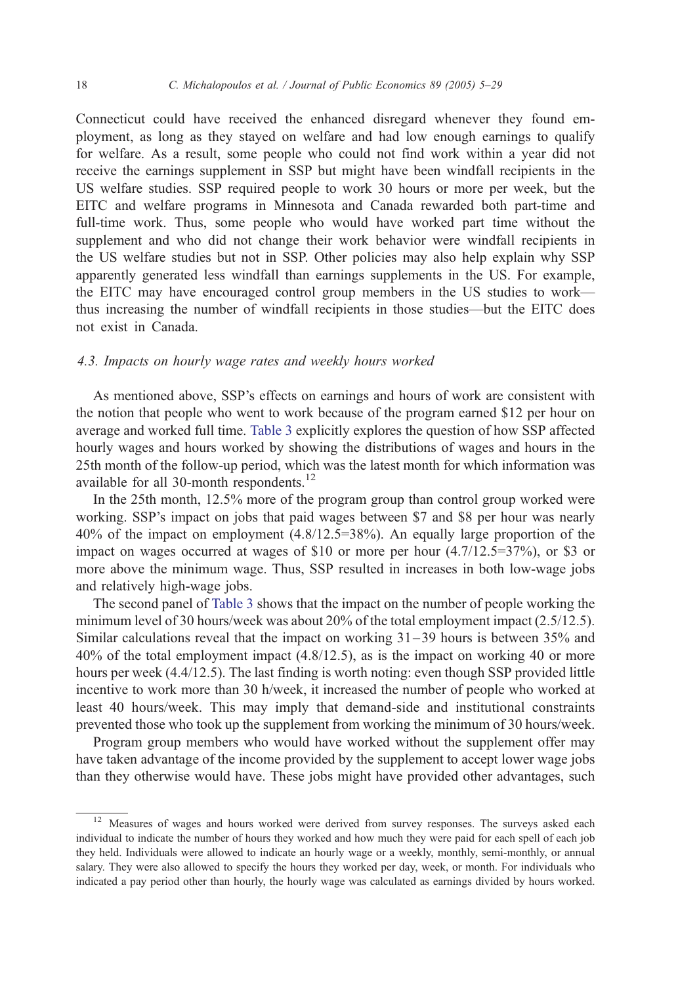Connecticut could have received the enhanced disregard whenever they found employment, as long as they stayed on welfare and had low enough earnings to qualify for welfare. As a result, some people who could not find work within a year did not receive the earnings supplement in SSP but might have been windfall recipients in the US welfare studies. SSP required people to work 30 hours or more per week, but the EITC and welfare programs in Minnesota and Canada rewarded both part-time and full-time work. Thus, some people who would have worked part time without the supplement and who did not change their work behavior were windfall recipients in the US welfare studies but not in SSP. Other policies may also help explain why SSP apparently generated less windfall than earnings supplements in the US. For example, the EITC may have encouraged control group members in the US studies to work thus increasing the number of windfall recipients in those studies—but the EITC does not exist in Canada.

#### 4.3. Impacts on hourly wage rates and weekly hours worked

As mentioned above, SSP's effects on earnings and hours of work are consistent with the notion that people who went to work because of the program earned \$12 per hour on average and worked full time. [Table 3](#page-12-0) explicitly explores the question of how SSP affected hourly wages and hours worked by showing the distributions of wages and hours in the 25th month of the follow-up period, which was the latest month for which information was available for all 30-month respondents.<sup>12</sup>

In the 25th month, 12.5% more of the program group than control group worked were working. SSP's impact on jobs that paid wages between \$7 and \$8 per hour was nearly 40% of the impact on employment (4.8/12.5=38%). An equally large proportion of the impact on wages occurred at wages of \$10 or more per hour (4.7/12.5=37%), or \$3 or more above the minimum wage. Thus, SSP resulted in increases in both low-wage jobs and relatively high-wage jobs.

The second panel of [Table 3](#page-12-0) shows that the impact on the number of people working the minimum level of 30 hours/week was about 20% of the total employment impact (2.5/12.5). Similar calculations reveal that the impact on working  $31-39$  hours is between 35% and 40% of the total employment impact (4.8/12.5), as is the impact on working 40 or more hours per week (4.4/12.5). The last finding is worth noting: even though SSP provided little incentive to work more than 30 h/week, it increased the number of people who worked at least 40 hours/week. This may imply that demand-side and institutional constraints prevented those who took up the supplement from working the minimum of 30 hours/week.

Program group members who would have worked without the supplement offer may have taken advantage of the income provided by the supplement to accept lower wage jobs than they otherwise would have. These jobs might have provided other advantages, such

<sup>&</sup>lt;sup>12</sup> Measures of wages and hours worked were derived from survey responses. The surveys asked each individual to indicate the number of hours they worked and how much they were paid for each spell of each job they held. Individuals were allowed to indicate an hourly wage or a weekly, monthly, semi-monthly, or annual salary. They were also allowed to specify the hours they worked per day, week, or month. For individuals who indicated a pay period other than hourly, the hourly wage was calculated as earnings divided by hours worked.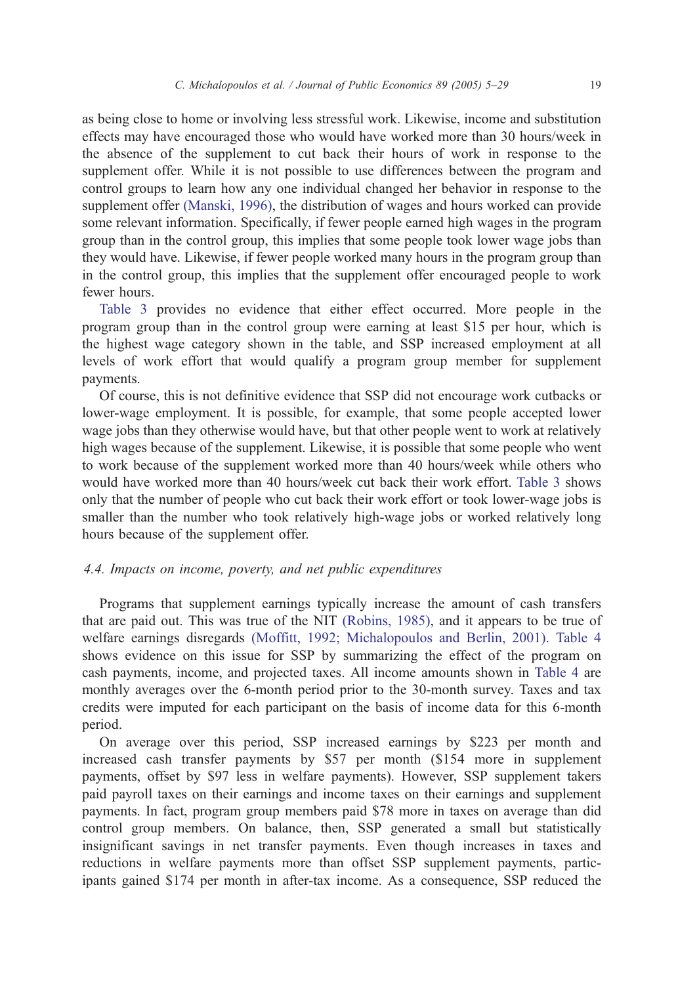as being close to home or involving less stressful work. Likewise, income and substitution effects may have encouraged those who would have worked more than 30 hours/week in the absence of the supplement to cut back their hours of work in response to the supplement offer. While it is not possible to use differences between the program and control groups to learn how any one individual changed her behavior in response to the supplement offer [\(Manski, 1996\),](#page-23-0) the distribution of wages and hours worked can provide some relevant information. Specifically, if fewer people earned high wages in the program group than in the control group, this implies that some people took lower wage jobs than they would have. Likewise, if fewer people worked many hours in the program group than in the control group, this implies that the supplement offer encouraged people to work fewer hours.

[Table 3](#page-12-0) provides no evidence that either effect occurred. More people in the program group than in the control group were earning at least \$15 per hour, which is the highest wage category shown in the table, and SSP increased employment at all levels of work effort that would qualify a program group member for supplement payments.

Of course, this is not definitive evidence that SSP did not encourage work cutbacks or lower-wage employment. It is possible, for example, that some people accepted lower wage jobs than they otherwise would have, but that other people went to work at relatively high wages because of the supplement. Likewise, it is possible that some people who went to work because of the supplement worked more than 40 hours/week while others who would have worked more than 40 hours/week cut back their work effort. [Table 3](#page-12-0) shows only that the number of people who cut back their work effort or took lower-wage jobs is smaller than the number who took relatively high-wage jobs or worked relatively long hours because of the supplement offer.

### 4.4. Impacts on income, poverty, and net public expenditures

Programs that supplement earnings typically increase the amount of cash transfers that are paid out. This was true of the NIT [\(Robins, 1985\),](#page-24-0) and it appears to be true of welfare earnings disregards [\(Moffitt, 1992; Michalopoulos and Berlin, 2001\).](#page-24-0) [Table 4](#page-15-0) shows evidence on this issue for SSP by summarizing the effect of the program on cash payments, income, and projected taxes. All income amounts shown in [Table 4](#page-15-0) are monthly averages over the 6-month period prior to the 30-month survey. Taxes and tax credits were imputed for each participant on the basis of income data for this 6-month period.

On average over this period, SSP increased earnings by \$223 per month and increased cash transfer payments by \$57 per month (\$154 more in supplement payments, offset by \$97 less in welfare payments). However, SSP supplement takers paid payroll taxes on their earnings and income taxes on their earnings and supplement payments. In fact, program group members paid \$78 more in taxes on average than did control group members. On balance, then, SSP generated a small but statistically insignificant savings in net transfer payments. Even though increases in taxes and reductions in welfare payments more than offset SSP supplement payments, participants gained \$174 per month in after-tax income. As a consequence, SSP reduced the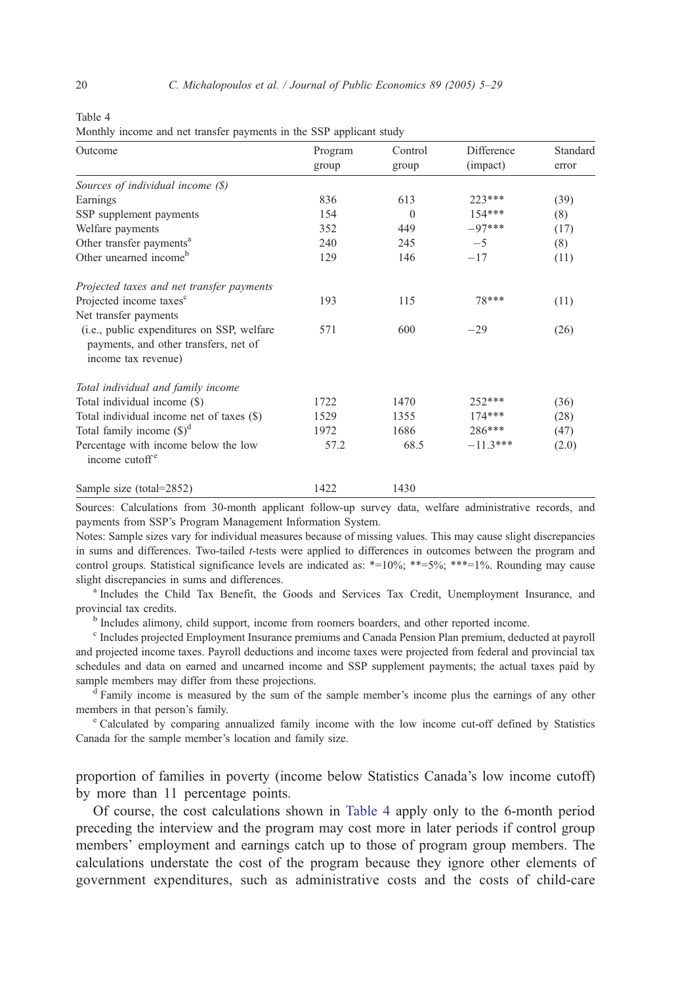Table 4

| Monthly income and net transfer payments in the SSP applicant study |  |  |  |  |  |  |  |  |
|---------------------------------------------------------------------|--|--|--|--|--|--|--|--|
|---------------------------------------------------------------------|--|--|--|--|--|--|--|--|

| Outcome                                                                                                    | Program | Control  | Difference | Standard |
|------------------------------------------------------------------------------------------------------------|---------|----------|------------|----------|
|                                                                                                            | group   | group    | (impact)   | error    |
| Sources of individual income (\$)                                                                          |         |          |            |          |
| Earnings                                                                                                   | 836     | 613      | 223***     | (39)     |
| SSP supplement payments                                                                                    | 154     | $\Omega$ | 154***     | (8)      |
| Welfare payments                                                                                           | 352     | 449      | $-97***$   | (17)     |
| Other transfer payments <sup>a</sup>                                                                       | 240     | 245      | $-5$       | (8)      |
| Other unearned income <sup>b</sup>                                                                         | 129     | 146      | $-17$      | (11)     |
| Projected taxes and net transfer payments                                                                  |         |          |            |          |
| Projected income taxes <sup>c</sup>                                                                        | 193     | 115      | 78***      | (11)     |
| Net transfer payments                                                                                      |         |          |            |          |
| (i.e., public expenditures on SSP, welfare<br>payments, and other transfers, net of<br>income tax revenue) | 571     | 600      | $-29$      | (26)     |
| Total individual and family income                                                                         |         |          |            |          |
| Total individual income (\$)                                                                               | 1722    | 1470     | $252***$   | (36)     |
| Total individual income net of taxes (\$)                                                                  | 1529    | 1355     | $174***$   | (28)     |
| Total family income $(\text{\$})^d$                                                                        | 1972    | 1686     | 286***     | (47)     |
| Percentage with income below the low<br>income cutoff <sup>e</sup>                                         | 57.2    | 68.5     | $-11.3***$ | (2.0)    |
| Sample size (total=2852)                                                                                   | 1422    | 1430     |            |          |

Sources: Calculations from 30-month applicant follow-up survey data, welfare administrative records, and payments from SSP's Program Management Information System.

Notes: Sample sizes vary for individual measures because of missing values. This may cause slight discrepancies in sums and differences. Two-tailed t-tests were applied to differences in outcomes between the program and control groups. Statistical significance levels are indicated as: \*=10%; \*\*=5%; \*\*\*=1%. Rounding may cause slight discrepancies in sums and differences.<br><sup>a</sup> Includes the Child Tax Benefit, the Goods and Services Tax Credit, Unemployment Insurance, and

provincial tax credits. <sup>b</sup> Includes alimony, child support, income from roomers boarders, and other reported income.

<sup>c</sup> Includes projected Employment Insurance premiums and Canada Pension Plan premium, deducted at payroll and projected income taxes. Payroll deductions and income taxes were projected from federal and provincial tax schedules and data on earned and unearned income and SSP supplement payments; the actual taxes paid by sample members may differ from these projections.<br><sup>d</sup> Family income is measured by the sum of the sample member's income plus the earnings of any other

members in that person's family.<br>
e Calculated by comparing annualized family income with the low income cut-off defined by Statistics

Canada for the sample member's location and family size.

proportion of families in poverty (income below Statistics Canada's low income cutoff) by more than 11 percentage points.

Of course, the cost calculations shown in Table 4 apply only to the 6-month period preceding the interview and the program may cost more in later periods if control group members' employment and earnings catch up to those of program group members. The calculations understate the cost of the program because they ignore other elements of government expenditures, such as administrative costs and the costs of child-care

<span id="page-15-0"></span>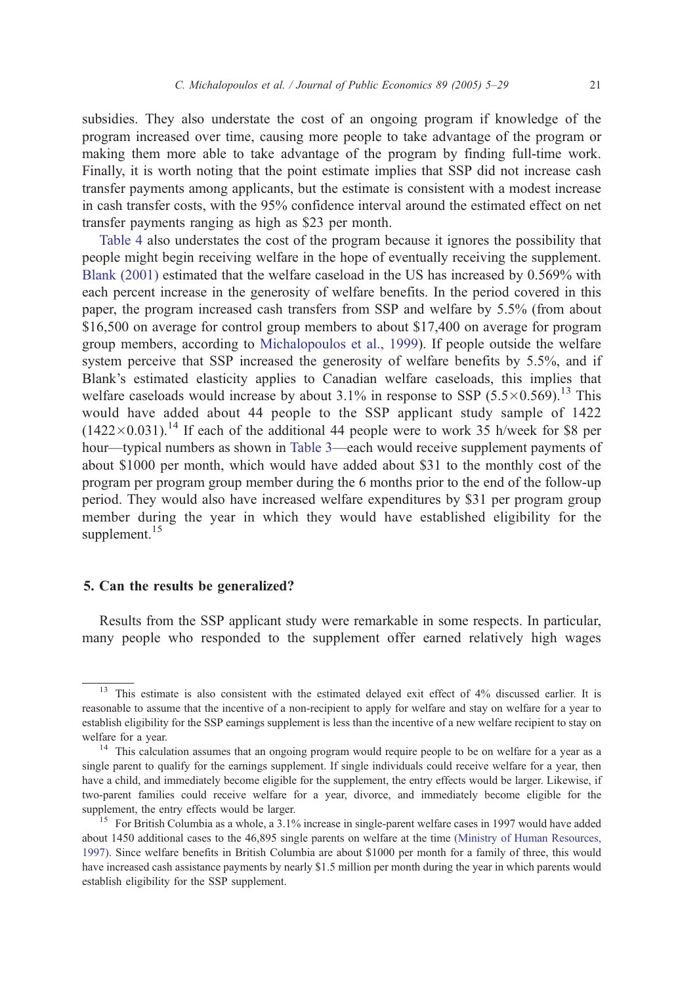subsidies. They also understate the cost of an ongoing program if knowledge of the program increased over time, causing more people to take advantage of the program or making them more able to take advantage of the program by finding full-time work. Finally, it is worth noting that the point estimate implies that SSP did not increase cash transfer payments among applicants, but the estimate is consistent with a modest increase in cash transfer costs, with the 95% confidence interval around the estimated effect on net transfer payments ranging as high as \$23 per month.

[Table 4](#page-15-0) also understates the cost of the program because it ignores the possibility that people might begin receiving welfare in the hope of eventually receiving the supplement. [Blank \(2001\)](#page-23-0) estimated that the welfare caseload in the US has increased by 0.569% with each percent increase in the generosity of welfare benefits. In the period covered in this paper, the program increased cash transfers from SSP and welfare by 5.5% (from about \$16,500 on average for control group members to about \$17,400 on average for program group members, according to [Michalopoulos et al., 1999\)](#page-23-0). If people outside the welfare system perceive that SSP increased the generosity of welfare benefits by 5.5%, and if Blank's estimated elasticity applies to Canadian welfare caseloads, this implies that welfare caseloads would increase by about 3.1% in response to SSP  $(5.5 \times 0.569)$ .<sup>13</sup> This would have added about 44 people to the SSP applicant study sample of 1422  $(1422\times0.031)$ .<sup>14</sup> If each of the additional 44 people were to work 35 h/week for \$8 per hour—typical numbers as shown in [Table 3—](#page-12-0)each would receive supplement payments of about \$1000 per month, which would have added about \$31 to the monthly cost of the program per program group member during the 6 months prior to the end of the follow-up period. They would also have increased welfare expenditures by \$31 per program group member during the year in which they would have established eligibility for the supplement. $15$ 

### 5. Can the results be generalized?

Results from the SSP applicant study were remarkable in some respects. In particular, many people who responded to the supplement offer earned relatively high wages

<sup>&</sup>lt;sup>13</sup> This estimate is also consistent with the estimated delayed exit effect of 4% discussed earlier. It is reasonable to assume that the incentive of a non-recipient to apply for welfare and stay on welfare for a year to establish eligibility for the SSP earnings supplement is less than the incentive of a new welfare recipient to stay on welfare for a year.<br><sup>14</sup> This calculation assumes that an ongoing program would require people to be on welfare for a year as a

single parent to qualify for the earnings supplement. If single individuals could receive welfare for a year, then have a child, and immediately become eligible for the supplement, the entry effects would be larger. Likewise, if two-parent families could receive welfare for a year, divorce, and immediately become eligible for the supplement, the entry effects would be larger.

<sup>&</sup>lt;sup>15</sup> For British Columbia as a whole, a 3.1% increase in single-parent welfare cases in 1997 would have added about 1450 additional cases to the 46,895 single parents on welfare at the time [\(Ministry of Human Resources,](#page-23-0) 1997). Since welfare benefits in British Columbia are about \$1000 per month for a family of three, this would have increased cash assistance payments by nearly \$1.5 million per month during the year in which parents would establish eligibility for the SSP supplement.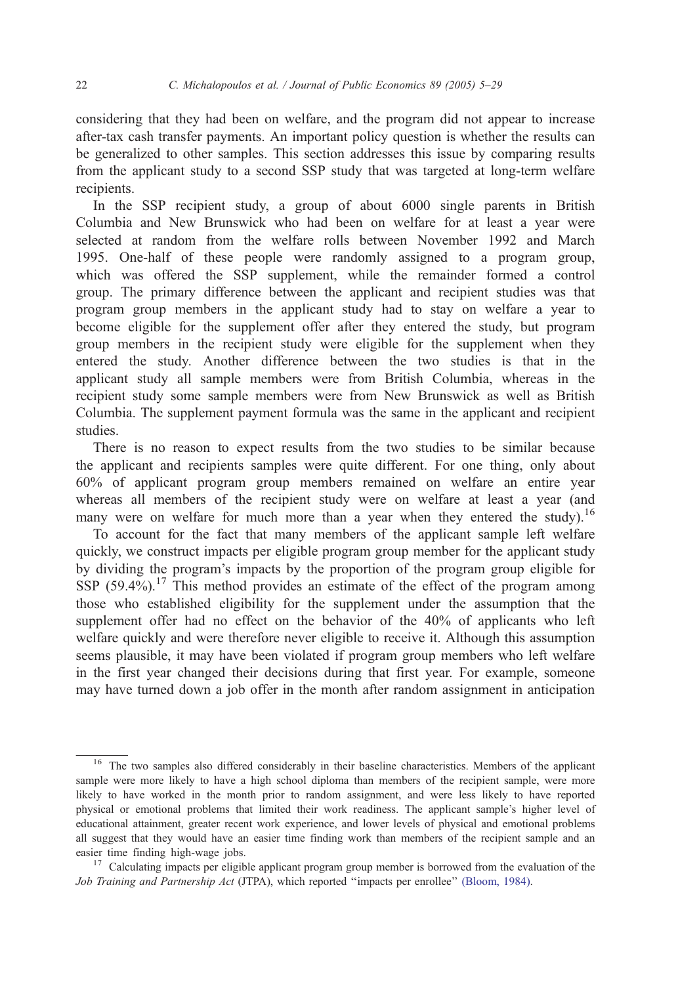considering that they had been on welfare, and the program did not appear to increase after-tax cash transfer payments. An important policy question is whether the results can be generalized to other samples. This section addresses this issue by comparing results from the applicant study to a second SSP study that was targeted at long-term welfare recipients.

In the SSP recipient study, a group of about 6000 single parents in British Columbia and New Brunswick who had been on welfare for at least a year were selected at random from the welfare rolls between November 1992 and March 1995. One-half of these people were randomly assigned to a program group, which was offered the SSP supplement, while the remainder formed a control group. The primary difference between the applicant and recipient studies was that program group members in the applicant study had to stay on welfare a year to become eligible for the supplement offer after they entered the study, but program group members in the recipient study were eligible for the supplement when they entered the study. Another difference between the two studies is that in the applicant study all sample members were from British Columbia, whereas in the recipient study some sample members were from New Brunswick as well as British Columbia. The supplement payment formula was the same in the applicant and recipient studies.

There is no reason to expect results from the two studies to be similar because the applicant and recipients samples were quite different. For one thing, only about 60% of applicant program group members remained on welfare an entire year whereas all members of the recipient study were on welfare at least a year (and many were on welfare for much more than a year when they entered the study).<sup>16</sup>

To account for the fact that many members of the applicant sample left welfare quickly, we construct impacts per eligible program group member for the applicant study by dividing the program's impacts by the proportion of the program group eligible for SSP  $(59.4\%)$ .<sup>17</sup> This method provides an estimate of the effect of the program among those who established eligibility for the supplement under the assumption that the supplement offer had no effect on the behavior of the 40% of applicants who left welfare quickly and were therefore never eligible to receive it. Although this assumption seems plausible, it may have been violated if program group members who left welfare in the first year changed their decisions during that first year. For example, someone may have turned down a job offer in the month after random assignment in anticipation

<sup>&</sup>lt;sup>16</sup> The two samples also differed considerably in their baseline characteristics. Members of the applicant sample were more likely to have a high school diploma than members of the recipient sample, were more likely to have worked in the month prior to random assignment, and were less likely to have reported physical or emotional problems that limited their work readiness. The applicant sample's higher level of educational attainment, greater recent work experience, and lower levels of physical and emotional problems all suggest that they would have an easier time finding work than members of the recipient sample and an easier time finding high-wage jobs.

<sup>&</sup>lt;sup>17</sup> Calculating impacts per eligible applicant program group member is borrowed from the evaluation of the Job Training and Partnership Act (JTPA), which reported "impacts per enrollee" [\(Bloom, 1984\).](#page-23-0)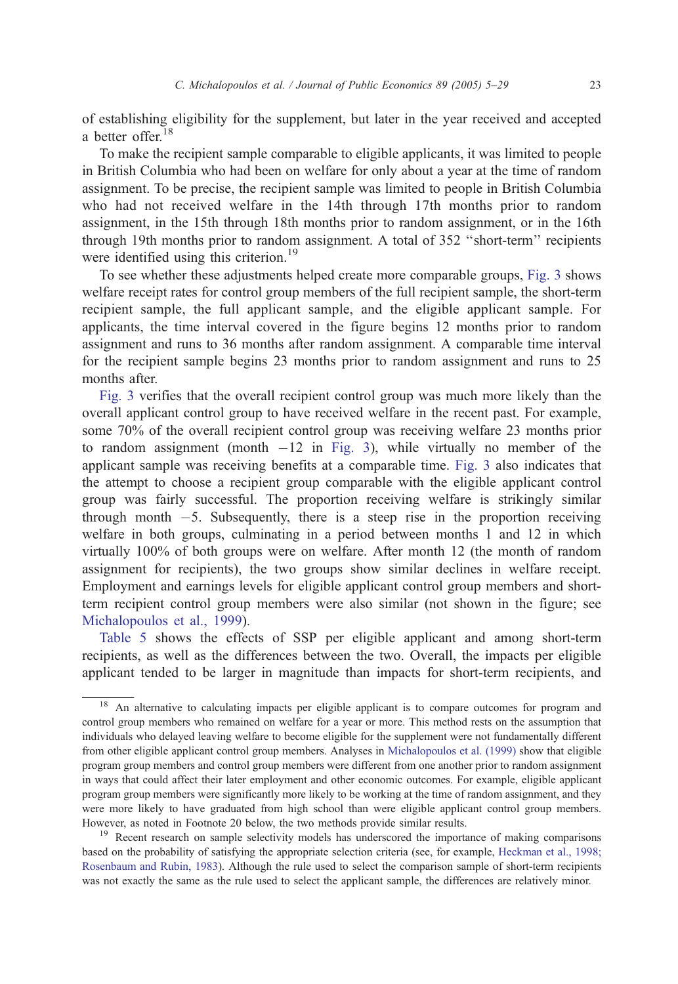of establishing eligibility for the supplement, but later in the year received and accepted a better offer.<sup>18</sup>

To make the recipient sample comparable to eligible applicants, it was limited to people in British Columbia who had been on welfare for only about a year at the time of random assignment. To be precise, the recipient sample was limited to people in British Columbia who had not received welfare in the 14th through 17th months prior to random assignment, in the 15th through 18th months prior to random assignment, or in the 16th through 19th months prior to random assignment. A total of 352 ''short-term'' recipients were identified using this criterion.<sup>19</sup>

To see whether these adjustments helped create more comparable groups, [Fig. 3](#page-19-0) shows welfare receipt rates for control group members of the full recipient sample, the short-term recipient sample, the full applicant sample, and the eligible applicant sample. For applicants, the time interval covered in the figure begins 12 months prior to random assignment and runs to 36 months after random assignment. A comparable time interval for the recipient sample begins 23 months prior to random assignment and runs to 25 months after.

[Fig. 3](#page-19-0) verifies that the overall recipient control group was much more likely than the overall applicant control group to have received welfare in the recent past. For example, some 70% of the overall recipient control group was receiving welfare 23 months prior to random assignment (month  $-12$  in [Fig. 3\)](#page-19-0), while virtually no member of the applicant sample was receiving benefits at a comparable time. [Fig. 3](#page-19-0) also indicates that the attempt to choose a recipient group comparable with the eligible applicant control group was fairly successful. The proportion receiving welfare is strikingly similar through month  $-5$ . Subsequently, there is a steep rise in the proportion receiving welfare in both groups, culminating in a period between months 1 and 12 in which virtually 100% of both groups were on welfare. After month 12 (the month of random assignment for recipients), the two groups show similar declines in welfare receipt. Employment and earnings levels for eligible applicant control group members and shortterm recipient control group members were also similar (not shown in the figure; see [Michalopoulos et al., 1999\)](#page-23-0).

[Table 5](#page-20-0) shows the effects of SSP per eligible applicant and among short-term recipients, as well as the differences between the two. Overall, the impacts per eligible applicant tended to be larger in magnitude than impacts for short-term recipients, and

<sup>&</sup>lt;sup>18</sup> An alternative to calculating impacts per eligible applicant is to compare outcomes for program and control group members who remained on welfare for a year or more. This method rests on the assumption that individuals who delayed leaving welfare to become eligible for the supplement were not fundamentally different from other eligible applicant control group members. Analyses in [Michalopoulos et al. \(1999\)](#page-23-0) show that eligible program group members and control group members were different from one another prior to random assignment in ways that could affect their later employment and other economic outcomes. For example, eligible applicant program group members were significantly more likely to be working at the time of random assignment, and they were more likely to have graduated from high school than were eligible applicant control group members. However, as noted in Footnote 20 below, the two methods provide similar results. <sup>19</sup> Recent research on sample selectivity models has underscored the importance of making comparisons

based on the probability of satisfying the appropriate selection criteria (see, for example, [Heckman et al., 1998;](#page-23-0) Rosenbaum and Rubin, 1983). Although the rule used to select the comparison sample of short-term recipients was not exactly the same as the rule used to select the applicant sample, the differences are relatively minor.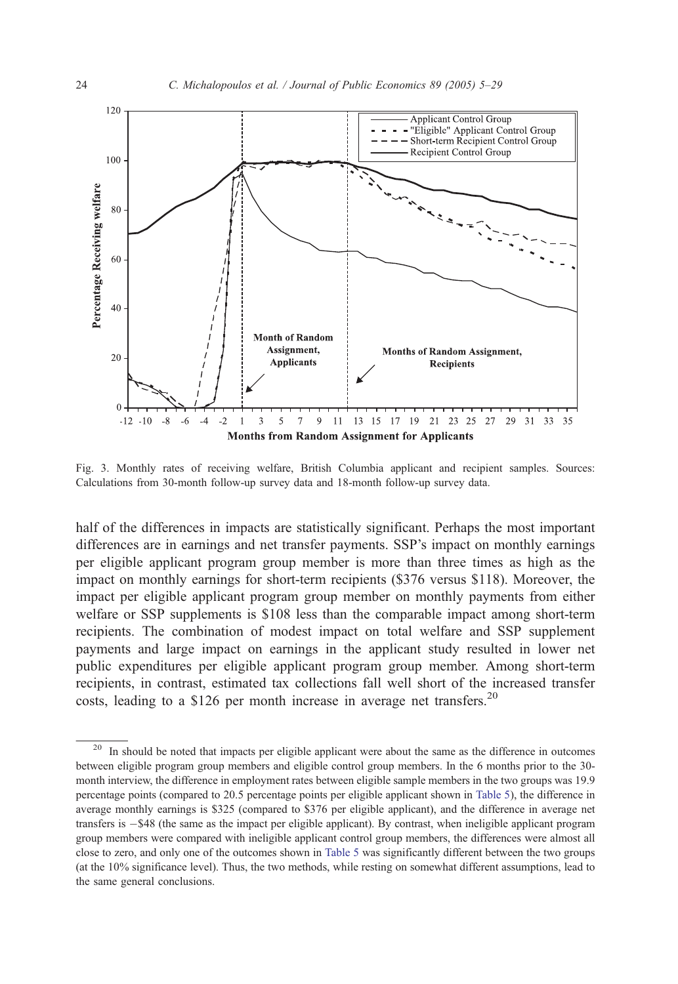<span id="page-19-0"></span>

Fig. 3. Monthly rates of receiving welfare, British Columbia applicant and recipient samples. Sources: Calculations from 30-month follow-up survey data and 18-month follow-up survey data.

half of the differences in impacts are statistically significant. Perhaps the most important differences are in earnings and net transfer payments. SSP's impact on monthly earnings per eligible applicant program group member is more than three times as high as the impact on monthly earnings for short-term recipients (\$376 versus \$118). Moreover, the impact per eligible applicant program group member on monthly payments from either welfare or SSP supplements is \$108 less than the comparable impact among short-term recipients. The combination of modest impact on total welfare and SSP supplement payments and large impact on earnings in the applicant study resulted in lower net public expenditures per eligible applicant program group member. Among short-term recipients, in contrast, estimated tax collections fall well short of the increased transfer costs, leading to a \$126 per month increase in average net transfers.<sup>20</sup>

 $\frac{20}{20}$  In should be noted that impacts per eligible applicant were about the same as the difference in outcomes between eligible program group members and eligible control group members. In the 6 months prior to the 30 month interview, the difference in employment rates between eligible sample members in the two groups was 19.9 percentage points (compared to 20.5 percentage points per eligible applicant shown in [Table 5\)](#page-20-0), the difference in average monthly earnings is \$325 (compared to \$376 per eligible applicant), and the difference in average net transfers is  $-$  \$48 (the same as the impact per eligible applicant). By contrast, when ineligible applicant program group members were compared with ineligible applicant control group members, the differences were almost all close to zero, and only one of the outcomes shown in [Table 5](#page-20-0) was significantly different between the two groups (at the 10% significance level). Thus, the two methods, while resting on somewhat different assumptions, lead to the same general conclusions.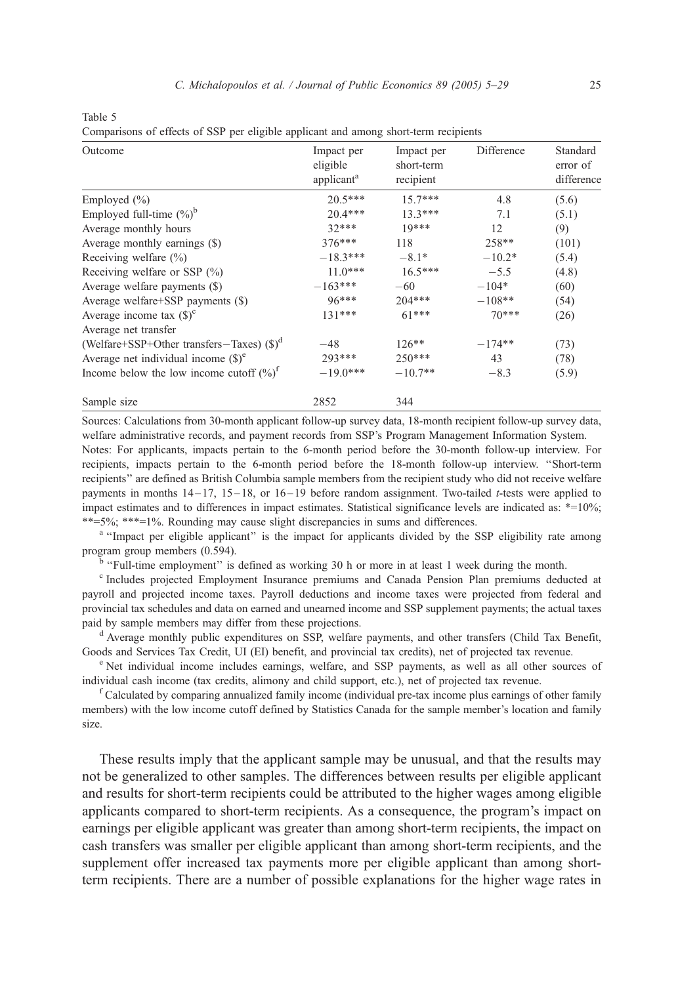<span id="page-20-0"></span>Table 5

Comparisons of effects of SSP per eligible applicant and among short-term recipients

| Outcome                                             | Impact per<br>eligible<br>applicant <sup>a</sup> | Impact per<br>short-term<br>recipient | Difference | Standard<br>error of<br>difference |
|-----------------------------------------------------|--------------------------------------------------|---------------------------------------|------------|------------------------------------|
|                                                     |                                                  |                                       |            |                                    |
| Employed $(\% )$                                    | $20.5***$                                        | $15.7***$                             | 4.8        | (5.6)                              |
| Employed full-time $(\%)^b$                         | $20.4***$                                        | $13.3***$                             | 7.1        | (5.1)                              |
| Average monthly hours                               | $32***$                                          | $19***$                               | 12         | (9)                                |
| Average monthly earnings (\$)                       | $376***$                                         | 118                                   | 258**      | (101)                              |
| Receiving welfare $(\%)$                            | $-18.3***$                                       | $-8.1*$                               | $-10.2*$   | (5.4)                              |
| Receiving welfare or SSP (%)                        | $11.0***$                                        | $16.5***$                             | $-5.5$     | (4.8)                              |
| Average welfare payments (\$)                       | $-163***$                                        | $-60$                                 | $-104*$    | (60)                               |
| Average welfare+SSP payments (\$)                   | $96***$                                          | $204***$                              | $-108**$   | (54)                               |
| Average income tax $(\text{\$})^c$                  | $131***$                                         | $61***$                               | $70***$    | (26)                               |
| Average net transfer                                |                                                  |                                       |            |                                    |
| (Welfare+SSP+Other transfers–Taxes) $(\text{\$})^d$ | $-48$                                            | $126**$                               | $-174**$   | (73)                               |
| Average net individual income $(\text{\$})^e$       | $293***$                                         | $250***$                              | 43         | (78)                               |
| Income below the low income cutoff $(\%)^f$         | $-19.0***$                                       | $-10.7**$                             | $-8.3$     | (5.9)                              |
| Sample size                                         | 2852                                             | 344                                   |            |                                    |

Sources: Calculations from 30-month applicant follow-up survey data, 18-month recipient follow-up survey data, welfare administrative records, and payment records from SSP's Program Management Information System.

Notes: For applicants, impacts pertain to the 6-month period before the 30-month follow-up interview. For recipients, impacts pertain to the 6-month period before the 18-month follow-up interview. ''Short-term recipients'' are defined as British Columbia sample members from the recipient study who did not receive welfare payments in months  $14-17$ ,  $15-18$ , or  $16-19$  before random assignment. Two-tailed *t*-tests were applied to impact estimates and to differences in impact estimates. Statistical significance levels are indicated as: \*=10%; \*\*=5%; \*\*\*=1%. Rounding may cause slight discrepancies in sums and differences. <sup>a</sup> ''Impact per eligible applicant'' is the impact for applicants divided by the SSP eligibility rate among

program group members (0.594).<br><sup>b</sup> "Full-time employment" is defined as working 30 h or more in at least 1 week during the month.

<sup>c</sup> Includes projected Employment Insurance premiums and Canada Pension Plan premiums deducted at payroll and projected income taxes. Payroll deductions and income taxes were projected from federal and provincial tax schedules and data on earned and unearned income and SSP supplement payments; the actual taxes paid by sample members may differ from these projections.<br>d Average monthly public expenditures on SSP, welfare payments, and other transfers (Child Tax Benefit,

Goods and Services Tax Credit, UI (EI) benefit, and provincial tax credits), net of projected tax revenue.

<sup>e</sup> Net individual income includes earnings, welfare, and SSP payments, as well as all other sources of individual cash income (tax credits, alimony and child support, etc.), net of projected tax revenue.

 $f$  Calculated by comparing annualized family income (individual pre-tax income plus earnings of other family members) with the low income cutoff defined by Statistics Canada for the sample member's location and family size.

These results imply that the applicant sample may be unusual, and that the results may not be generalized to other samples. The differences between results per eligible applicant and results for short-term recipients could be attributed to the higher wages among eligible applicants compared to short-term recipients. As a consequence, the program's impact on earnings per eligible applicant was greater than among short-term recipients, the impact on cash transfers was smaller per eligible applicant than among short-term recipients, and the supplement offer increased tax payments more per eligible applicant than among shortterm recipients. There are a number of possible explanations for the higher wage rates in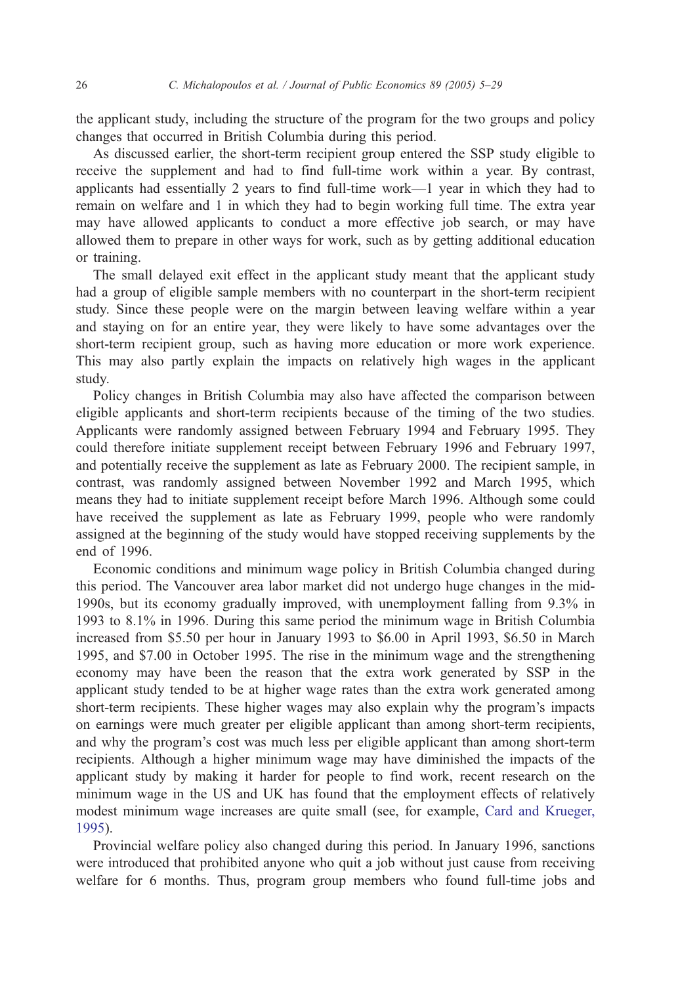the applicant study, including the structure of the program for the two groups and policy changes that occurred in British Columbia during this period.

As discussed earlier, the short-term recipient group entered the SSP study eligible to receive the supplement and had to find full-time work within a year. By contrast, applicants had essentially 2 years to find full-time work—1 year in which they had to remain on welfare and 1 in which they had to begin working full time. The extra year may have allowed applicants to conduct a more effective job search, or may have allowed them to prepare in other ways for work, such as by getting additional education or training.

The small delayed exit effect in the applicant study meant that the applicant study had a group of eligible sample members with no counterpart in the short-term recipient study. Since these people were on the margin between leaving welfare within a year and staying on for an entire year, they were likely to have some advantages over the short-term recipient group, such as having more education or more work experience. This may also partly explain the impacts on relatively high wages in the applicant study.

Policy changes in British Columbia may also have affected the comparison between eligible applicants and short-term recipients because of the timing of the two studies. Applicants were randomly assigned between February 1994 and February 1995. They could therefore initiate supplement receipt between February 1996 and February 1997, and potentially receive the supplement as late as February 2000. The recipient sample, in contrast, was randomly assigned between November 1992 and March 1995, which means they had to initiate supplement receipt before March 1996. Although some could have received the supplement as late as February 1999, people who were randomly assigned at the beginning of the study would have stopped receiving supplements by the end of 1996.

Economic conditions and minimum wage policy in British Columbia changed during this period. The Vancouver area labor market did not undergo huge changes in the mid-1990s, but its economy gradually improved, with unemployment falling from 9.3% in 1993 to 8.1% in 1996. During this same period the minimum wage in British Columbia increased from \$5.50 per hour in January 1993 to \$6.00 in April 1993, \$6.50 in March 1995, and \$7.00 in October 1995. The rise in the minimum wage and the strengthening economy may have been the reason that the extra work generated by SSP in the applicant study tended to be at higher wage rates than the extra work generated among short-term recipients. These higher wages may also explain why the program's impacts on earnings were much greater per eligible applicant than among short-term recipients, and why the program's cost was much less per eligible applicant than among short-term recipients. Although a higher minimum wage may have diminished the impacts of the applicant study by making it harder for people to find work, recent research on the minimum wage in the US and UK has found that the employment effects of relatively modest minimum wage increases are quite small (see, for example, [Card and Krueger,](#page-23-0) 1995).

Provincial welfare policy also changed during this period. In January 1996, sanctions were introduced that prohibited anyone who quit a job without just cause from receiving welfare for 6 months. Thus, program group members who found full-time jobs and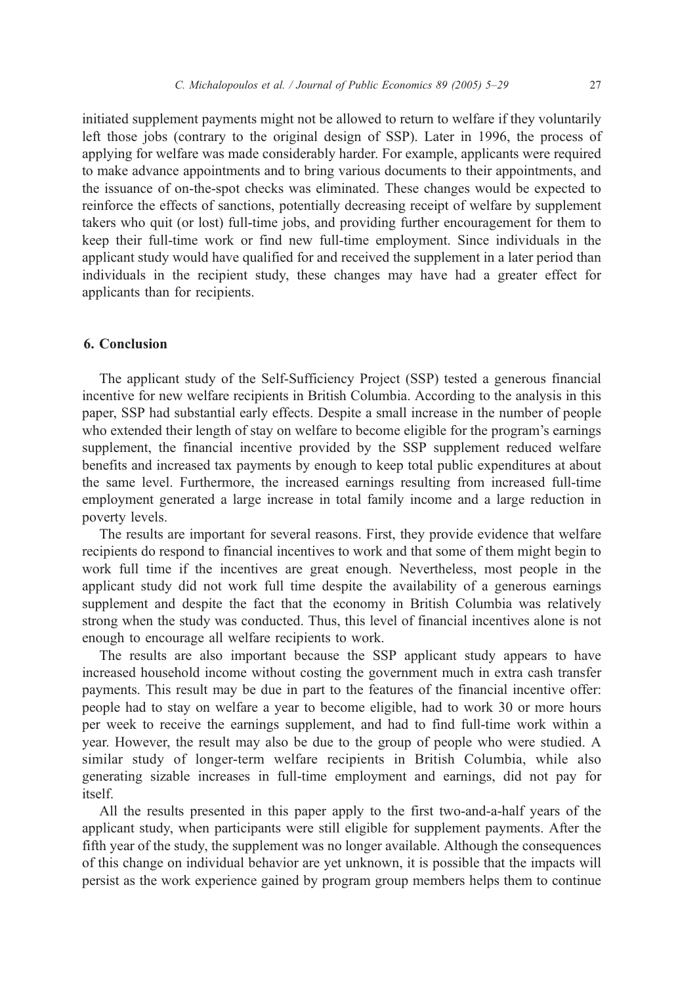initiated supplement payments might not be allowed to return to welfare if they voluntarily left those jobs (contrary to the original design of SSP). Later in 1996, the process of applying for welfare was made considerably harder. For example, applicants were required to make advance appointments and to bring various documents to their appointments, and the issuance of on-the-spot checks was eliminated. These changes would be expected to reinforce the effects of sanctions, potentially decreasing receipt of welfare by supplement takers who quit (or lost) full-time jobs, and providing further encouragement for them to keep their full-time work or find new full-time employment. Since individuals in the applicant study would have qualified for and received the supplement in a later period than individuals in the recipient study, these changes may have had a greater effect for applicants than for recipients.

#### 6. Conclusion

The applicant study of the Self-Sufficiency Project (SSP) tested a generous financial incentive for new welfare recipients in British Columbia. According to the analysis in this paper, SSP had substantial early effects. Despite a small increase in the number of people who extended their length of stay on welfare to become eligible for the program's earnings supplement, the financial incentive provided by the SSP supplement reduced welfare benefits and increased tax payments by enough to keep total public expenditures at about the same level. Furthermore, the increased earnings resulting from increased full-time employment generated a large increase in total family income and a large reduction in poverty levels.

The results are important for several reasons. First, they provide evidence that welfare recipients do respond to financial incentives to work and that some of them might begin to work full time if the incentives are great enough. Nevertheless, most people in the applicant study did not work full time despite the availability of a generous earnings supplement and despite the fact that the economy in British Columbia was relatively strong when the study was conducted. Thus, this level of financial incentives alone is not enough to encourage all welfare recipients to work.

The results are also important because the SSP applicant study appears to have increased household income without costing the government much in extra cash transfer payments. This result may be due in part to the features of the financial incentive offer: people had to stay on welfare a year to become eligible, had to work 30 or more hours per week to receive the earnings supplement, and had to find full-time work within a year. However, the result may also be due to the group of people who were studied. A similar study of longer-term welfare recipients in British Columbia, while also generating sizable increases in full-time employment and earnings, did not pay for itself.

All the results presented in this paper apply to the first two-and-a-half years of the applicant study, when participants were still eligible for supplement payments. After the fifth year of the study, the supplement was no longer available. Although the consequences of this change on individual behavior are yet unknown, it is possible that the impacts will persist as the work experience gained by program group members helps them to continue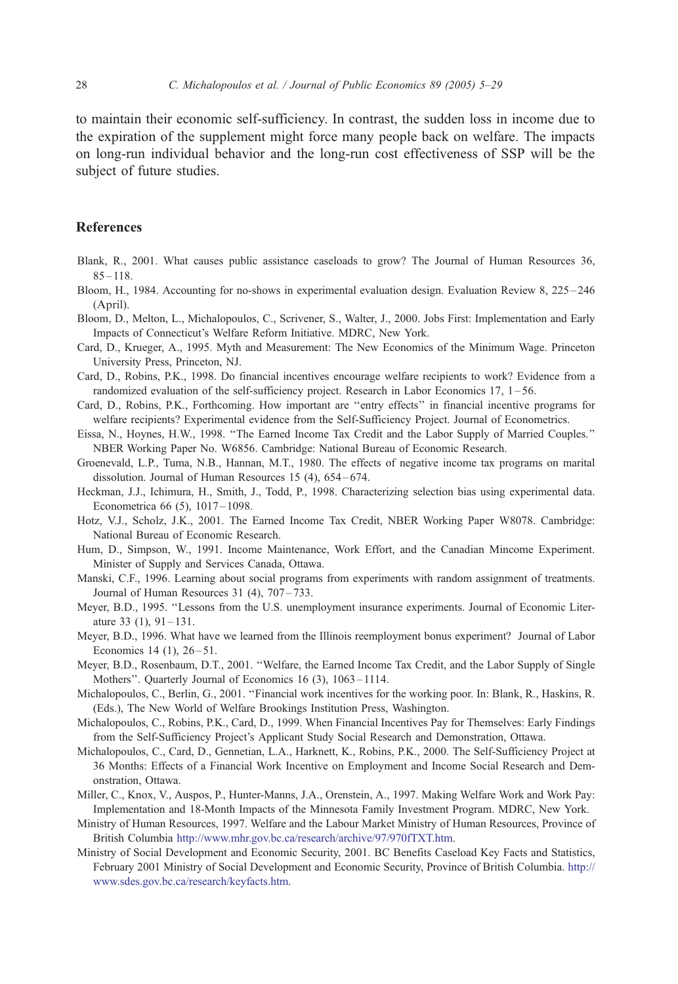<span id="page-23-0"></span>to maintain their economic self-sufficiency. In contrast, the sudden loss in income due to the expiration of the supplement might force many people back on welfare. The impacts on long-run individual behavior and the long-run cost effectiveness of SSP will be the subject of future studies.

### References

- Blank, R., 2001. What causes public assistance caseloads to grow? The Journal of Human Resources 36,  $85 - 118$ .
- Bloom, H., 1984. Accounting for no-shows in experimental evaluation design. Evaluation Review 8, 225 246 (April).
- Bloom, D., Melton, L., Michalopoulos, C., Scrivener, S., Walter, J., 2000. Jobs First: Implementation and Early Impacts of Connecticut's Welfare Reform Initiative. MDRC, New York.
- Card, D., Krueger, A., 1995. Myth and Measurement: The New Economics of the Minimum Wage. Princeton University Press, Princeton, NJ.
- Card, D., Robins, P.K., 1998. Do financial incentives encourage welfare recipients to work? Evidence from a randomized evaluation of the self-sufficiency project. Research in Labor Economics 17, 1-56.
- Card, D., Robins, P.K., Forthcoming. How important are ''entry effects'' in financial incentive programs for welfare recipients? Experimental evidence from the Self-Sufficiency Project. Journal of Econometrics.
- Eissa, N., Hoynes, H.W., 1998. ''The Earned Income Tax Credit and the Labor Supply of Married Couples.'' NBER Working Paper No. W6856. Cambridge: National Bureau of Economic Research.
- Groenevald, L.P., Tuma, N.B., Hannan, M.T., 1980. The effects of negative income tax programs on marital dissolution. Journal of Human Resources 15 (4), 654-674.
- Heckman, J.J., Ichimura, H., Smith, J., Todd, P., 1998. Characterizing selection bias using experimental data. Econometrica 66 (5), 1017-1098.
- Hotz, V.J., Scholz, J.K., 2001. The Earned Income Tax Credit, NBER Working Paper W8078. Cambridge: National Bureau of Economic Research.
- Hum, D., Simpson, W., 1991. Income Maintenance, Work Effort, and the Canadian Mincome Experiment. Minister of Supply and Services Canada, Ottawa.
- Manski, C.F., 1996. Learning about social programs from experiments with random assignment of treatments. Journal of Human Resources 31 (4), 707 – 733.
- Meyer, B.D., 1995. ''Lessons from the U.S. unemployment insurance experiments. Journal of Economic Literature 33  $(1)$ , 91 – 131.
- Meyer, B.D., 1996. What have we learned from the Illinois reemployment bonus experiment? Journal of Labor Economics 14  $(1)$ , 26 – 51.
- Meyer, B.D., Rosenbaum, D.T., 2001. ''Welfare, the Earned Income Tax Credit, and the Labor Supply of Single Mothers". Quarterly Journal of Economics 16 (3), 1063-1114.
- Michalopoulos, C., Berlin, G., 2001. ''Financial work incentives for the working poor. In: Blank, R., Haskins, R. (Eds.), The New World of Welfare Brookings Institution Press, Washington.
- Michalopoulos, C., Robins, P.K., Card, D., 1999. When Financial Incentives Pay for Themselves: Early Findings from the Self-Sufficiency Project's Applicant Study Social Research and Demonstration, Ottawa.
- Michalopoulos, C., Card, D., Gennetian, L.A., Harknett, K., Robins, P.K., 2000. The Self-Sufficiency Project at 36 Months: Effects of a Financial Work Incentive on Employment and Income Social Research and Demonstration, Ottawa.
- Miller, C., Knox, V., Auspos, P., Hunter-Manns, J.A., Orenstein, A., 1997. Making Welfare Work and Work Pay: Implementation and 18-Month Impacts of the Minnesota Family Investment Program. MDRC, New York.
- Ministry of Human Resources, 1997. Welfare and the Labour Market Ministry of [Human Resources, Province of]( http:\\www.mhr.gov.bc.ca\research\archive\97\970fTXT.htm ) British Columbia http://www.mhr.gov.bc.ca/research/archive/97/970fTXT.htm.
- Ministry of Social Development and Economic Security, 2001. BC Benefits Caseload Key Facts and Statistics, February 2001 Ministry of Social Development and Economic Security, Province of British Columbia. http:// www.sdes.gov.bc.ca/research/keyfacts.htm.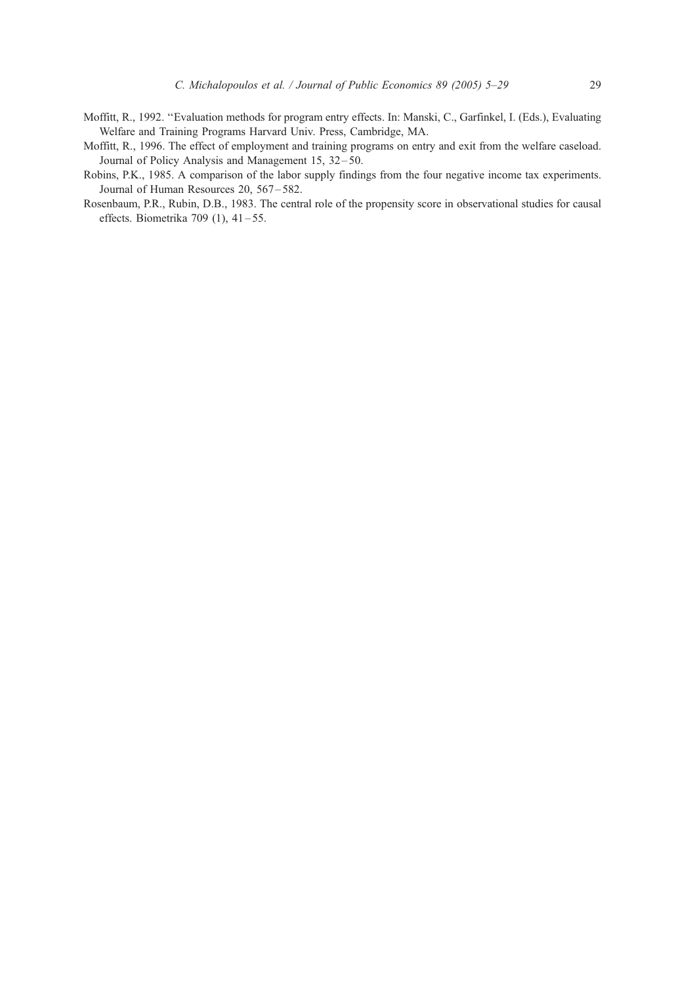- <span id="page-24-0"></span>Moffitt, R., 1992. ''Evaluation methods for program entry effects. In: Manski, C., Garfinkel, I. (Eds.), Evaluating Welfare and Training Programs Harvard Univ. Press, Cambridge, MA.
- Moffitt, R., 1996. The effect of employment and training programs on entry and exit from the welfare caseload. Journal of Policy Analysis and Management 15, 32 – 50.
- Robins, P.K., 1985. A comparison of the labor supply findings from the four negative income tax experiments. Journal of Human Resources 20, 567 – 582.
- Rosenbaum, P.R., Rubin, D.B., 1983. The central role of the propensity score in observational studies for causal effects. Biometrika 709 (1), 41-55.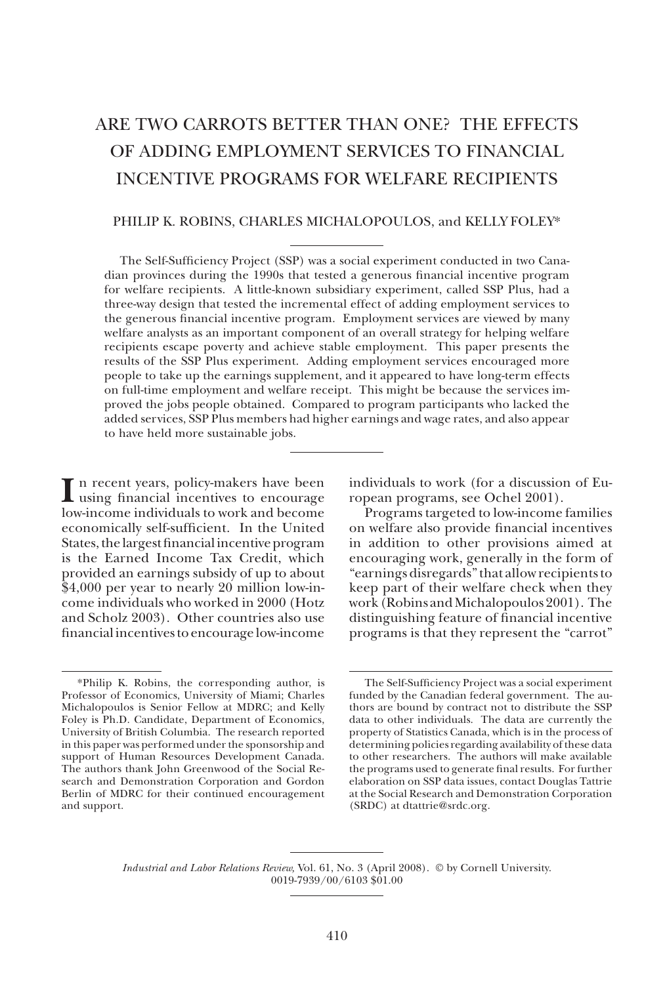# ARE TWO CARROTS BETTER THAN ONE? THE EFFECTS OF ADDING EMPLOYMENT SERVICES TO FINANCIAL INCENTIVE PROGRAMS FOR WELFARE RECIPIENTS

### PHILIP K. ROBINS, CHARLES MICHALOPOULOS, and KELLY FOLEY\*

The Self-Sufficiency Project (SSP) was a social experiment conducted in two Canadian provinces during the 1990s that tested a generous financial incentive program for welfare recipients. A little-known subsidiary experiment, called SSP Plus, had a three-way design that tested the incremental effect of adding employment services to the generous financial incentive program. Employment services are viewed by many welfare analysts as an important component of an overall strategy for helping welfare recipients escape poverty and achieve stable employment. This paper presents the results of the SSP Plus experiment. Adding employment services encouraged more people to take up the earnings supplement, and it appeared to have long-term effects on full-time employment and welfare receipt. This might be because the services improved the jobs people obtained. Compared to program participants who lacked the added services, SSP Plus members had higher earnings and wage rates, and also appear to have held more sustainable jobs.

n recent years, policy-makers have been using financial incentives to encourage In recent years, policy-makers have been<br>using financial incentives to encourage<br>low-income individuals to work and become economically self-sufficient. In the United States, the largest financial incentive program is the Earned Income Tax Credit, which provided an earnings subsidy of up to about \$4,000 per year to nearly 20 million low-income individuals who worked in 2000 (Hotz and Scholz 2003). Other countries also use financial incentives to encourage low-income

individuals to work (for a discussion of European programs, see Ochel 2001).

Programs targeted to low-income families on welfare also provide financial incentives in addition to other provisions aimed at encouraging work, generally in the form of "earnings disregards" that allow recipients to keep part of their welfare check when they work (Robins and Michalopoulos 2001). The distinguishing feature of financial incentive programs is that they represent the "carrot"

*Industrial and Labor Relations Review,* Vol. 61, No. 3 (April 2008). © by Cornell University. 0019-7939/00/6103 \$01.00

<sup>\*</sup>Philip K. Robins, the corresponding author, is Professor of Economics, University of Miami; Charles Michalopoulos is Senior Fellow at MDRC; and Kelly Foley is Ph.D. Candidate, Department of Economics, University of British Columbia. The research reported in this paper was performed under the sponsorship and support of Human Resources Development Canada. The authors thank John Greenwood of the Social Research and Demonstration Corporation and Gordon Berlin of MDRC for their continued encouragement and support.

The Self-Sufficiency Project was a social experiment funded by the Canadian federal government. The authors are bound by contract not to distribute the SSP data to other individuals. The data are currently the property of Statistics Canada, which is in the process of determining policies regarding availability of these data to other researchers. The authors will make available the programs used to generate final results. For further elaboration on SSP data issues, contact Douglas Tattrie at the Social Research and Demonstration Corporation (SRDC) at dtattrie@srdc.org.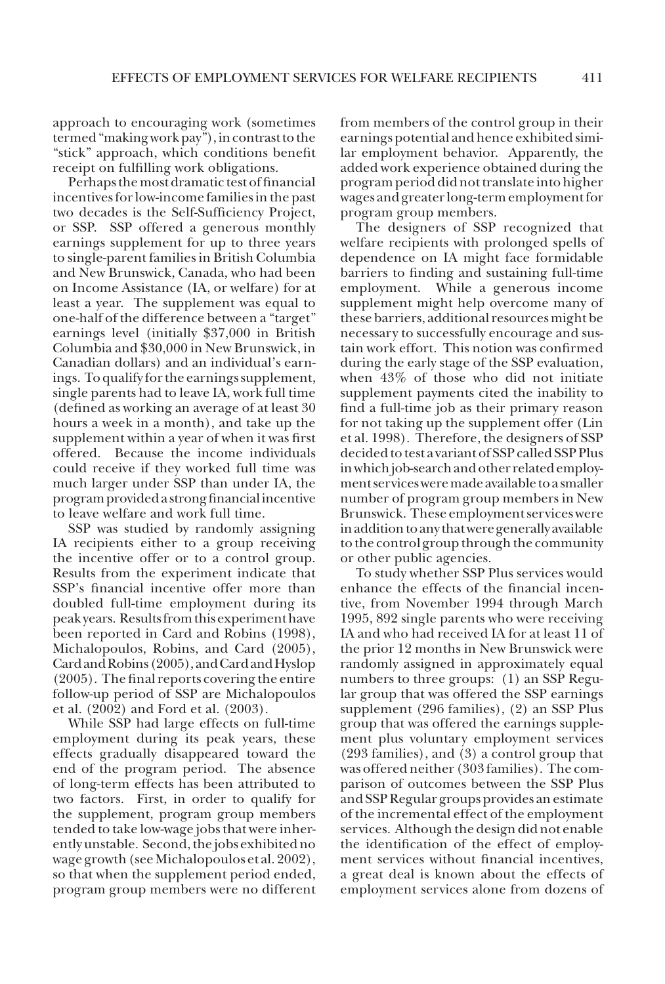approach to encouraging work (sometimes termed "making work pay"), in contrast to the "stick" approach, which conditions benefit receipt on fulfilling work obligations.

Perhaps the most dramatic test of financial incentives for low-income families in the past two decades is the Self-Sufficiency Project, or SSP. SSP offered a generous monthly earnings supplement for up to three years to single-parent families in British Columbia and New Brunswick, Canada, who had been on Income Assistance (IA, or welfare) for at least a year. The supplement was equal to one-half of the difference between a "target" earnings level (initially \$37,000 in British Columbia and \$30,000 in New Brunswick, in Canadian dollars) and an individual's earnings. To qualify for the earnings supplement, single parents had to leave IA, work full time (defined as working an average of at least 30 hours a week in a month), and take up the supplement within a year of when it was first offered. Because the income individuals could receive if they worked full time was much larger under SSP than under IA, the program provided a strong financial incentive to leave welfare and work full time.

SSP was studied by randomly assigning IA recipients either to a group receiving the incentive offer or to a control group. Results from the experiment indicate that SSP's financial incentive offer more than doubled full-time employment during its peak years. Results from this experiment have been reported in Card and Robins (1998), Michalopoulos, Robins, and Card (2005), Card and Robins (2005), and Card and Hyslop (2005). The final reports covering the entire follow-up period of SSP are Michalopoulos et al. (2002) and Ford et al. (2003).

While SSP had large effects on full-time employment during its peak years, these effects gradually disappeared toward the end of the program period. The absence of long-term effects has been attributed to two factors. First, in order to qualify for the supplement, program group members tended to take low-wage jobs that were inherently unstable. Second, the jobs exhibited no wage growth (see Michalopoulos et al. 2002), so that when the supplement period ended, program group members were no different

from members of the control group in their earnings potential and hence exhibited similar employment behavior. Apparently, the added work experience obtained during the program period did not translate into higher wages and greater long-term employment for program group members.

The designers of SSP recognized that welfare recipients with prolonged spells of dependence on IA might face formidable barriers to finding and sustaining full-time employment. While a generous income supplement might help overcome many of these barriers, additional resources might be necessary to successfully encourage and sustain work effort. This notion was confirmed during the early stage of the SSP evaluation, when 43% of those who did not initiate supplement payments cited the inability to find a full-time job as their primary reason for not taking up the supplement offer (Lin et al. 1998). Therefore, the designers of SSP decided to test a variant of SSP called SSP Plus in which job-search and other related employment services were made available to a smaller number of program group members in New Brunswick. These employment services were in addition to any that were generally available to the control group through the community or other public agencies.

To study whether SSP Plus services would enhance the effects of the financial incentive, from November 1994 through March 1995, 892 single parents who were receiving IA and who had received IA for at least 11 of the prior 12 months in New Brunswick were randomly assigned in approximately equal numbers to three groups: (1) an SSP Regular group that was offered the SSP earnings supplement (296 families), (2) an SSP Plus group that was offered the earnings supplement plus voluntary employment services (293 families), and (3) a control group that was offered neither (303 families). The comparison of outcomes between the SSP Plus and SSP Regular groups provides an estimate of the incremental effect of the employment services. Although the design did not enable the identification of the effect of employment services without financial incentives, a great deal is known about the effects of employment services alone from dozens of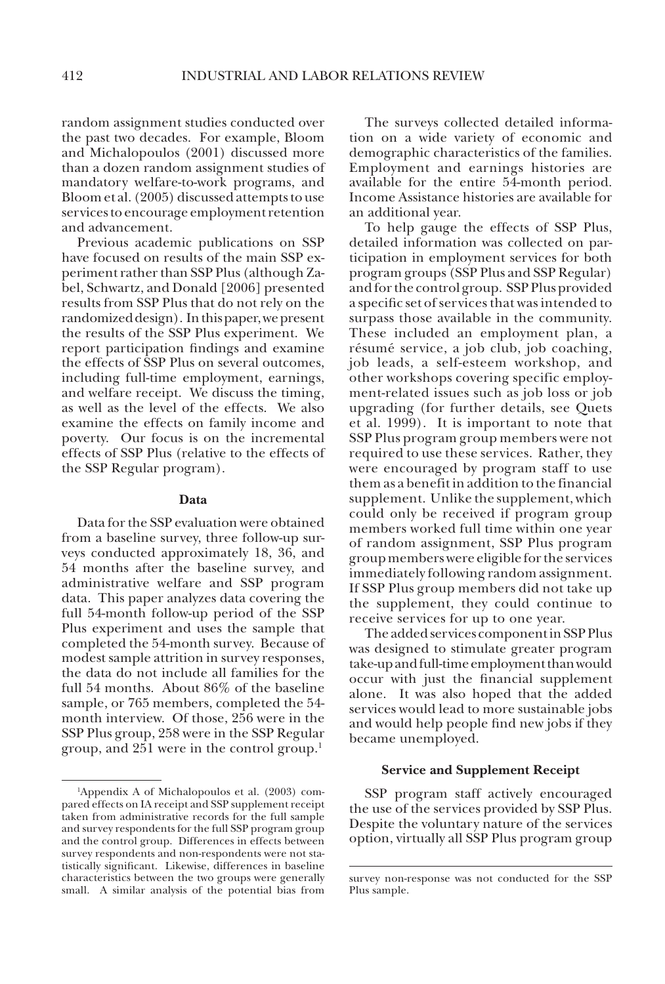random assignment studies conducted over the past two decades. For example, Bloom and Michalopoulos (2001) discussed more than a dozen random assignment studies of mandatory welfare-to-work programs, and Bloom et al. (2005) discussed attempts to use services to encourage employment retention and advancement.

Previous academic publications on SSP have focused on results of the main SSP experiment rather than SSP Plus (although Zabel, Schwartz, and Donald [2006] presented results from SSP Plus that do not rely on the randomized design). In this paper, we present the results of the SSP Plus experiment. We report participation findings and examine the effects of SSP Plus on several outcomes, including full-time employment, earnings, and welfare receipt. We discuss the timing, as well as the level of the effects. We also examine the effects on family income and poverty. Our focus is on the incremental effects of SSP Plus (relative to the effects of the SSP Regular program).

#### **Data**

Data for the SSP evaluation were obtained from a baseline survey, three follow-up surveys conducted approximately 18, 36, and 54 months after the baseline survey, and administrative welfare and SSP program data. This paper analyzes data covering the full 54-month follow-up period of the SSP Plus experiment and uses the sample that completed the 54-month survey. Because of modest sample attrition in survey responses, the data do not include all families for the full 54 months. About 86% of the baseline sample, or 765 members, completed the 54 month interview. Of those, 256 were in the SSP Plus group, 258 were in the SSP Regular group, and 251 were in the control group.1

The surveys collected detailed information on a wide variety of economic and demographic characteristics of the families. Employment and earnings histories are available for the entire 54-month period. Income Assistance histories are available for an additional year.

To help gauge the effects of SSP Plus, detailed information was collected on participation in employment services for both program groups (SSP Plus and SSP Regular) and for the control group. SSP Plus provided a specific set of services that was intended to surpass those available in the community. These included an employment plan, a résumé service, a job club, job coaching, job leads, a self-esteem workshop, and other workshops covering specific employment-related issues such as job loss or job upgrading (for further details, see Quets et al. 1999). It is important to note that SSP Plus program group members were not required to use these services. Rather, they were encouraged by program staff to use them as a benefit in addition to the financial supplement. Unlike the supplement, which could only be received if program group members worked full time within one year of random assignment, SSP Plus program group members were eligible for the services immediately following random assignment. If SSP Plus group members did not take up the supplement, they could continue to receive services for up to one year.

The added services component in SSP Plus was designed to stimulate greater program take-up and full-time employment than would occur with just the financial supplement alone. It was also hoped that the added services would lead to more sustainable jobs and would help people find new jobs if they became unemployed.

#### **Service and Supplement Receipt**

SSP program staff actively encouraged the use of the services provided by SSP Plus. Despite the voluntary nature of the services option, virtually all SSP Plus program group

<sup>1</sup> Appendix A of Michalopoulos et al. (2003) compared effects on IA receipt and SSP supplement receipt taken from administrative records for the full sample and survey respondents for the full SSP program group and the control group. Differences in effects between survey respondents and non-respondents were not statistically significant. Likewise, differences in baseline characteristics between the two groups were generally small. A similar analysis of the potential bias from

survey non-response was not conducted for the SSP Plus sample.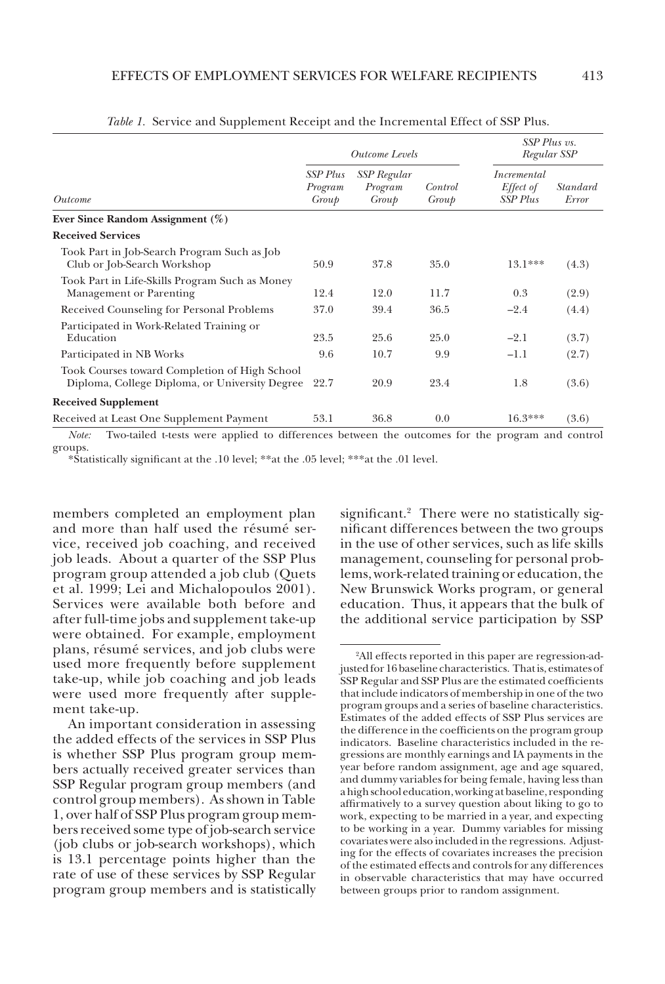|                                                                                                 |                                     | <b>Outcome</b> Levels           |                  | SSP Plus vs.<br>Regular SSP                        |                          |
|-------------------------------------------------------------------------------------------------|-------------------------------------|---------------------------------|------------------|----------------------------------------------------|--------------------------|
| Outcome                                                                                         | <b>SSP</b> Plus<br>Program<br>Group | SSP Regular<br>Program<br>Group | Control<br>Group | Incremental<br><i>Effect of</i><br><b>SSP Plus</b> | <i>Standard</i><br>Error |
| Ever Since Random Assignment $(\%)$                                                             |                                     |                                 |                  |                                                    |                          |
| <b>Received Services</b>                                                                        |                                     |                                 |                  |                                                    |                          |
| Took Part in Job-Search Program Such as Job<br>Club or Job-Search Workshop                      | 50.9                                | 37.8                            | 35.0             | $13.1***$                                          | (4.3)                    |
| Took Part in Life-Skills Program Such as Money<br>Management or Parenting                       | 12.4                                | 12.0                            | 11.7             | 0.3                                                | (2.9)                    |
| Received Counseling for Personal Problems                                                       | 37.0                                | 39.4                            | 36.5             | $-2.4$                                             | (4.4)                    |
| Participated in Work-Related Training or<br>Education                                           | 23.5                                | 25.6                            | 25.0             | $-2.1$                                             | (3.7)                    |
| Participated in NB Works                                                                        | 9.6                                 | 10.7                            | 9.9              | $-1.1$                                             | (2.7)                    |
| Took Courses toward Completion of High School<br>Diploma, College Diploma, or University Degree | 22.7                                | 20.9                            | 23.4             | 1.8                                                | (3.6)                    |
| <b>Received Supplement</b>                                                                      |                                     |                                 |                  |                                                    |                          |
| Received at Least One Supplement Payment                                                        | 53.1                                | 36.8                            | 0.0              | $16.3***$                                          | (3.6)                    |

*Table 1.* Service and Supplement Receipt and the Incremental Effect of SSP Plus.

*Note:* Two-tailed t-tests were applied to differences between the outcomes for the program and control groups.

\*Statistically significant at the .10 level; \*\*at the .05 level; \*\*\*at the .01 level.

members completed an employment plan and more than half used the résumé service, received job coaching, and received job leads. About a quarter of the SSP Plus program group attended a job club (Quets et al. 1999; Lei and Michalopoulos 2001). Services were available both before and after full-time jobs and supplement take-up were obtained. For example, employment plans, résumé services, and job clubs were used more frequently before supplement take-up, while job coaching and job leads were used more frequently after supplement take-up.

An important consideration in assessing the added effects of the services in SSP Plus is whether SSP Plus program group members actually received greater services than SSP Regular program group members (and control group members). As shown in Table 1, over half of SSP Plus program group members received some type of job-search service (job clubs or job-search workshops), which is 13.1 percentage points higher than the rate of use of these services by SSP Regular program group members and is statistically

significant.<sup>2</sup> There were no statistically significant differences between the two groups in the use of other services, such as life skills management, counseling for personal problems, work-related training or education, the New Brunswick Works program, or general education. Thus, it appears that the bulk of the additional service participation by SSP

<sup>2</sup> All effects reported in this paper are regression-adjusted for 16 baseline characteristics. That is, estimates of SSP Regular and SSP Plus are the estimated coefficients that include indicators of membership in one of the two program groups and a series of baseline characteristics. Estimates of the added effects of SSP Plus services are the difference in the coefficients on the program group indicators. Baseline characteristics included in the regressions are monthly earnings and IA payments in the year before random assignment, age and age squared, and dummy variables for being female, having less than a high school education, working at baseline, responding affirmatively to a survey question about liking to go to work, expecting to be married in a year, and expecting to be working in a year. Dummy variables for missing covariates were also included in the regressions. Adjusting for the effects of covariates increases the precision of the estimated effects and controls for any differences in observable characteristics that may have occurred between groups prior to random assignment.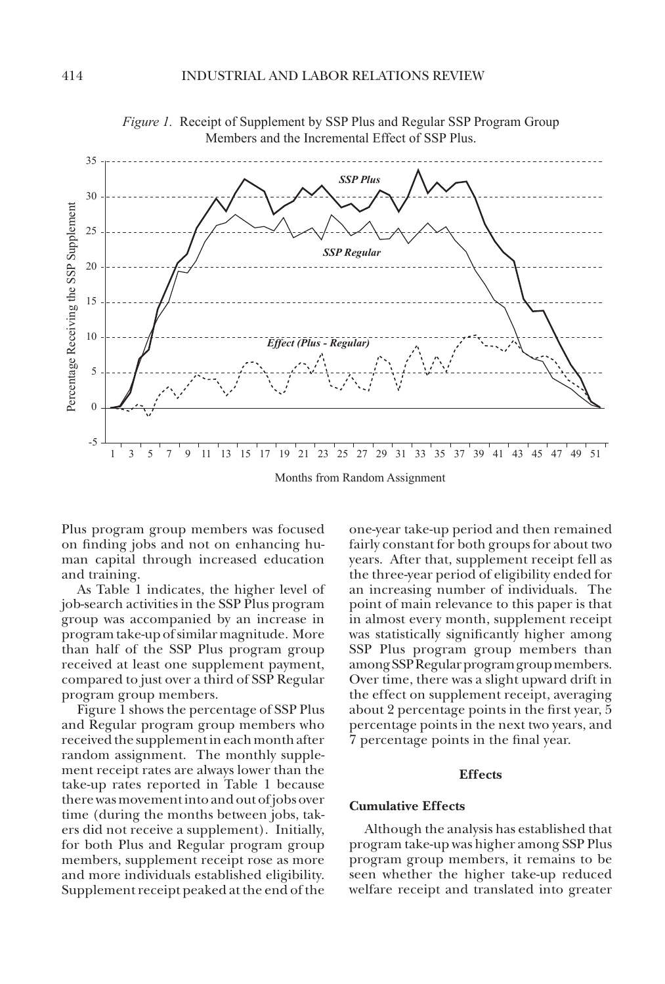

*Figure 1.* Receipt of Supplement by SSP Plus and Regular SSP Program Group Members and the Incremental Effect of SSP Plus.

Plus program group members was focused on finding jobs and not on enhancing human capital through increased education and training.

As Table 1 indicates, the higher level of job-search activities in the SSP Plus program group was accompanied by an increase in program take-up of similar magnitude. More than half of the SSP Plus program group received at least one supplement payment, compared to just over a third of SSP Regular program group members.

Figure 1 shows the percentage of SSP Plus and Regular program group members who received the supplement in each month after random assignment. The monthly supplement receipt rates are always lower than the take-up rates reported in Table 1 because there was movement into and out of jobs over time (during the months between jobs, takers did not receive a supplement). Initially, for both Plus and Regular program group members, supplement receipt rose as more and more individuals established eligibility. Supplement receipt peaked at the end of the

one-year take-up period and then remained fairly constant for both groups for about two years. After that, supplement receipt fell as the three-year period of eligibility ended for an increasing number of individuals. The point of main relevance to this paper is that in almost every month, supplement receipt was statistically significantly higher among SSP Plus program group members than among SSP Regular program group members. Over time, there was a slight upward drift in the effect on supplement receipt, averaging about 2 percentage points in the first year, 5 percentage points in the next two years, and 7 percentage points in the final year.

### **Effects**

### **Cumulative Effects**

Although the analysis has established that program take-up was higher among SSP Plus program group members, it remains to be seen whether the higher take-up reduced welfare receipt and translated into greater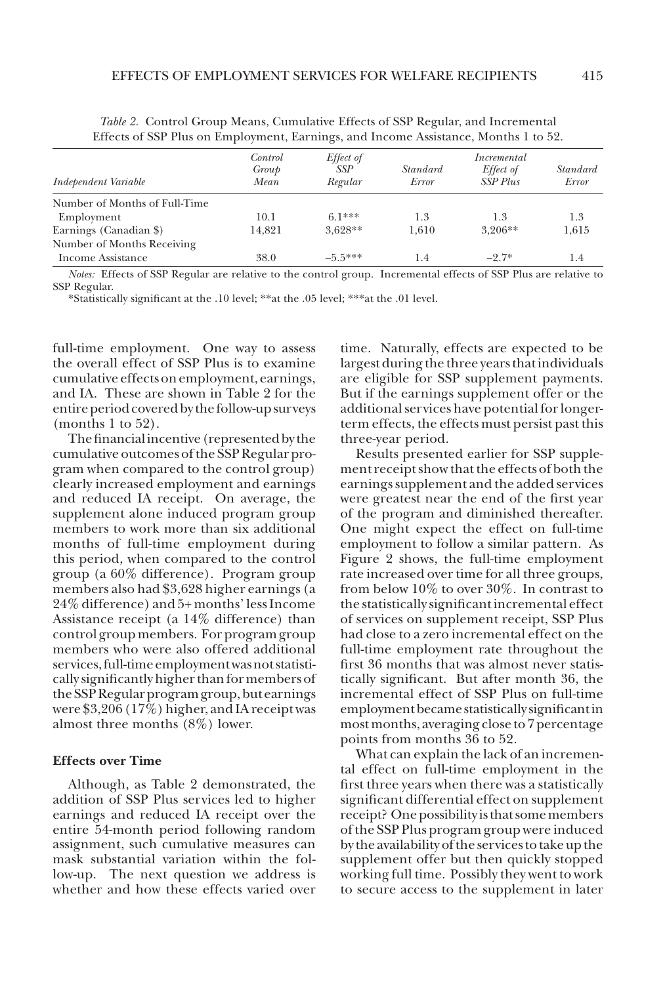| Independent Variable          | Control<br>Group<br>Mean | <i>Effect of</i><br><i>SSP</i><br>Regular | <i>Standard</i><br>Error | Incremental<br><i>Effect of</i><br><b>SSP</b> Plus | <i>Standard</i><br>Error |
|-------------------------------|--------------------------|-------------------------------------------|--------------------------|----------------------------------------------------|--------------------------|
| Number of Months of Full-Time |                          |                                           |                          |                                                    |                          |
| Employment                    | 10.1                     | $6.1***$                                  | 1.3                      | 1.3                                                | 1.3                      |
| Earnings (Canadian \$)        | 14.821                   | $3.628**$                                 | 1,610                    | $3,206**$                                          | 1,615                    |
| Number of Months Receiving    |                          |                                           |                          |                                                    |                          |
| Income Assistance             | 38.0                     | $-5.5***$                                 | 1.4                      | $-9.7*$                                            | 1.4                      |

*Table 2.* Control Group Means, Cumulative Effects of SSP Regular, and Incremental Effects of SSP Plus on Employment, Earnings, and Income Assistance, Months 1 to 52.

*Notes:* Effects of SSP Regular are relative to the control group. Incremental effects of SSP Plus are relative to SSP Regular.

\*Statistically significant at the .10 level; \*\*at the .05 level; \*\*\*at the .01 level.

full-time employment. One way to assess the overall effect of SSP Plus is to examine cumulative effects on employment, earnings, and IA. These are shown in Table 2 for the entire period covered by the follow-up surveys (months 1 to 52).

The financial incentive (represented by the cumulative outcomes of the SSP Regular program when compared to the control group) clearly increased employment and earnings and reduced IA receipt. On average, the supplement alone induced program group members to work more than six additional months of full-time employment during this period, when compared to the control group (a 60% difference). Program group members also had \$3,628 higher earnings (a 24% difference) and 5+ months' less Income Assistance receipt (a 14% difference) than control group members. For program group members who were also offered additional services, full-time employment was not statistically significantly higher than for members of the SSP Regular program group, but earnings were \$3,206 (17%) higher, and IA receipt was almost three months (8%) lower.

### **Effects over Time**

Although, as Table 2 demonstrated, the addition of SSP Plus services led to higher earnings and reduced IA receipt over the entire 54-month period following random assignment, such cumulative measures can mask substantial variation within the follow-up. The next question we address is whether and how these effects varied over

time. Naturally, effects are expected to be largest during the three years that individuals are eligible for SSP supplement payments. But if the earnings supplement offer or the additional services have potential for longerterm effects, the effects must persist past this three-year period.

Results presented earlier for SSP supplement receipt show that the effects of both the earnings supplement and the added services were greatest near the end of the first year of the program and diminished thereafter. One might expect the effect on full-time employment to follow a similar pattern. As Figure 2 shows, the full-time employment rate increased over time for all three groups, from below 10% to over 30%. In contrast to the statistically significant incremental effect of services on supplement receipt, SSP Plus had close to a zero incremental effect on the full-time employment rate throughout the first 36 months that was almost never statistically significant. But after month 36, the incremental effect of SSP Plus on full-time employment became statistically significant in most months, averaging close to 7 percentage points from months 36 to 52.

What can explain the lack of an incremental effect on full-time employment in the first three years when there was a statistically significant differential effect on supplement receipt? One possibility is that some members of the SSP Plus program group were induced by the availability of the services to take up the supplement offer but then quickly stopped working full time. Possibly they went to work to secure access to the supplement in later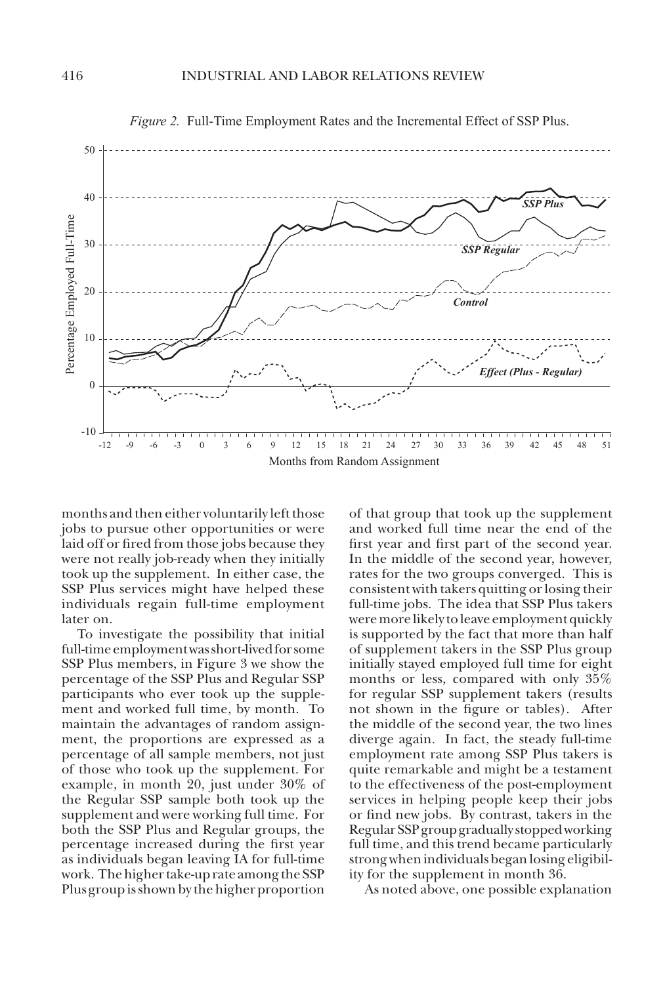

*Figure 2.* Full-Time Employment Rates and the Incremental Effect of SSP Plus.

months and then either voluntarily left those jobs to pursue other opportunities or were laid off or fired from those jobs because they were not really job-ready when they initially took up the supplement. In either case, the SSP Plus services might have helped these individuals regain full-time employment later on.

To investigate the possibility that initial full-time employment was short-lived for some SSP Plus members, in Figure 3 we show the percentage of the SSP Plus and Regular SSP participants who ever took up the supplement and worked full time, by month. To maintain the advantages of random assignment, the proportions are expressed as a percentage of all sample members, not just of those who took up the supplement. For example, in month 20, just under 30% of the Regular SSP sample both took up the supplement and were working full time. For both the SSP Plus and Regular groups, the percentage increased during the first year as individuals began leaving IA for full-time work. The higher take-up rate among the SSP Plus group is shown by the higher proportion

of that group that took up the supplement and worked full time near the end of the first year and first part of the second year. In the middle of the second year, however, rates for the two groups converged. This is consistent with takers quitting or losing their full-time jobs. The idea that SSP Plus takers were more likely to leave employment quickly is supported by the fact that more than half of supplement takers in the SSP Plus group initially stayed employed full time for eight months or less, compared with only 35% for regular SSP supplement takers (results not shown in the figure or tables). After the middle of the second year, the two lines diverge again. In fact, the steady full-time employment rate among SSP Plus takers is quite remarkable and might be a testament to the effectiveness of the post-employment services in helping people keep their jobs or find new jobs. By contrast, takers in the Regular SSP group gradually stopped working full time, and this trend became particularly strong when individuals began losing eligibility for the supplement in month 36.

As noted above, one possible explanation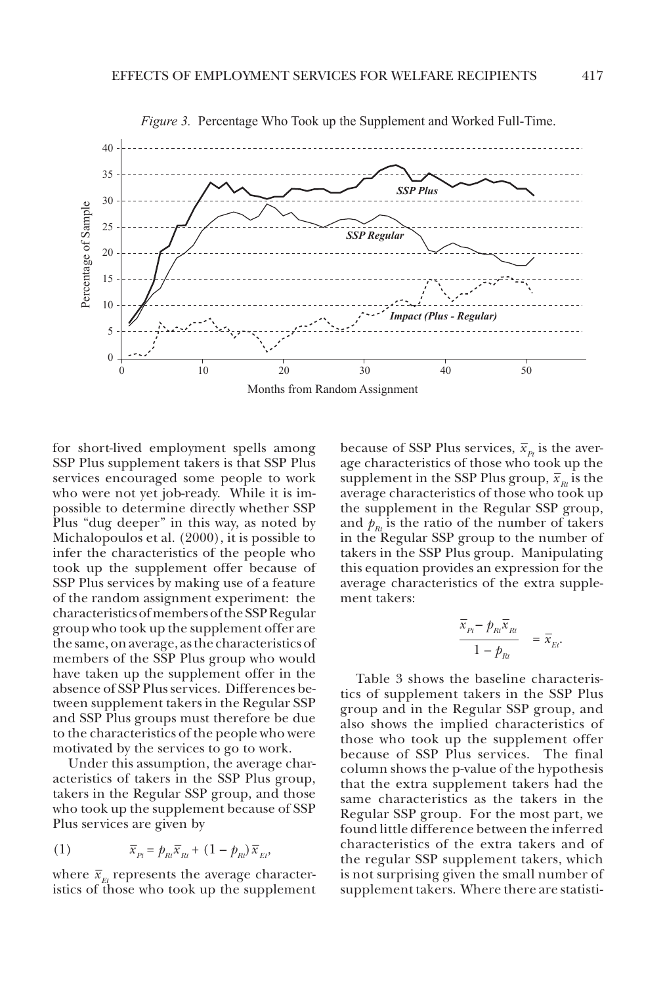

*Figure 3.* Percentage Who Took up the Supplement and Worked Full-Time.

for short-lived employment spells among SSP Plus supplement takers is that SSP Plus services encouraged some people to work who were not yet job-ready. While it is impossible to determine directly whether SSP Plus "dug deeper" in this way, as noted by Michalopoulos et al. (2000), it is possible to infer the characteristics of the people who took up the supplement offer because of SSP Plus services by making use of a feature of the random assignment experiment: the characteristics of members of the SSP Regular group who took up the supplement offer are the same, on average, as the characteristics of members of the SSP Plus group who would have taken up the supplement offer in the absence of SSP Plus services. Differences between supplement takers in the Regular SSP and SSP Plus groups must therefore be due to the characteristics of the people who were motivated by the services to go to work.

Under this assumption, the average characteristics of takers in the SSP Plus group, takers in the Regular SSP group, and those who took up the supplement because of SSP Plus services are given by

$$
(1) \qquad \qquad \overline{x}_{p_l} = p_{Rl} \overline{x}_{Rl} + (1 - p_{Rl}) \overline{x}_{El},
$$

where  $\bar{x}_{E}$  represents the average characteristics of those who took up the supplement

because of SSP Plus services,  $\bar{x}_p$  is the average characteristics of those who took up the supplement in the SSP Plus group,  $\bar{x}_h$  is the average characteristics of those who took up the supplement in the Regular SSP group, and  $p_{\text{R}}$  is the ratio of the number of takers in the Regular SSP group to the number of takers in the SSP Plus group. Manipulating this equation provides an expression for the average characteristics of the extra supplement takers:

$$
\frac{\overline{x}_{p_l} - p_{Rl}\overline{x}_{Rl}}{1 - p_{Rl}} = \overline{x}_{Et}.
$$

Table 3 shows the baseline characteristics of supplement takers in the SSP Plus group and in the Regular SSP group, and also shows the implied characteristics of those who took up the supplement offer because of SSP Plus services. The final column shows the p-value of the hypothesis that the extra supplement takers had the same characteristics as the takers in the Regular SSP group. For the most part, we found little difference between the inferred characteristics of the extra takers and of the regular SSP supplement takers, which is not surprising given the small number of supplement takers. Where there are statisti-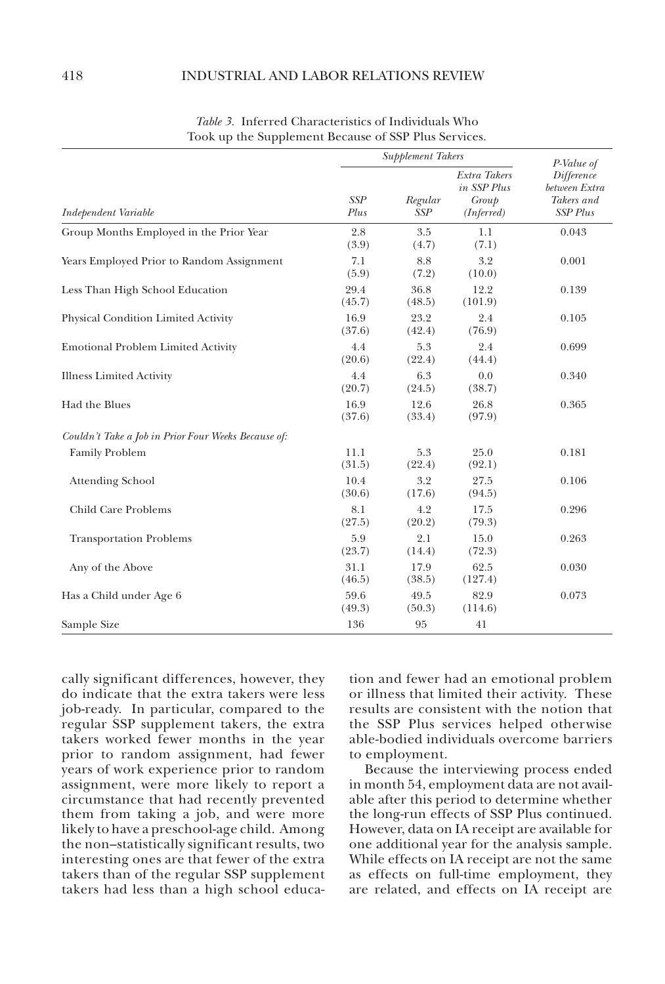|                                                     |                    | <b>Supplement Takers</b> |                                                    | P-Value of                                                   |
|-----------------------------------------------------|--------------------|--------------------------|----------------------------------------------------|--------------------------------------------------------------|
| Independent Variable                                | <b>SSP</b><br>Plus | Regular<br><b>SSP</b>    | Extra Takers<br>in SSP Plus<br>Group<br>(Inferred) | Difference<br>between Extra<br>Takers and<br><b>SSP Plus</b> |
| Group Months Employed in the Prior Year             | 2.8<br>(3.9)       | 3.5<br>(4.7)             | 1.1<br>(7.1)                                       | 0.043                                                        |
| Years Employed Prior to Random Assignment           | 7.1<br>(5.9)       | 8.8<br>(7.2)             | 3.2<br>(10.0)                                      | 0.001                                                        |
| Less Than High School Education                     | 29.4<br>(45.7)     | 36.8<br>(48.5)           | 12.2<br>(101.9)                                    | 0.139                                                        |
| Physical Condition Limited Activity                 | 16.9<br>(37.6)     | 23.2<br>(42.4)           | 2.4<br>(76.9)                                      | 0.105                                                        |
| <b>Emotional Problem Limited Activity</b>           | 4.4<br>(20.6)      | 5.3<br>(22.4)            | 2.4<br>(44.4)                                      | 0.699                                                        |
| <b>Illness Limited Activity</b>                     | 4.4<br>(20.7)      | 6.3<br>(24.5)            | 0.0<br>(38.7)                                      | 0.340                                                        |
| Had the Blues                                       | 16.9<br>(37.6)     | 12.6<br>(33.4)           | 26.8<br>(97.9)                                     | 0.365                                                        |
| Couldn't Take a Job in Prior Four Weeks Because of: |                    |                          |                                                    |                                                              |
| <b>Family Problem</b>                               | 11.1<br>(31.5)     | 5.3<br>(22.4)            | 25.0<br>(92.1)                                     | 0.181                                                        |
| Attending School                                    | 10.4<br>(30.6)     | 3.2<br>(17.6)            | 27.5<br>(94.5)                                     | 0.106                                                        |
| Child Care Problems                                 | 8.1<br>(27.5)      | 4.2<br>(20.2)            | 17.5<br>(79.3)                                     | 0.296                                                        |
| <b>Transportation Problems</b>                      | 5.9<br>(23.7)      | 2.1<br>(14.4)            | 15.0<br>(72.3)                                     | 0.263                                                        |
| Any of the Above                                    | 31.1<br>(46.5)     | 17.9<br>(38.5)           | 62.5<br>(127.4)                                    | 0.030                                                        |
| Has a Child under Age 6                             | 59.6<br>(49.3)     | 49.5<br>(50.3)           | 82.9<br>(114.6)                                    | 0.073                                                        |
| Sample Size                                         | 136                | 95                       | 41                                                 |                                                              |

*Table 3.* Inferred Characteristics of Individuals Who Took up the Supplement Because of SSP Plus Services.

cally significant differences, however, they do indicate that the extra takers were less job-ready. In particular, compared to the regular SSP supplement takers, the extra takers worked fewer months in the year prior to random assignment, had fewer years of work experience prior to random assignment, were more likely to report a circumstance that had recently prevented them from taking a job, and were more likely to have a preschool-age child. Among the non–statistically significant results, two interesting ones are that fewer of the extra takers than of the regular SSP supplement takers had less than a high school educa-

tion and fewer had an emotional problem or illness that limited their activity. These results are consistent with the notion that the SSP Plus services helped otherwise able-bodied individuals overcome barriers to employment.

Because the interviewing process ended in month 54, employment data are not available after this period to determine whether the long-run effects of SSP Plus continued. However, data on IA receipt are available for one additional year for the analysis sample. While effects on IA receipt are not the same as effects on full-time employment, they are related, and effects on IA receipt are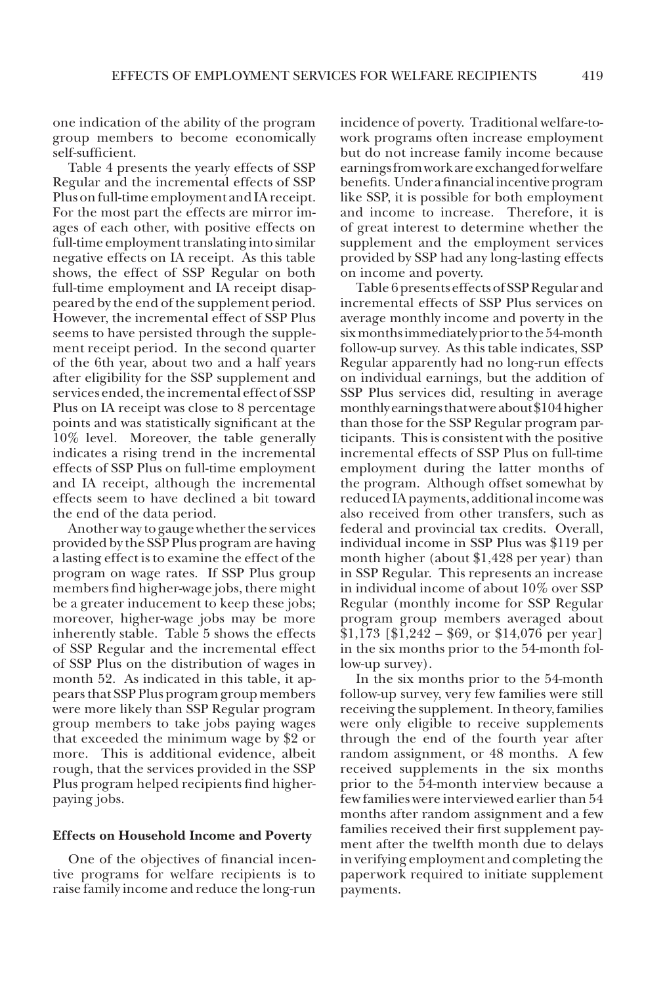one indication of the ability of the program group members to become economically self-sufficient.

Table 4 presents the yearly effects of SSP Regular and the incremental effects of SSP Plus on full-time employment and IA receipt. For the most part the effects are mirror images of each other, with positive effects on full-time employment translating into similar negative effects on IA receipt. As this table shows, the effect of SSP Regular on both full-time employment and IA receipt disappeared by the end of the supplement period. However, the incremental effect of SSP Plus seems to have persisted through the supplement receipt period. In the second quarter of the 6th year, about two and a half years after eligibility for the SSP supplement and services ended, the incremental effect of SSP Plus on IA receipt was close to 8 percentage points and was statistically significant at the 10% level. Moreover, the table generally indicates a rising trend in the incremental effects of SSP Plus on full-time employment and IA receipt, although the incremental effects seem to have declined a bit toward the end of the data period.

Another way to gauge whether the services provided by the SSP Plus program are having a lasting effect is to examine the effect of the program on wage rates. If SSP Plus group members find higher-wage jobs, there might be a greater inducement to keep these jobs; moreover, higher-wage jobs may be more inherently stable. Table 5 shows the effects of SSP Regular and the incremental effect of SSP Plus on the distribution of wages in month 52. As indicated in this table, it appears that SSP Plus program group members were more likely than SSP Regular program group members to take jobs paying wages that exceeded the minimum wage by \$2 or more. This is additional evidence, albeit rough, that the services provided in the SSP Plus program helped recipients find higherpaying jobs.

#### **Effects on Household Income and Poverty**

One of the objectives of financial incentive programs for welfare recipients is to raise family income and reduce the long-run

incidence of poverty. Traditional welfare-towork programs often increase employment but do not increase family income because earnings from work are exchanged for welfare benefits. Under a financial incentive program like SSP, it is possible for both employment and income to increase. Therefore, it is of great interest to determine whether the supplement and the employment services provided by SSP had any long-lasting effects on income and poverty.

Table 6 presents effects of SSP Regular and incremental effects of SSP Plus services on average monthly income and poverty in the six months immediately prior to the 54-month follow-up survey. As this table indicates, SSP Regular apparently had no long-run effects on individual earnings, but the addition of SSP Plus services did, resulting in average monthly earnings that were about \$104 higher than those for the SSP Regular program participants. This is consistent with the positive incremental effects of SSP Plus on full-time employment during the latter months of the program. Although offset somewhat by reduced IA payments, additional income was also received from other transfers, such as federal and provincial tax credits. Overall, individual income in SSP Plus was \$119 per month higher (about \$1,428 per year) than in SSP Regular. This represents an increase in individual income of about 10% over SSP Regular (monthly income for SSP Regular program group members averaged about  $$1,173$  [ $$1,242 - $69$ , or  $$14,076$  per year] in the six months prior to the 54-month follow-up survey).

In the six months prior to the 54-month follow-up survey, very few families were still receiving the supplement. In theory, families were only eligible to receive supplements through the end of the fourth year after random assignment, or 48 months. A few received supplements in the six months prior to the 54-month interview because a few families were interviewed earlier than 54 months after random assignment and a few families received their first supplement payment after the twelfth month due to delays in verifying employment and completing the paperwork required to initiate supplement payments.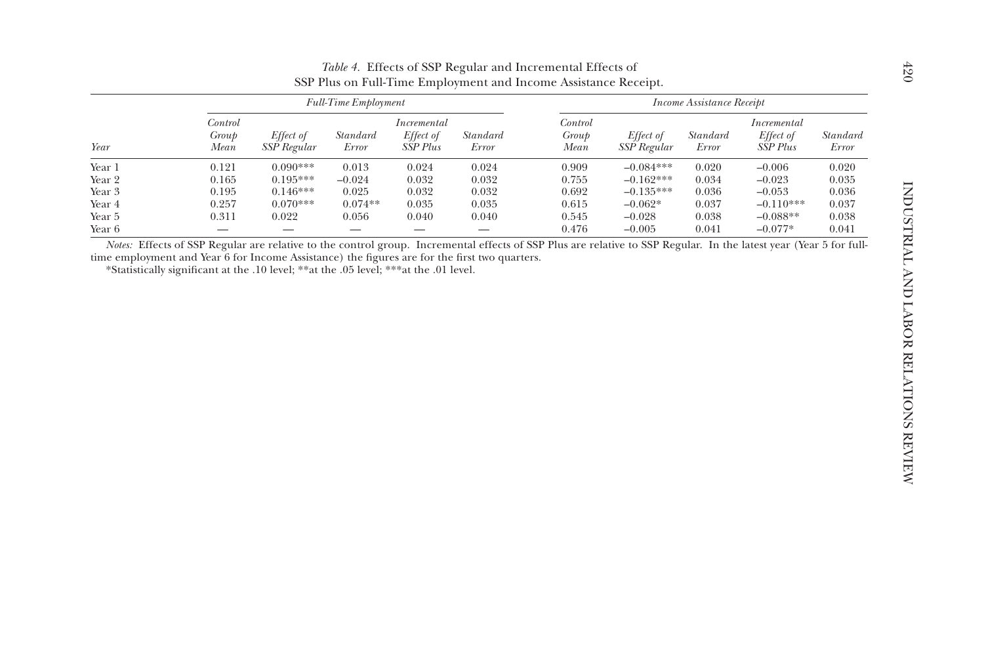| <i>Incremental</i><br>Control<br>Control<br><i>Incremental</i><br><b>Standard</b><br>Standard<br>Effect of<br><b>Standard</b><br><i>Effect of</i><br><b>Standard</b><br>Effect of<br>Effect of<br>Group<br>Group<br>Year<br><b>SSP Plus</b><br><b>SSP Plus</b><br>Mean<br>SSP Regular<br>Error<br>Mean<br>SSP Regular<br>Error<br>Error<br>Error<br>$0.090***$<br>$-0.084***$<br>Year 1<br>0.121<br>0.013<br>0.024<br>0.909<br>0.020<br>$-0.006$<br>0.020<br>0.024<br>0.165<br>$0.195***$<br>0.032<br>0.755<br>$-0.162***$<br>Year 2<br>$-0.024$<br>0.032<br>0.034<br>$-0.023$<br>0.035<br>Year 3<br>0.195<br>$0.146***$<br>0.025<br>0.032<br>0.692<br>$-0.135***$<br>0.036<br>0.032<br>0.036<br>$-0.053$<br>0.257<br>0.615<br>$-0.110***$<br>Year 4<br>$0.070***$<br>$0.074**$<br>0.035<br>0.035<br>$-0.062*$<br>0.037<br>0.037<br>0.311<br>Year 5<br>0.022<br>0.040<br>0.040<br>0.545<br>$-0.028$<br>0.038<br>$-0.088**$<br>0.038<br>0.056<br>Year 6<br>0.476<br>$-0.005$<br>0.041<br>$-0.077*$<br>0.041<br>Notes: Effects of SSP Regular are relative to the control group. Incremental effects of SSP Plus are relative to SSP Regular. In the latest year (Year 5 for full-<br>time employment and Year 6 for Income Assistance) the figures are for the first two quarters.<br>*Statistically significant at the .10 level; **at the .05 level; ***at the .01 level. | <b>Full-Time Employment</b> |  |  |  | Income Assistance Receipt |  |  |  |  |
|----------------------------------------------------------------------------------------------------------------------------------------------------------------------------------------------------------------------------------------------------------------------------------------------------------------------------------------------------------------------------------------------------------------------------------------------------------------------------------------------------------------------------------------------------------------------------------------------------------------------------------------------------------------------------------------------------------------------------------------------------------------------------------------------------------------------------------------------------------------------------------------------------------------------------------------------------------------------------------------------------------------------------------------------------------------------------------------------------------------------------------------------------------------------------------------------------------------------------------------------------------------------------------------------------------------------------------------------------------------------------|-----------------------------|--|--|--|---------------------------|--|--|--|--|
|                                                                                                                                                                                                                                                                                                                                                                                                                                                                                                                                                                                                                                                                                                                                                                                                                                                                                                                                                                                                                                                                                                                                                                                                                                                                                                                                                                            |                             |  |  |  |                           |  |  |  |  |
|                                                                                                                                                                                                                                                                                                                                                                                                                                                                                                                                                                                                                                                                                                                                                                                                                                                                                                                                                                                                                                                                                                                                                                                                                                                                                                                                                                            |                             |  |  |  |                           |  |  |  |  |
|                                                                                                                                                                                                                                                                                                                                                                                                                                                                                                                                                                                                                                                                                                                                                                                                                                                                                                                                                                                                                                                                                                                                                                                                                                                                                                                                                                            |                             |  |  |  |                           |  |  |  |  |
|                                                                                                                                                                                                                                                                                                                                                                                                                                                                                                                                                                                                                                                                                                                                                                                                                                                                                                                                                                                                                                                                                                                                                                                                                                                                                                                                                                            |                             |  |  |  |                           |  |  |  |  |
|                                                                                                                                                                                                                                                                                                                                                                                                                                                                                                                                                                                                                                                                                                                                                                                                                                                                                                                                                                                                                                                                                                                                                                                                                                                                                                                                                                            |                             |  |  |  |                           |  |  |  |  |
|                                                                                                                                                                                                                                                                                                                                                                                                                                                                                                                                                                                                                                                                                                                                                                                                                                                                                                                                                                                                                                                                                                                                                                                                                                                                                                                                                                            |                             |  |  |  |                           |  |  |  |  |
|                                                                                                                                                                                                                                                                                                                                                                                                                                                                                                                                                                                                                                                                                                                                                                                                                                                                                                                                                                                                                                                                                                                                                                                                                                                                                                                                                                            |                             |  |  |  |                           |  |  |  |  |
|                                                                                                                                                                                                                                                                                                                                                                                                                                                                                                                                                                                                                                                                                                                                                                                                                                                                                                                                                                                                                                                                                                                                                                                                                                                                                                                                                                            |                             |  |  |  |                           |  |  |  |  |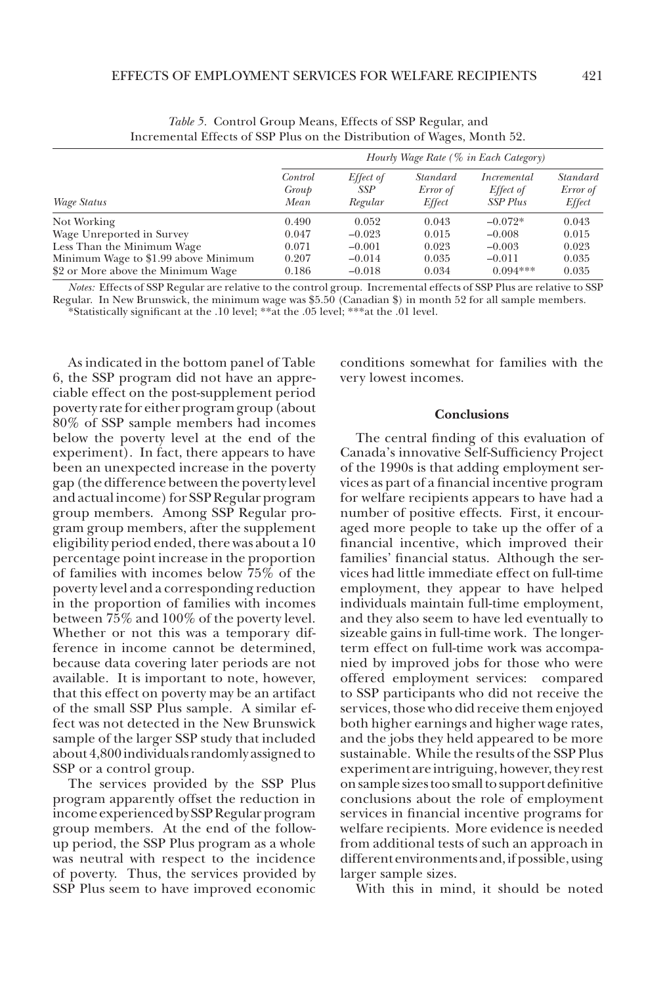|                                      |                          |                                    |                                                     | Hourly Wage Rate $(\%$ in Each Category)           |                                              |
|--------------------------------------|--------------------------|------------------------------------|-----------------------------------------------------|----------------------------------------------------|----------------------------------------------|
| <i>Wage Status</i>                   | Control<br>Group<br>Mean | <i>Effect of</i><br>SSP<br>Regular | <i>Standard</i><br><i>Error</i> of<br><i>Effect</i> | Incremental<br><i>Effect of</i><br><b>SSP</b> Plus | <i>Standard</i><br>Error of<br><i>Effect</i> |
| Not Working                          | 0.490                    | 0.052                              | 0.043                                               | $-0.072*$                                          | 0.043                                        |
| Wage Unreported in Survey            | 0.047                    | $-0.023$                           | 0.015                                               | $-0.008$                                           | 0.015                                        |
| Less Than the Minimum Wage           | 0.071                    | $-0.001$                           | 0.023                                               | $-0.003$                                           | 0.023                                        |
| Minimum Wage to \$1.99 above Minimum | 0.207                    | $-0.014$                           | 0.035                                               | $-0.011$                                           | 0.035                                        |
| \$2 or More above the Minimum Wage   | 0.186                    | $-0.018$                           | 0.034                                               | $0.094***$                                         | 0.035                                        |

*Table 5.* Control Group Means, Effects of SSP Regular, and Incremental Effects of SSP Plus on the Distribution of Wages, Month 52.

*Notes:* Effects of SSP Regular are relative to the control group. Incremental effects of SSP Plus are relative to SSP Regular. In New Brunswick, the minimum wage was \$5.50 (Canadian \$) in month 52 for all sample members. \*Statistically significant at the .10 level; \*\*at the .05 level; \*\*\*at the .01 level.

As indicated in the bottom panel of Table 6, the SSP program did not have an appreciable effect on the post-supplement period poverty rate for either program group (about 80% of SSP sample members had incomes below the poverty level at the end of the experiment). In fact, there appears to have been an unexpected increase in the poverty gap (the difference between the poverty level and actual income) for SSP Regular program group members. Among SSP Regular program group members, after the supplement eligibility period ended, there was about a 10 percentage point increase in the proportion of families with incomes below 75% of the poverty level and a corresponding reduction in the proportion of families with incomes between 75% and 100% of the poverty level. Whether or not this was a temporary difference in income cannot be determined, because data covering later periods are not available. It is important to note, however, that this effect on poverty may be an artifact of the small SSP Plus sample. A similar effect was not detected in the New Brunswick sample of the larger SSP study that included about 4,800 individuals randomly assigned to SSP or a control group.

The services provided by the SSP Plus program apparently offset the reduction in income experienced by SSP Regular program group members. At the end of the followup period, the SSP Plus program as a whole was neutral with respect to the incidence of poverty. Thus, the services provided by SSP Plus seem to have improved economic

conditions somewhat for families with the very lowest incomes.

#### **Conclusions**

The central finding of this evaluation of Canada's innovative Self-Sufficiency Project of the 1990s is that adding employment services as part of a financial incentive program for welfare recipients appears to have had a number of positive effects. First, it encouraged more people to take up the offer of a financial incentive, which improved their families' financial status. Although the services had little immediate effect on full-time employment, they appear to have helped individuals maintain full-time employment, and they also seem to have led eventually to sizeable gains in full-time work. The longerterm effect on full-time work was accompanied by improved jobs for those who were offered employment services: compared to SSP participants who did not receive the services, those who did receive them enjoyed both higher earnings and higher wage rates, and the jobs they held appeared to be more sustainable. While the results of the SSP Plus experiment are intriguing, however, they rest on sample sizes too small to support definitive conclusions about the role of employment services in financial incentive programs for welfare recipients. More evidence is needed from additional tests of such an approach in different environments and, if possible, using larger sample sizes.

With this in mind, it should be noted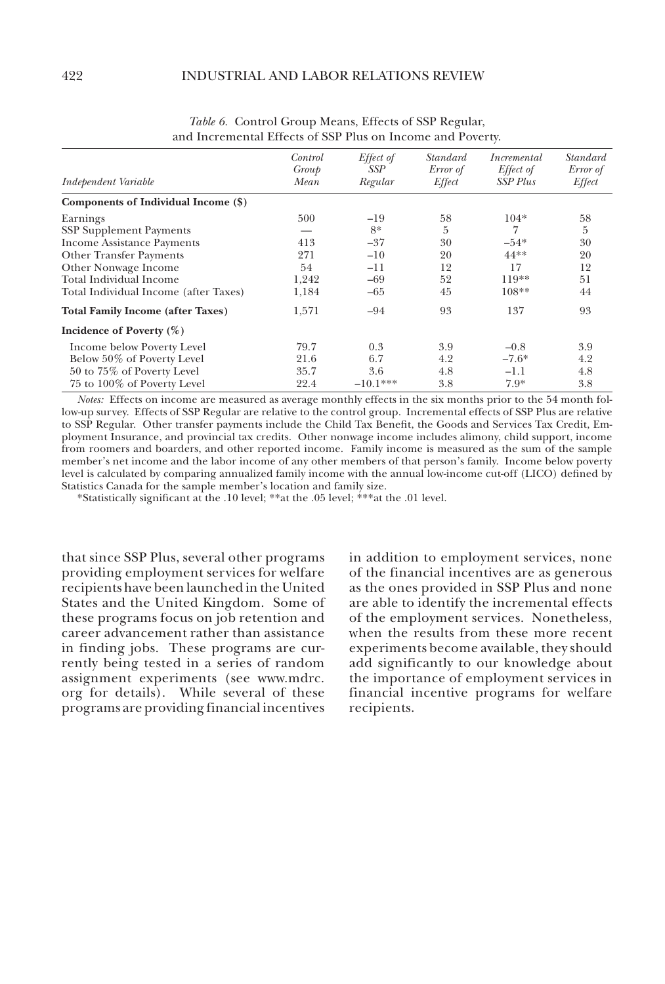| Independent Variable                     | Control<br>Group<br>Mean | <i>Effect of</i><br>SSP<br>Regular | Standard<br>Error of<br>Effect | Incremental<br><i>Effect of</i><br><b>SSP</b> Plus | <i>Standard</i><br>Error of<br>Effect |
|------------------------------------------|--------------------------|------------------------------------|--------------------------------|----------------------------------------------------|---------------------------------------|
| Components of Individual Income (\$)     |                          |                                    |                                |                                                    |                                       |
| Earnings                                 | 500                      | $-19$                              | 58                             | $104*$                                             | 58                                    |
| <b>SSP Supplement Payments</b>           |                          | $8*$                               | 5                              | 7                                                  | 5                                     |
| Income Assistance Payments               | 413                      | $-37$                              | 30                             | $-54*$                                             | 30                                    |
| <b>Other Transfer Payments</b>           | 271                      | $-10$                              | 20                             | 44**                                               | 20                                    |
| Other Nonwage Income                     | 54                       | $-11$                              | 12                             | 17                                                 | 12                                    |
| Total Individual Income                  | 1,242                    | $-69$                              | 52                             | $119**$                                            | 51                                    |
| Total Individual Income (after Taxes)    | 1,184                    | $-65$                              | 45                             | 108**                                              | 44                                    |
| <b>Total Family Income (after Taxes)</b> | 1,571                    | $-94$                              | 93                             | 137                                                | 93                                    |
| Incidence of Poverty $(\%)$              |                          |                                    |                                |                                                    |                                       |
| Income below Poverty Level               | 79.7                     | 0.3                                | 3.9                            | $-0.8$                                             | 3.9                                   |
| Below 50% of Poverty Level               | 21.6                     | 6.7                                | 4.2                            | $-7.6*$                                            | 4.2                                   |
| 50 to 75% of Poverty Level               | 35.7                     | 3.6                                | 4.8                            | $-1.1$                                             | 4.8                                   |
| 75 to 100% of Poverty Level              | 22.4                     | $-10.1***$                         | 3.8                            | $7.9*$                                             | 3.8                                   |

*Table 6.* Control Group Means, Effects of SSP Regular, and Incremental Effects of SSP Plus on Income and Poverty.

*Notes:* Effects on income are measured as average monthly effects in the six months prior to the 54 month follow-up survey. Effects of SSP Regular are relative to the control group. Incremental effects of SSP Plus are relative to SSP Regular. Other transfer payments include the Child Tax Benefit, the Goods and Services Tax Credit, Employment Insurance, and provincial tax credits. Other nonwage income includes alimony, child support, income from roomers and boarders, and other reported income. Family income is measured as the sum of the sample member's net income and the labor income of any other members of that person's family. Income below poverty level is calculated by comparing annualized family income with the annual low-income cut-off (LICO) defined by Statistics Canada for the sample member's location and family size.

\*Statistically significant at the .10 level; \*\*at the .05 level; \*\*\*at the .01 level.

that since SSP Plus, several other programs providing employment services for welfare recipients have been launched in the United States and the United Kingdom. Some of these programs focus on job retention and career advancement rather than assistance in finding jobs. These programs are currently being tested in a series of random assignment experiments (see www.mdrc. org for details). While several of these programs are providing financial incentives

in addition to employment services, none of the financial incentives are as generous as the ones provided in SSP Plus and none are able to identify the incremental effects of the employment services. Nonetheless, when the results from these more recent experiments become available, they should add significantly to our knowledge about the importance of employment services in financial incentive programs for welfare recipients.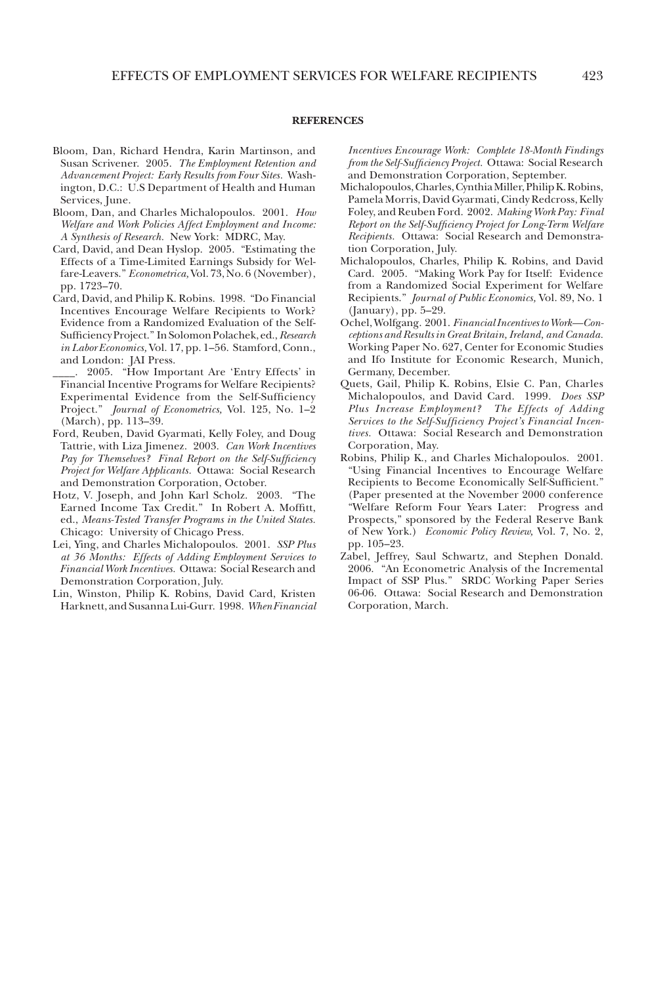#### **REFERENCES**

- Bloom, Dan, Richard Hendra, Karin Martinson, and Susan Scrivener. 2005. *The Employment Retention and Advancement Project: Early Results from Four Sites.* Washington, D.C.: U.S Department of Health and Human Services, June.
- Bloom, Dan, and Charles Michalopoulos. 2001. *How Welfare and Work Policies Affect Employment and Income: A Synthesis of Research.* New York: MDRC, May.
- Card, David, and Dean Hyslop. 2005. "Estimating the Effects of a Time-Limited Earnings Subsidy for Welfare-Leavers." *Econometrica,* Vol. 73, No. 6 (November), pp. 1723–70.
- Card, David, and Philip K. Robins. 1998. "Do Financial Incentives Encourage Welfare Recipients to Work? Evidence from a Randomized Evaluation of the Self-Sufficiency Project." In Solomon Polachek, ed., *Research in Labor Economics,* Vol. 17, pp. 1–56. Stamford, Conn., and London: JAI Press.
- \_\_\_\_. 2005. "How Important Are 'Entry Effects' in Financial Incentive Programs for Welfare Recipients? Experimental Evidence from the Self-Sufficiency Project." *Journal of Econometrics,* Vol. 125, No. 1–2 (March), pp. 113–39.
- Ford, Reuben, David Gyarmati, Kelly Foley, and Doug Tattrie, with Liza Jimenez. 2003. *Can Work Incentives Pay for Themselves? Final Report on the Self-Sufficiency Project for Welfare Applicants.* Ottawa: Social Research and Demonstration Corporation, October.
- Hotz, V. Joseph, and John Karl Scholz. 2003. "The Earned Income Tax Credit." In Robert A. Moffitt, ed., *Means-Tested Transfer Programs in the United States.* Chicago: University of Chicago Press.
- Lei, Ying, and Charles Michalopoulos. 2001. *SSP Plus at 36 Months: Effects of Adding Employment Services to Financial Work Incentives.* Ottawa: Social Research and Demonstration Corporation, July.
- Lin, Winston, Philip K. Robins, David Card, Kristen Harknett, and Susanna Lui-Gurr. 1998. *When Financial*

*Incentives Encourage Work: Complete 18-Month Findings from the Self-Sufficiency Project.* Ottawa: Social Research and Demonstration Corporation, September.

- Michalopoulos, Charles, Cynthia Miller, Philip K. Robins, Pamela Morris, David Gyarmati, Cindy Redcross, Kelly Foley, and Reuben Ford. 2002. *Making Work Pay: Final Report on the Self-Sufficiency Project for Long-Term Welfare Recipients.* Ottawa: Social Research and Demonstration Corporation, July.
- Michalopoulos, Charles, Philip K. Robins, and David Card. 2005. "Making Work Pay for Itself: Evidence from a Randomized Social Experiment for Welfare Recipients." *Journal of Public Economics,* Vol. 89, No. 1 (January), pp. 5–29.
- Ochel, Wolfgang. 2001. *Financial Incentives to Work—Conceptions and Results in Great Britain, Ireland, and Canada.* Working Paper No. 627, Center for Economic Studies and Ifo Institute for Economic Research, Munich, Germany, December.
- Quets, Gail, Philip K. Robins, Elsie C. Pan, Charles Michalopoulos, and David Card. 1999. *Does SSP Plus Increase Employment? The Effects of Adding Services to the Self-Sufficiency Project's Financial Incentives.* Ottawa: Social Research and Demonstration Corporation, May.
- Robins, Philip K., and Charles Michalopoulos. 2001. "Using Financial Incentives to Encourage Welfare Recipients to Become Economically Self-Sufficient." (Paper presented at the November 2000 conference "Welfare Reform Four Years Later: Progress and Prospects," sponsored by the Federal Reserve Bank of New York.) *Economic Policy Review,* Vol. 7, No. 2, pp. 105–23.
- Zabel, Jeffrey, Saul Schwartz, and Stephen Donald. 2006. "An Econometric Analysis of the Incremental Impact of SSP Plus." SRDC Working Paper Series 06-06. Ottawa: Social Research and Demonstration Corporation, March.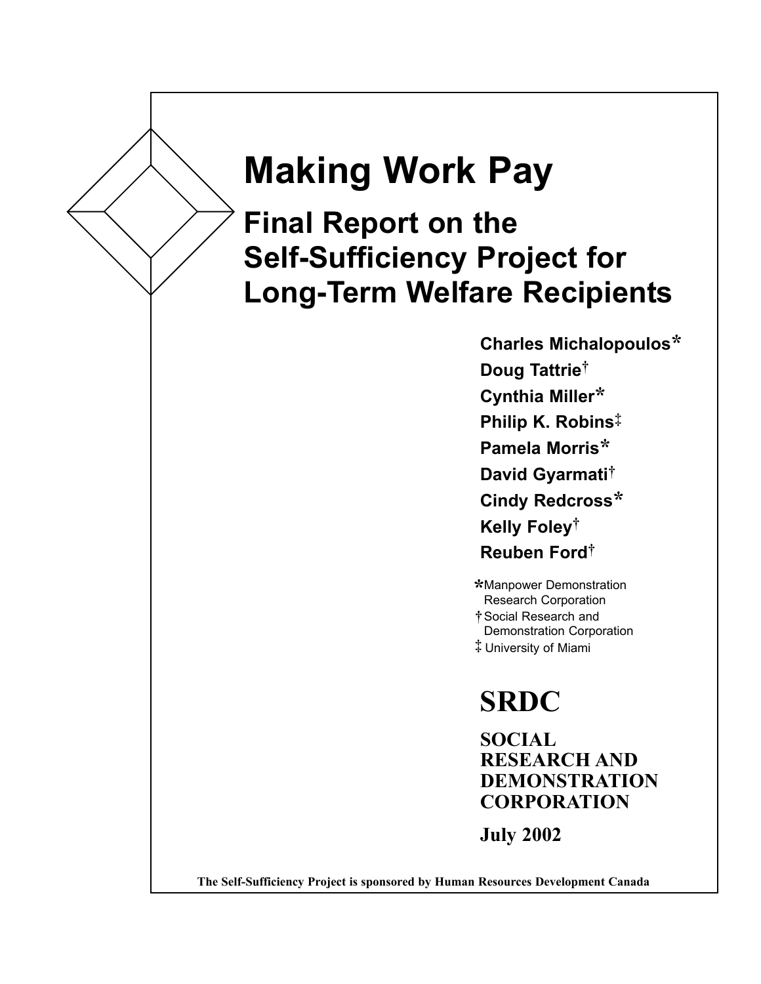# **Making Work Pay**

**Final Report on the Self-Sufficiency Project for Long-Term Welfare Recipients**

> **Charles Michalopoulos\* Doug Tattrie† Cynthia Miller\* Philip K. Robins‡ Pamela Morris\* David Gyarmati† Cindy Redcross\* Kelly Foley† Reuben Ford†**

Manpower Demonstration **\*** Research Corporation Social Research and **†** Demonstration Corporation **‡** University of Miami

# **SRDC**

**SOCIAL RESEARCH AND DEMONSTRATION CORPORATION**

**July 2002**

**The Self-Sufficiency Project is sponsored by Human Resources Development Canada**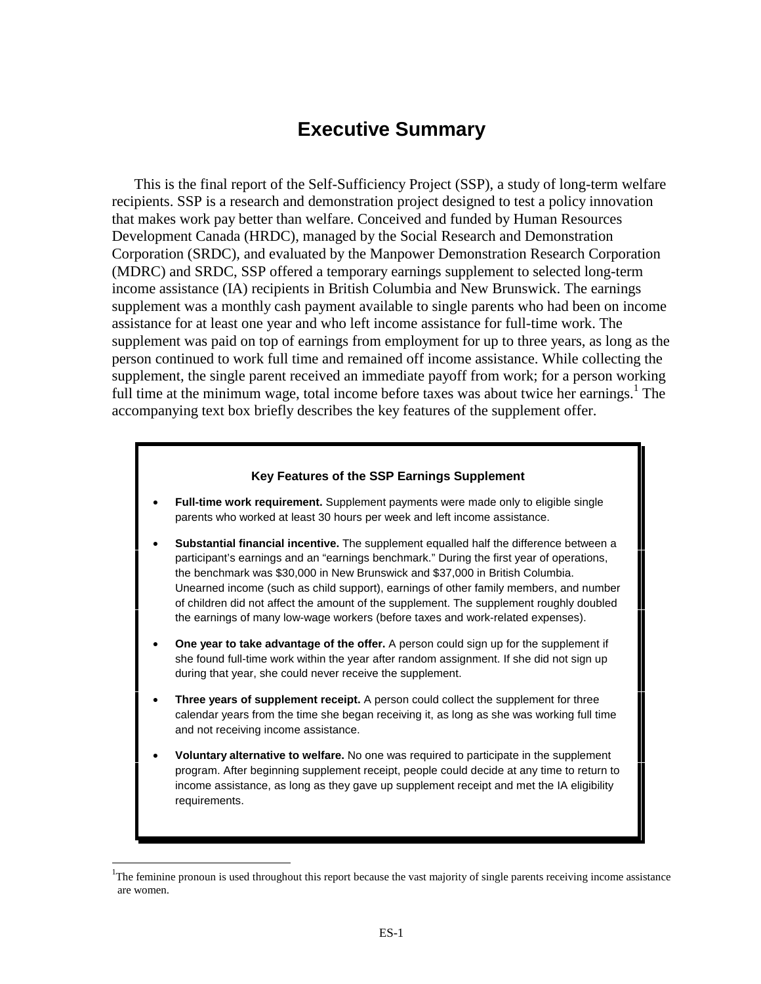# **Executive Summary**

This is the final report of the Self-Sufficiency Project (SSP), a study of long-term welfare recipients. SSP is a research and demonstration project designed to test a policy innovation that makes work pay better than welfare. Conceived and funded by Human Resources Development Canada (HRDC), managed by the Social Research and Demonstration Corporation (SRDC), and evaluated by the Manpower Demonstration Research Corporation (MDRC) and SRDC, SSP offered a temporary earnings supplement to selected long-term income assistance (IA) recipients in British Columbia and New Brunswick. The earnings supplement was a monthly cash payment available to single parents who had been on income assistance for at least one year and who left income assistance for full-time work. The supplement was paid on top of earnings from employment for up to three years, as long as the person continued to work full time and remained off income assistance. While collecting the supplement, the single parent received an immediate payoff from work; for a person working full time at the minimum wage, total income before taxes was about twice her earnings.<sup>1</sup> The accompanying text box briefly describes the key features of the supplement offer.

### **Key Features of the SSP Earnings Supplement**

- **Full-time work requirement.** Supplement payments were made only to eligible single parents who worked at least 30 hours per week and left income assistance.
- **Substantial financial incentive.** The supplement equalled half the difference between a participant's earnings and an "earnings benchmark." During the first year of operations, the benchmark was \$30,000 in New Brunswick and \$37,000 in British Columbia. Unearned income (such as child support), earnings of other family members, and number of children did not affect the amount of the supplement. The supplement roughly doubled the earnings of many low-wage workers (before taxes and work-related expenses).
- **One year to take advantage of the offer.** A person could sign up for the supplement if she found full-time work within the year after random assignment. If she did not sign up during that year, she could never receive the supplement.
- **Three years of supplement receipt.** A person could collect the supplement for three calendar years from the time she began receiving it, as long as she was working full time and not receiving income assistance.
- **Voluntary alternative to welfare.** No one was required to participate in the supplement program. After beginning supplement receipt, people could decide at any time to return to income assistance, as long as they gave up supplement receipt and met the IA eligibility requirements.

 $\overline{a}$ 

<sup>&</sup>lt;sup>1</sup>The feminine pronoun is used throughout this report because the vast majority of single parents receiving income assistance are women.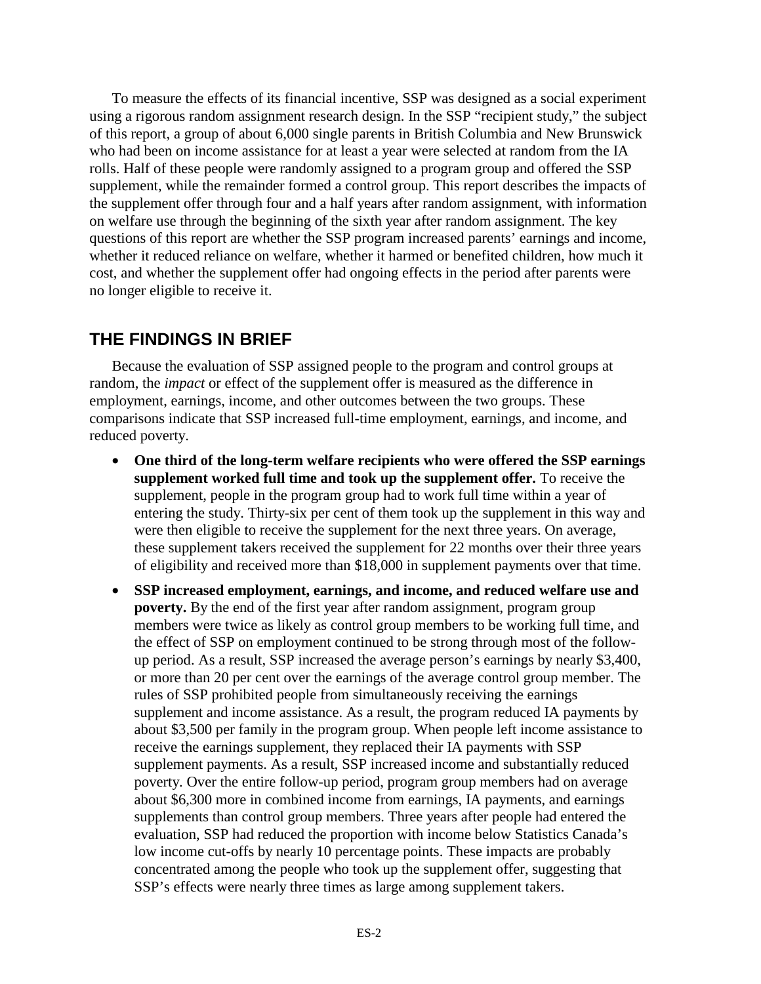To measure the effects of its financial incentive, SSP was designed as a social experiment using a rigorous random assignment research design. In the SSP "recipient study," the subject of this report, a group of about 6,000 single parents in British Columbia and New Brunswick who had been on income assistance for at least a year were selected at random from the IA rolls. Half of these people were randomly assigned to a program group and offered the SSP supplement, while the remainder formed a control group. This report describes the impacts of the supplement offer through four and a half years after random assignment, with information on welfare use through the beginning of the sixth year after random assignment. The key questions of this report are whether the SSP program increased parents' earnings and income, whether it reduced reliance on welfare, whether it harmed or benefited children, how much it cost, and whether the supplement offer had ongoing effects in the period after parents were no longer eligible to receive it.

# **THE FINDINGS IN BRIEF**

Because the evaluation of SSP assigned people to the program and control groups at random, the *impact* or effect of the supplement offer is measured as the difference in employment, earnings, income, and other outcomes between the two groups. These comparisons indicate that SSP increased full-time employment, earnings, and income, and reduced poverty.

- **One third of the long-term welfare recipients who were offered the SSP earnings supplement worked full time and took up the supplement offer.** To receive the supplement, people in the program group had to work full time within a year of entering the study. Thirty-six per cent of them took up the supplement in this way and were then eligible to receive the supplement for the next three years. On average, these supplement takers received the supplement for 22 months over their three years of eligibility and received more than \$18,000 in supplement payments over that time.
- **SSP increased employment, earnings, and income, and reduced welfare use and poverty.** By the end of the first year after random assignment, program group members were twice as likely as control group members to be working full time, and the effect of SSP on employment continued to be strong through most of the followup period. As a result, SSP increased the average person's earnings by nearly \$3,400, or more than 20 per cent over the earnings of the average control group member. The rules of SSP prohibited people from simultaneously receiving the earnings supplement and income assistance. As a result, the program reduced IA payments by about \$3,500 per family in the program group. When people left income assistance to receive the earnings supplement, they replaced their IA payments with SSP supplement payments. As a result, SSP increased income and substantially reduced poverty. Over the entire follow-up period, program group members had on average about \$6,300 more in combined income from earnings, IA payments, and earnings supplements than control group members. Three years after people had entered the evaluation, SSP had reduced the proportion with income below Statistics Canada's low income cut-offs by nearly 10 percentage points. These impacts are probably concentrated among the people who took up the supplement offer, suggesting that SSP's effects were nearly three times as large among supplement takers.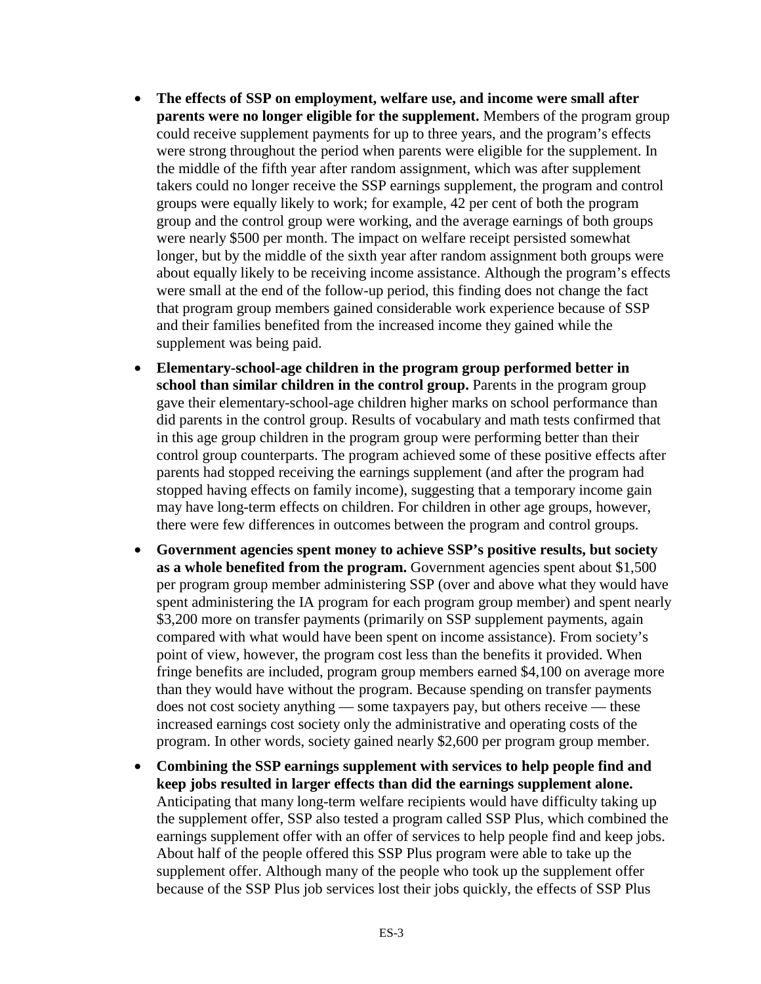- **The effects of SSP on employment, welfare use, and income were small after parents were no longer eligible for the supplement.** Members of the program group could receive supplement payments for up to three years, and the program's effects were strong throughout the period when parents were eligible for the supplement. In the middle of the fifth year after random assignment, which was after supplement takers could no longer receive the SSP earnings supplement, the program and control groups were equally likely to work; for example, 42 per cent of both the program group and the control group were working, and the average earnings of both groups were nearly \$500 per month. The impact on welfare receipt persisted somewhat longer, but by the middle of the sixth year after random assignment both groups were about equally likely to be receiving income assistance. Although the program's effects were small at the end of the follow-up period, this finding does not change the fact that program group members gained considerable work experience because of SSP and their families benefited from the increased income they gained while the supplement was being paid.
- **Elementary-school-age children in the program group performed better in school than similar children in the control group.** Parents in the program group gave their elementary-school-age children higher marks on school performance than did parents in the control group. Results of vocabulary and math tests confirmed that in this age group children in the program group were performing better than their control group counterparts. The program achieved some of these positive effects after parents had stopped receiving the earnings supplement (and after the program had stopped having effects on family income), suggesting that a temporary income gain may have long-term effects on children. For children in other age groups, however, there were few differences in outcomes between the program and control groups.
- **Government agencies spent money to achieve SSP's positive results, but society as a whole benefited from the program.** Government agencies spent about \$1,500 per program group member administering SSP (over and above what they would have spent administering the IA program for each program group member) and spent nearly \$3,200 more on transfer payments (primarily on SSP supplement payments, again compared with what would have been spent on income assistance). From society's point of view, however, the program cost less than the benefits it provided. When fringe benefits are included, program group members earned \$4,100 on average more than they would have without the program. Because spending on transfer payments does not cost society anything — some taxpayers pay, but others receive — these increased earnings cost society only the administrative and operating costs of the program. In other words, society gained nearly \$2,600 per program group member.
- **Combining the SSP earnings supplement with services to help people find and keep jobs resulted in larger effects than did the earnings supplement alone.** Anticipating that many long-term welfare recipients would have difficulty taking up the supplement offer, SSP also tested a program called SSP Plus, which combined the earnings supplement offer with an offer of services to help people find and keep jobs. About half of the people offered this SSP Plus program were able to take up the supplement offer. Although many of the people who took up the supplement offer because of the SSP Plus job services lost their jobs quickly, the effects of SSP Plus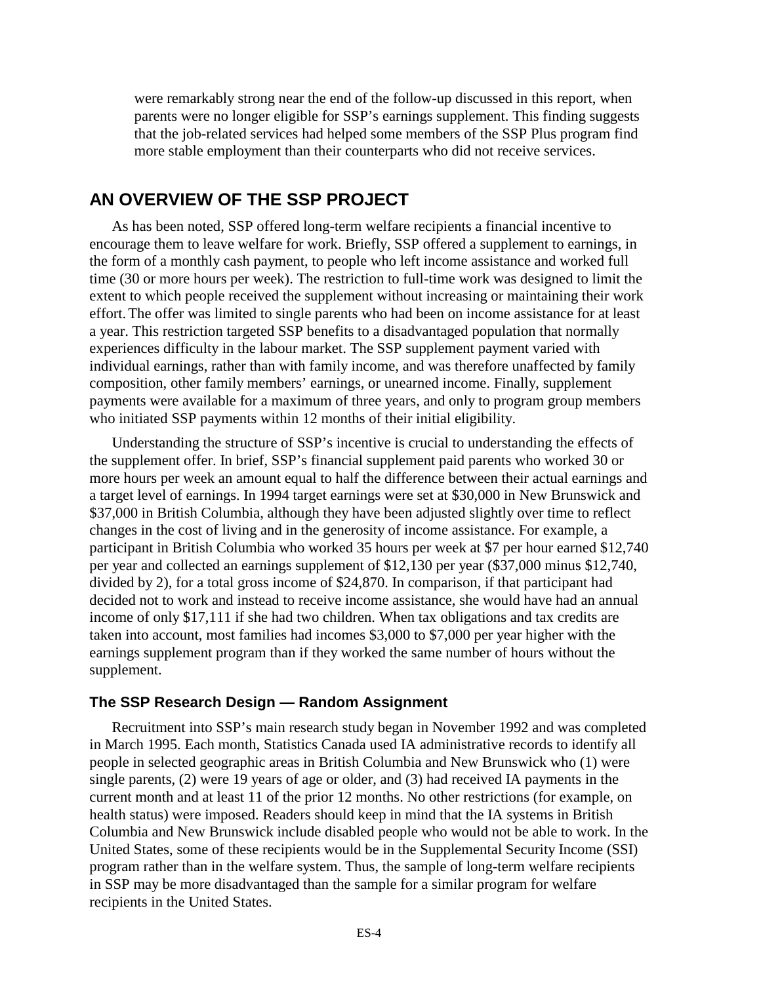were remarkably strong near the end of the follow-up discussed in this report, when parents were no longer eligible for SSP's earnings supplement. This finding suggests that the job-related services had helped some members of the SSP Plus program find more stable employment than their counterparts who did not receive services.

# **AN OVERVIEW OF THE SSP PROJECT**

As has been noted, SSP offered long-term welfare recipients a financial incentive to encourage them to leave welfare for work. Briefly, SSP offered a supplement to earnings, in the form of a monthly cash payment, to people who left income assistance and worked full time (30 or more hours per week). The restriction to full-time work was designed to limit the extent to which people received the supplement without increasing or maintaining their work effort.The offer was limited to single parents who had been on income assistance for at least a year. This restriction targeted SSP benefits to a disadvantaged population that normally experiences difficulty in the labour market. The SSP supplement payment varied with individual earnings, rather than with family income, and was therefore unaffected by family composition, other family members' earnings, or unearned income. Finally, supplement payments were available for a maximum of three years, and only to program group members who initiated SSP payments within 12 months of their initial eligibility.

Understanding the structure of SSP's incentive is crucial to understanding the effects of the supplement offer. In brief, SSP's financial supplement paid parents who worked 30 or more hours per week an amount equal to half the difference between their actual earnings and a target level of earnings. In 1994 target earnings were set at \$30,000 in New Brunswick and \$37,000 in British Columbia, although they have been adjusted slightly over time to reflect changes in the cost of living and in the generosity of income assistance. For example, a participant in British Columbia who worked 35 hours per week at \$7 per hour earned \$12,740 per year and collected an earnings supplement of \$12,130 per year (\$37,000 minus \$12,740, divided by 2), for a total gross income of \$24,870. In comparison, if that participant had decided not to work and instead to receive income assistance, she would have had an annual income of only \$17,111 if she had two children. When tax obligations and tax credits are taken into account, most families had incomes \$3,000 to \$7,000 per year higher with the earnings supplement program than if they worked the same number of hours without the supplement.

### **The SSP Research Design — Random Assignment**

Recruitment into SSP's main research study began in November 1992 and was completed in March 1995. Each month, Statistics Canada used IA administrative records to identify all people in selected geographic areas in British Columbia and New Brunswick who (1) were single parents, (2) were 19 years of age or older, and (3) had received IA payments in the current month and at least 11 of the prior 12 months. No other restrictions (for example, on health status) were imposed. Readers should keep in mind that the IA systems in British Columbia and New Brunswick include disabled people who would not be able to work. In the United States, some of these recipients would be in the Supplemental Security Income (SSI) program rather than in the welfare system. Thus, the sample of long-term welfare recipients in SSP may be more disadvantaged than the sample for a similar program for welfare recipients in the United States.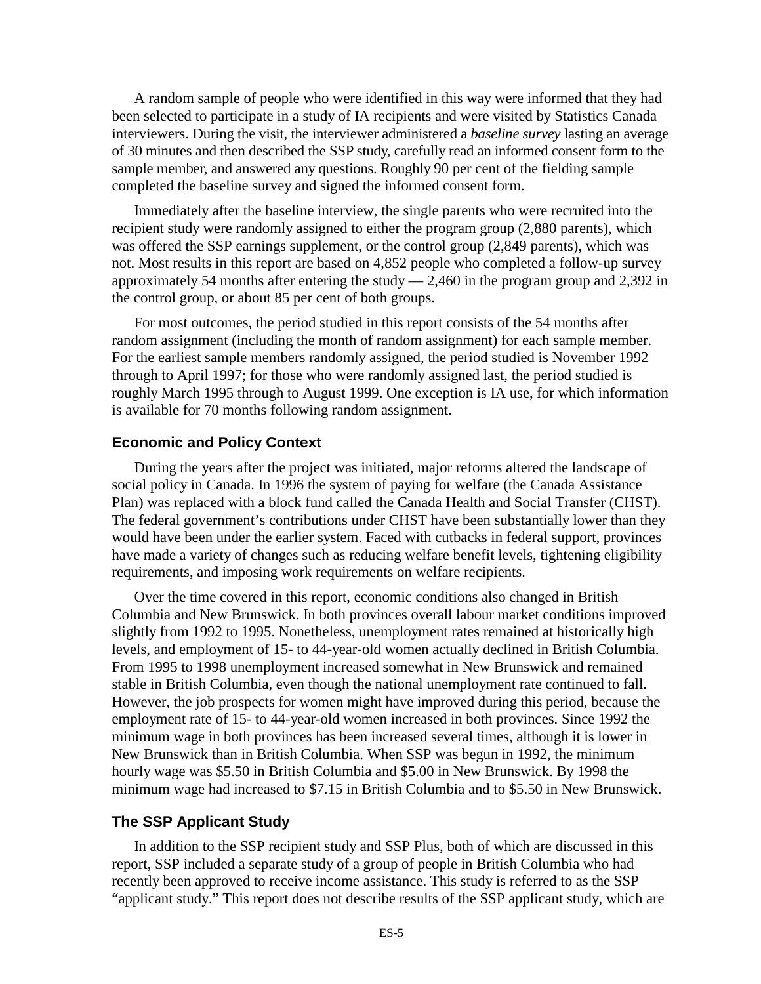A random sample of people who were identified in this way were informed that they had been selected to participate in a study of IA recipients and were visited by Statistics Canada interviewers. During the visit, the interviewer administered a *baseline survey* lasting an average of 30 minutes and then described the SSP study, carefully read an informed consent form to the sample member, and answered any questions. Roughly 90 per cent of the fielding sample completed the baseline survey and signed the informed consent form.

Immediately after the baseline interview, the single parents who were recruited into the recipient study were randomly assigned to either the program group (2,880 parents), which was offered the SSP earnings supplement, or the control group (2,849 parents), which was not. Most results in this report are based on 4,852 people who completed a follow-up survey approximately 54 months after entering the study  $-2,460$  in the program group and 2,392 in the control group, or about 85 per cent of both groups.

For most outcomes, the period studied in this report consists of the 54 months after random assignment (including the month of random assignment) for each sample member. For the earliest sample members randomly assigned, the period studied is November 1992 through to April 1997; for those who were randomly assigned last, the period studied is roughly March 1995 through to August 1999. One exception is IA use, for which information is available for 70 months following random assignment.

### **Economic and Policy Context**

During the years after the project was initiated, major reforms altered the landscape of social policy in Canada. In 1996 the system of paying for welfare (the Canada Assistance Plan) was replaced with a block fund called the Canada Health and Social Transfer (CHST). The federal government's contributions under CHST have been substantially lower than they would have been under the earlier system. Faced with cutbacks in federal support, provinces have made a variety of changes such as reducing welfare benefit levels, tightening eligibility requirements, and imposing work requirements on welfare recipients.

Over the time covered in this report, economic conditions also changed in British Columbia and New Brunswick. In both provinces overall labour market conditions improved slightly from 1992 to 1995. Nonetheless, unemployment rates remained at historically high levels, and employment of 15- to 44-year-old women actually declined in British Columbia. From 1995 to 1998 unemployment increased somewhat in New Brunswick and remained stable in British Columbia, even though the national unemployment rate continued to fall. However, the job prospects for women might have improved during this period, because the employment rate of 15- to 44-year-old women increased in both provinces. Since 1992 the minimum wage in both provinces has been increased several times, although it is lower in New Brunswick than in British Columbia. When SSP was begun in 1992, the minimum hourly wage was \$5.50 in British Columbia and \$5.00 in New Brunswick. By 1998 the minimum wage had increased to \$7.15 in British Columbia and to \$5.50 in New Brunswick.

### **The SSP Applicant Study**

In addition to the SSP recipient study and SSP Plus, both of which are discussed in this report, SSP included a separate study of a group of people in British Columbia who had recently been approved to receive income assistance. This study is referred to as the SSP "applicant study." This report does not describe results of the SSP applicant study, which are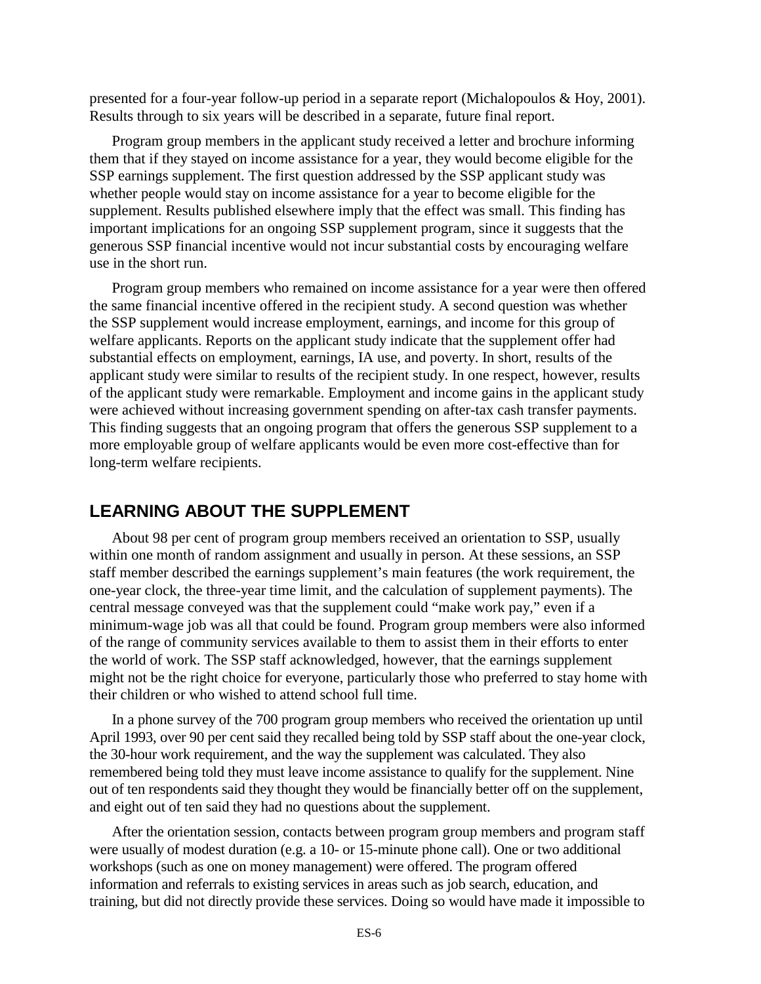presented for a four-year follow-up period in a separate report (Michalopoulos & Hoy, 2001). Results through to six years will be described in a separate, future final report.

Program group members in the applicant study received a letter and brochure informing them that if they stayed on income assistance for a year, they would become eligible for the SSP earnings supplement. The first question addressed by the SSP applicant study was whether people would stay on income assistance for a year to become eligible for the supplement. Results published elsewhere imply that the effect was small. This finding has important implications for an ongoing SSP supplement program, since it suggests that the generous SSP financial incentive would not incur substantial costs by encouraging welfare use in the short run.

Program group members who remained on income assistance for a year were then offered the same financial incentive offered in the recipient study. A second question was whether the SSP supplement would increase employment, earnings, and income for this group of welfare applicants. Reports on the applicant study indicate that the supplement offer had substantial effects on employment, earnings, IA use, and poverty. In short, results of the applicant study were similar to results of the recipient study. In one respect, however, results of the applicant study were remarkable. Employment and income gains in the applicant study were achieved without increasing government spending on after-tax cash transfer payments. This finding suggests that an ongoing program that offers the generous SSP supplement to a more employable group of welfare applicants would be even more cost-effective than for long-term welfare recipients.

# **LEARNING ABOUT THE SUPPLEMENT**

About 98 per cent of program group members received an orientation to SSP, usually within one month of random assignment and usually in person. At these sessions, an SSP staff member described the earnings supplement's main features (the work requirement, the one-year clock, the three-year time limit, and the calculation of supplement payments). The central message conveyed was that the supplement could "make work pay," even if a minimum-wage job was all that could be found. Program group members were also informed of the range of community services available to them to assist them in their efforts to enter the world of work. The SSP staff acknowledged, however, that the earnings supplement might not be the right choice for everyone, particularly those who preferred to stay home with their children or who wished to attend school full time.

In a phone survey of the 700 program group members who received the orientation up until April 1993, over 90 per cent said they recalled being told by SSP staff about the one-year clock, the 30-hour work requirement, and the way the supplement was calculated. They also remembered being told they must leave income assistance to qualify for the supplement. Nine out of ten respondents said they thought they would be financially better off on the supplement, and eight out of ten said they had no questions about the supplement.

After the orientation session, contacts between program group members and program staff were usually of modest duration (e.g. a 10- or 15-minute phone call). One or two additional workshops (such as one on money management) were offered. The program offered information and referrals to existing services in areas such as job search, education, and training, but did not directly provide these services. Doing so would have made it impossible to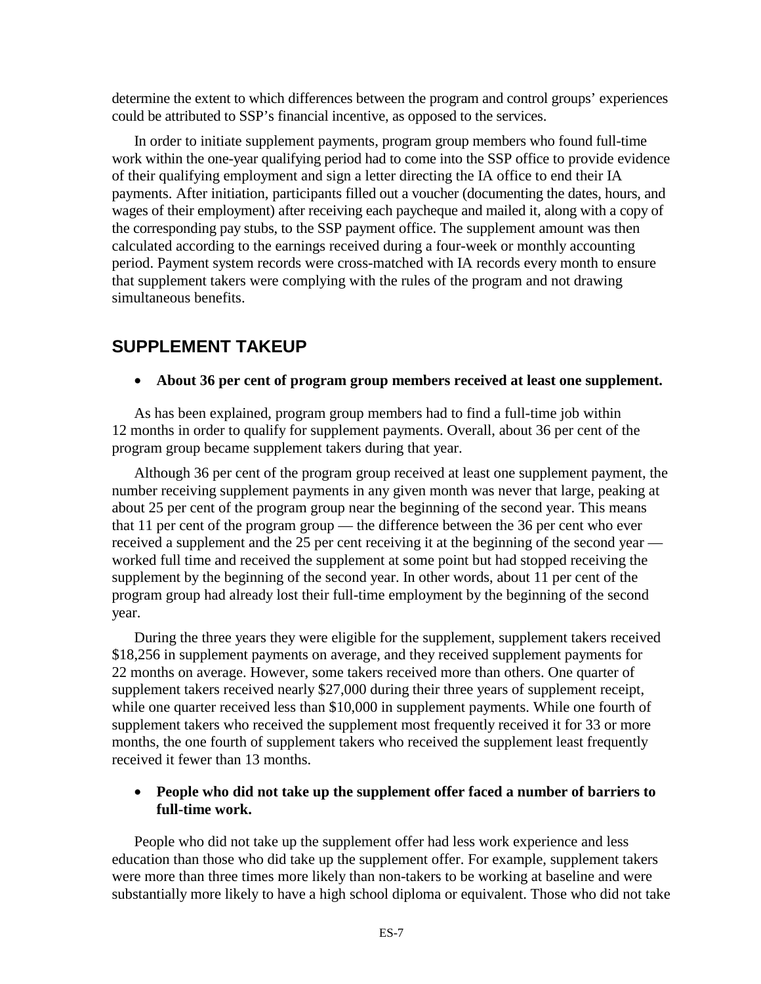determine the extent to which differences between the program and control groups' experiences could be attributed to SSP's financial incentive, as opposed to the services.

In order to initiate supplement payments, program group members who found full-time work within the one-year qualifying period had to come into the SSP office to provide evidence of their qualifying employment and sign a letter directing the IA office to end their IA payments. After initiation, participants filled out a voucher (documenting the dates, hours, and wages of their employment) after receiving each paycheque and mailed it, along with a copy of the corresponding pay stubs, to the SSP payment office. The supplement amount was then calculated according to the earnings received during a four-week or monthly accounting period. Payment system records were cross-matched with IA records every month to ensure that supplement takers were complying with the rules of the program and not drawing simultaneous benefits.

# **SUPPLEMENT TAKEUP**

# • **About 36 per cent of program group members received at least one supplement.**

As has been explained, program group members had to find a full-time job within 12 months in order to qualify for supplement payments. Overall, about 36 per cent of the program group became supplement takers during that year.

Although 36 per cent of the program group received at least one supplement payment, the number receiving supplement payments in any given month was never that large, peaking at about 25 per cent of the program group near the beginning of the second year. This means that 11 per cent of the program group — the difference between the 36 per cent who ever received a supplement and the 25 per cent receiving it at the beginning of the second year worked full time and received the supplement at some point but had stopped receiving the supplement by the beginning of the second year. In other words, about 11 per cent of the program group had already lost their full-time employment by the beginning of the second year.

During the three years they were eligible for the supplement, supplement takers received \$18,256 in supplement payments on average, and they received supplement payments for 22 months on average. However, some takers received more than others. One quarter of supplement takers received nearly \$27,000 during their three years of supplement receipt, while one quarter received less than \$10,000 in supplement payments. While one fourth of supplement takers who received the supplement most frequently received it for 33 or more months, the one fourth of supplement takers who received the supplement least frequently received it fewer than 13 months.

# • **People who did not take up the supplement offer faced a number of barriers to full-time work.**

People who did not take up the supplement offer had less work experience and less education than those who did take up the supplement offer. For example, supplement takers were more than three times more likely than non-takers to be working at baseline and were substantially more likely to have a high school diploma or equivalent. Those who did not take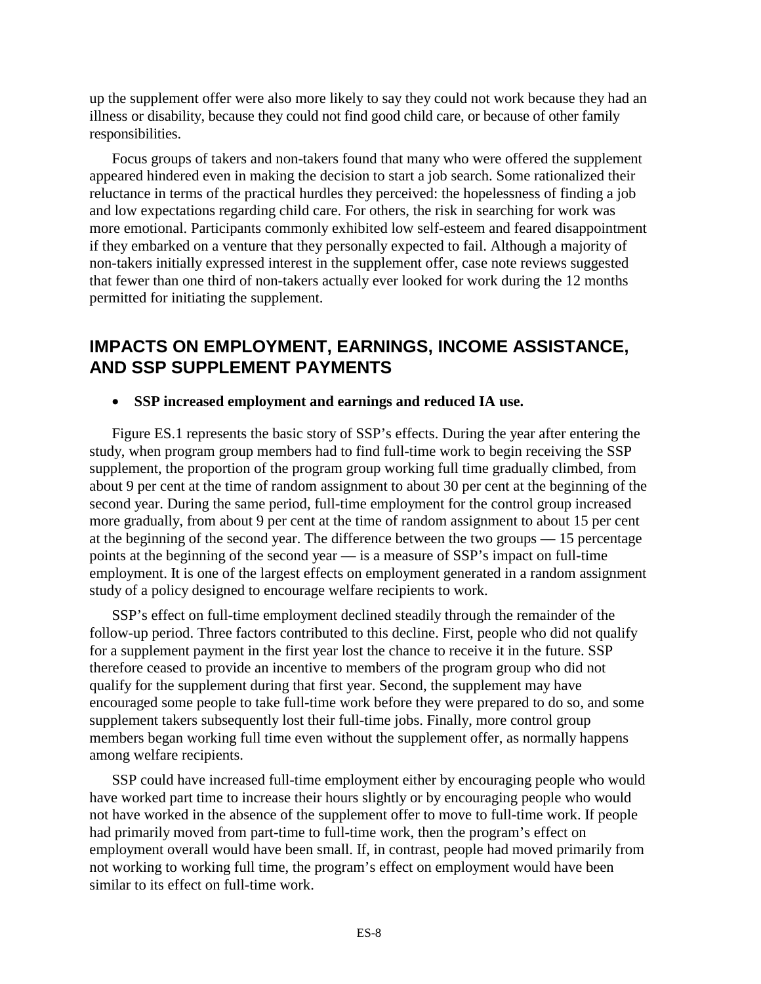up the supplement offer were also more likely to say they could not work because they had an illness or disability, because they could not find good child care, or because of other family responsibilities.

Focus groups of takers and non-takers found that many who were offered the supplement appeared hindered even in making the decision to start a job search. Some rationalized their reluctance in terms of the practical hurdles they perceived: the hopelessness of finding a job and low expectations regarding child care. For others, the risk in searching for work was more emotional. Participants commonly exhibited low self-esteem and feared disappointment if they embarked on a venture that they personally expected to fail. Although a majority of non-takers initially expressed interest in the supplement offer, case note reviews suggested that fewer than one third of non-takers actually ever looked for work during the 12 months permitted for initiating the supplement.

# **IMPACTS ON EMPLOYMENT, EARNINGS, INCOME ASSISTANCE, AND SSP SUPPLEMENT PAYMENTS**

# • **SSP increased employment and earnings and reduced IA use.**

Figure ES.1 represents the basic story of SSP's effects. During the year after entering the study, when program group members had to find full-time work to begin receiving the SSP supplement, the proportion of the program group working full time gradually climbed, from about 9 per cent at the time of random assignment to about 30 per cent at the beginning of the second year. During the same period, full-time employment for the control group increased more gradually, from about 9 per cent at the time of random assignment to about 15 per cent at the beginning of the second year. The difference between the two groups — 15 percentage points at the beginning of the second year — is a measure of SSP's impact on full-time employment. It is one of the largest effects on employment generated in a random assignment study of a policy designed to encourage welfare recipients to work.

SSP's effect on full-time employment declined steadily through the remainder of the follow-up period. Three factors contributed to this decline. First, people who did not qualify for a supplement payment in the first year lost the chance to receive it in the future. SSP therefore ceased to provide an incentive to members of the program group who did not qualify for the supplement during that first year. Second, the supplement may have encouraged some people to take full-time work before they were prepared to do so, and some supplement takers subsequently lost their full-time jobs. Finally, more control group members began working full time even without the supplement offer, as normally happens among welfare recipients.

SSP could have increased full-time employment either by encouraging people who would have worked part time to increase their hours slightly or by encouraging people who would not have worked in the absence of the supplement offer to move to full-time work. If people had primarily moved from part-time to full-time work, then the program's effect on employment overall would have been small. If, in contrast, people had moved primarily from not working to working full time, the program's effect on employment would have been similar to its effect on full-time work.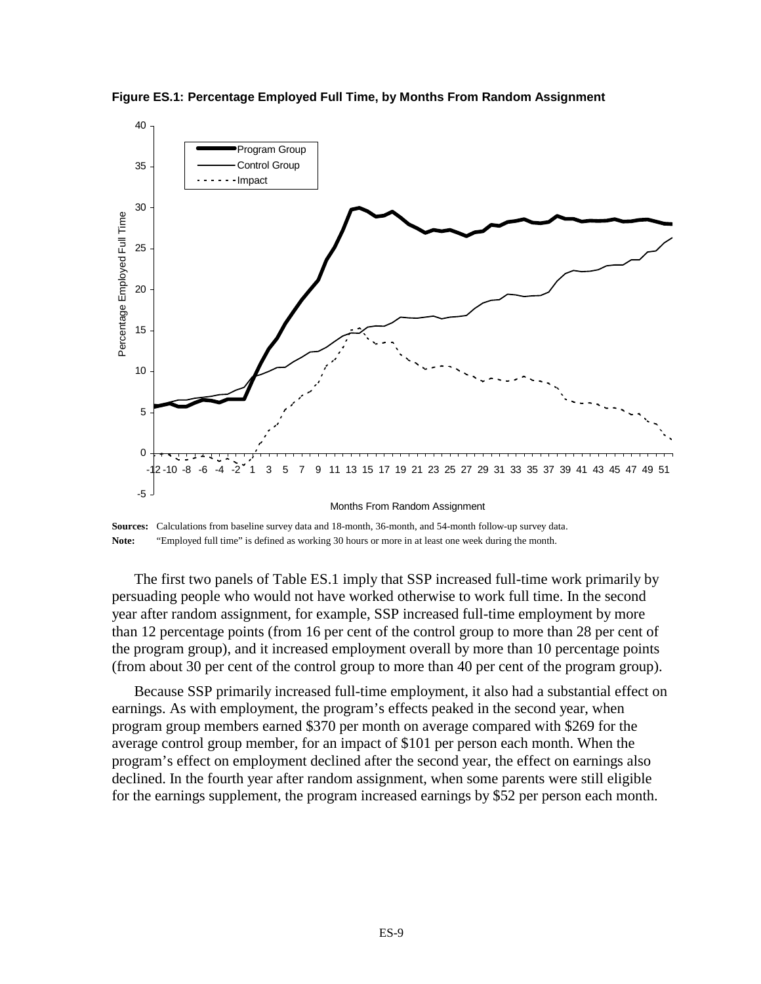



**Sources:** Calculations from baseline survey data and 18-month, 36-month, and 54-month follow-up survey data. **Note:** "Employed full time" is defined as working 30 hours or more in at least one week during the month.

The first two panels of Table ES.1 imply that SSP increased full-time work primarily by persuading people who would not have worked otherwise to work full time. In the second year after random assignment, for example, SSP increased full-time employment by more than 12 percentage points (from 16 per cent of the control group to more than 28 per cent of the program group), and it increased employment overall by more than 10 percentage points (from about 30 per cent of the control group to more than 40 per cent of the program group).

Because SSP primarily increased full-time employment, it also had a substantial effect on earnings. As with employment, the program's effects peaked in the second year, when program group members earned \$370 per month on average compared with \$269 for the average control group member, for an impact of \$101 per person each month. When the program's effect on employment declined after the second year, the effect on earnings also declined. In the fourth year after random assignment, when some parents were still eligible for the earnings supplement, the program increased earnings by \$52 per person each month.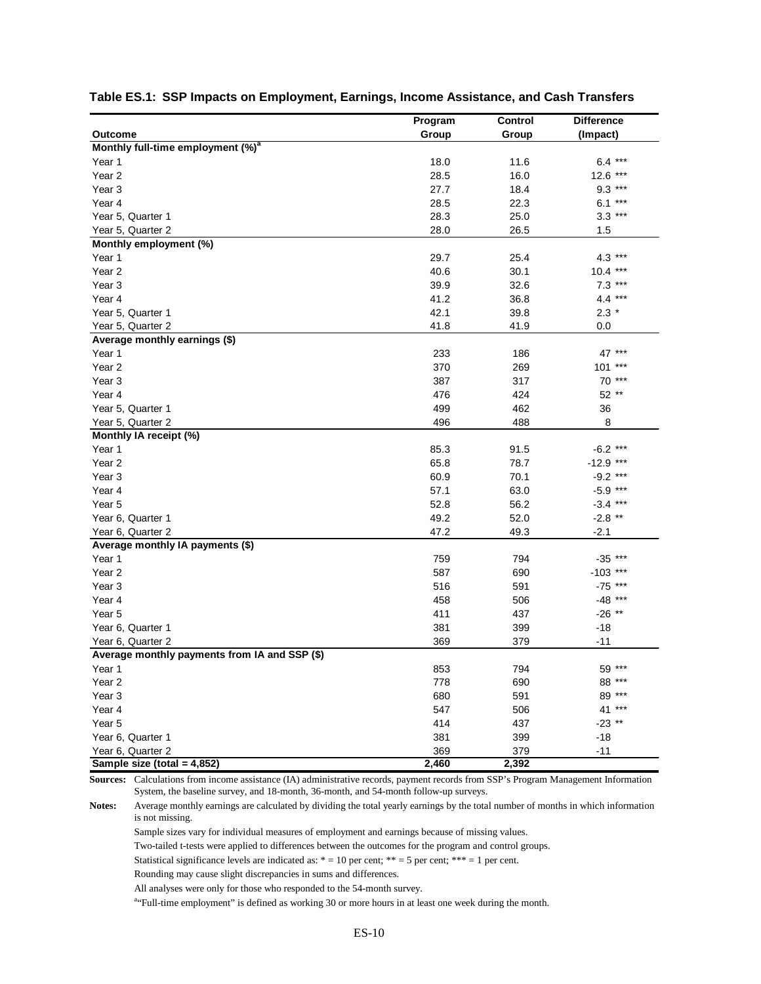|                                               | Program | <b>Control</b> | <b>Difference</b> |
|-----------------------------------------------|---------|----------------|-------------------|
| Outcome                                       | Group   | Group          | (Impact)          |
| Monthly full-time employment (%) <sup>a</sup> |         |                |                   |
| Year 1                                        | 18.0    | 11.6           | 6.4 ***           |
| Year <sub>2</sub>                             | 28.5    | 16.0           | 12.6 ***          |
| Year <sub>3</sub>                             | 27.7    | 18.4           | $9.3***$          |
| Year 4                                        | 28.5    | 22.3           | $6.1***$          |
| Year 5, Quarter 1                             | 28.3    | 25.0           | $3.3***$          |
| Year 5, Quarter 2                             | 28.0    | 26.5           | 1.5               |
| Monthly employment (%)                        |         |                |                   |
| Year 1                                        | 29.7    | 25.4           | 4.3 ***           |
| Year <sub>2</sub>                             | 40.6    | 30.1           | $10.4***$         |
| Year <sub>3</sub>                             | 39.9    | 32.6           | $7.3***$          |
| Year 4                                        | 41.2    | 36.8           | 4.4 ***           |
| Year 5, Quarter 1                             | 42.1    | 39.8           | $2.3*$            |
| Year 5, Quarter 2                             | 41.8    | 41.9           | 0.0               |
| Average monthly earnings (\$)                 |         |                |                   |
| Year 1                                        | 233     | 186            | 47 ***            |
| Year <sub>2</sub>                             | 370     | 269            | $101***$          |
| Year <sub>3</sub>                             | 387     | 317            | 70 ***            |
| Year 4                                        | 476     | 424            | 52 **             |
| Year 5, Quarter 1                             | 499     | 462            | 36                |
| Year 5, Quarter 2                             | 496     | 488            | 8                 |
| Monthly IA receipt (%)                        |         |                |                   |
| Year 1                                        | 85.3    | 91.5           | $-6.2$ ***        |
| Year <sub>2</sub>                             | 65.8    | 78.7           | $-12.9$ ***       |
| Year 3                                        | 60.9    | 70.1           | $-9.2$ ***        |
| Year 4                                        | 57.1    | 63.0           | $-5.9$ ***        |
| Year 5                                        | 52.8    | 56.2           | $-3.4$ ***        |
| Year 6, Quarter 1                             | 49.2    | 52.0           | $-2.8$ **         |
| Year 6, Quarter 2                             | 47.2    | 49.3           | $-2.1$            |
| Average monthly IA payments (\$)              |         |                |                   |
| Year 1                                        | 759     | 794            | $-35$ ***         |
| Year <sub>2</sub>                             | 587     | 690            | $-103$ ***        |
| Year 3                                        | 516     | 591            | $-75$ ***         |
| Year 4                                        | 458     | 506            | $-48$ ***         |
| Year 5                                        | 411     | 437            | $-26$ **          |
| Year 6, Quarter 1                             | 381     | 399            | $-18$             |
| Year 6, Quarter 2                             | 369     | 379            | $-11$             |
| Average monthly payments from IA and SSP (\$) |         |                |                   |
| Year 1                                        | 853     | 794            | 59 ***            |
| Year 2                                        | 778     | 690            | 88 ***            |
| Year <sub>3</sub>                             | 680     | 591            | 89 ***            |
| Year 4                                        | 547     | 506            | 41 ***            |
| Year 5                                        | 414     | 437            | $-23$ **          |
| Year 6, Quarter 1                             | 381     | 399            | $-18$             |
| Year 6, Quarter 2                             | 369     | 379            | $-11$             |
| Sample size (total = 4,852)                   | 2,460   | 2,392          |                   |

**Table ES.1: SSP Impacts on Employment, Earnings, Income Assistance, and Cash Transfers**

**Sources:** Calculations from income assistance (IA) administrative records, payment records from SSP's Program Management Information System, the baseline survey, and 18-month, 36-month, and 54-month follow-up surveys.

**Notes:** Average monthly earnings are calculated by dividing the total yearly earnings by the total number of months in which information is not missing.

Sample sizes vary for individual measures of employment and earnings because of missing values.

Two-tailed t-tests were applied to differences between the outcomes for the program and control groups.

Statistical significance levels are indicated as:  $* = 10$  per cent;  $** = 5$  per cent;  $*** = 1$  per cent.

Rounding may cause slight discrepancies in sums and differences.

All analyses were only for those who responded to the 54-month survey.

a "Full-time employment" is defined as working 30 or more hours in at least one week during the month.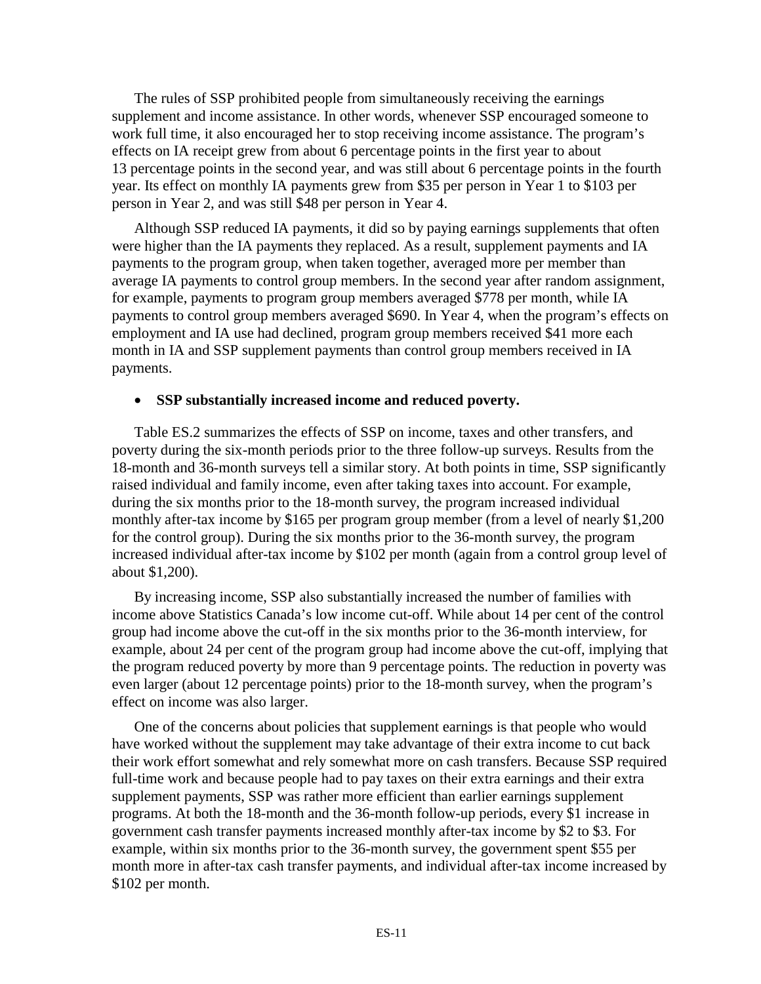The rules of SSP prohibited people from simultaneously receiving the earnings supplement and income assistance. In other words, whenever SSP encouraged someone to work full time, it also encouraged her to stop receiving income assistance. The program's effects on IA receipt grew from about 6 percentage points in the first year to about 13 percentage points in the second year, and was still about 6 percentage points in the fourth year. Its effect on monthly IA payments grew from \$35 per person in Year 1 to \$103 per person in Year 2, and was still \$48 per person in Year 4.

Although SSP reduced IA payments, it did so by paying earnings supplements that often were higher than the IA payments they replaced. As a result, supplement payments and IA payments to the program group, when taken together, averaged more per member than average IA payments to control group members. In the second year after random assignment, for example, payments to program group members averaged \$778 per month, while IA payments to control group members averaged \$690. In Year 4, when the program's effects on employment and IA use had declined, program group members received \$41 more each month in IA and SSP supplement payments than control group members received in IA payments.

### • **SSP substantially increased income and reduced poverty.**

Table ES.2 summarizes the effects of SSP on income, taxes and other transfers, and poverty during the six-month periods prior to the three follow-up surveys. Results from the 18-month and 36-month surveys tell a similar story. At both points in time, SSP significantly raised individual and family income, even after taking taxes into account. For example, during the six months prior to the 18-month survey, the program increased individual monthly after-tax income by \$165 per program group member (from a level of nearly \$1,200 for the control group). During the six months prior to the 36-month survey, the program increased individual after-tax income by \$102 per month (again from a control group level of about \$1,200).

By increasing income, SSP also substantially increased the number of families with income above Statistics Canada's low income cut-off. While about 14 per cent of the control group had income above the cut-off in the six months prior to the 36-month interview, for example, about 24 per cent of the program group had income above the cut-off, implying that the program reduced poverty by more than 9 percentage points. The reduction in poverty was even larger (about 12 percentage points) prior to the 18-month survey, when the program's effect on income was also larger.

One of the concerns about policies that supplement earnings is that people who would have worked without the supplement may take advantage of their extra income to cut back their work effort somewhat and rely somewhat more on cash transfers. Because SSP required full-time work and because people had to pay taxes on their extra earnings and their extra supplement payments, SSP was rather more efficient than earlier earnings supplement programs. At both the 18-month and the 36-month follow-up periods, every \$1 increase in government cash transfer payments increased monthly after-tax income by \$2 to \$3. For example, within six months prior to the 36-month survey, the government spent \$55 per month more in after-tax cash transfer payments, and individual after-tax income increased by \$102 per month.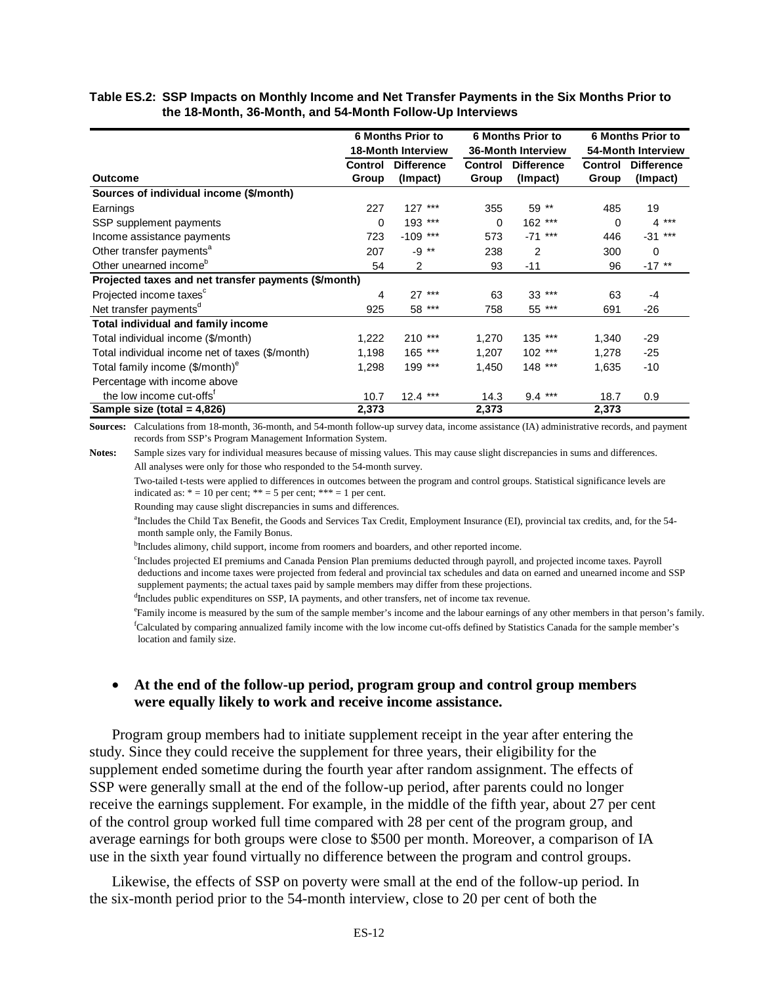### **Table ES.2: SSP Impacts on Monthly Income and Net Transfer Payments in the Six Months Prior to the 18-Month, 36-Month, and 54-Month Follow-Up Interviews**

|                                                      | <b>6 Months Prior to</b>  |                   |                           | <b>6 Months Prior to</b> |                    | <b>6 Months Prior to</b> |
|------------------------------------------------------|---------------------------|-------------------|---------------------------|--------------------------|--------------------|--------------------------|
|                                                      | <b>18-Month Interview</b> |                   | <b>36-Month Interview</b> |                          | 54-Month Interview |                          |
|                                                      | Control                   | <b>Difference</b> | <b>Control</b>            | <b>Difference</b>        | Control            | <b>Difference</b>        |
| Outcome                                              | Group                     | (Impact)          | Group                     | (Impact)                 | Group              | (Impact)                 |
| Sources of individual income (\$/month)              |                           |                   |                           |                          |                    |                          |
| Earnings                                             | 227                       | $127***$          | 355                       | 59 **                    | 485                | 19                       |
| SSP supplement payments                              | 0                         | 193 ***           | 0                         | 162 ***                  | 0                  | $4***$                   |
| Income assistance payments                           | 723                       | $-109$ ***        | 573                       | $***$<br>$-71$           | 446                | $-31***$                 |
| Other transfer payments <sup>a</sup>                 | 207                       | $-9$ **           | 238                       | 2                        | 300                | 0                        |
| Other unearned income <sup>b</sup>                   | 54                        | 2                 | 93                        | $-11$                    | 96                 | $-17$ **                 |
| Projected taxes and net transfer payments (\$/month) |                           |                   |                           |                          |                    |                          |
| Projected income taxes <sup>c</sup>                  | 4                         | $27***$           | 63                        | $33***$                  | 63                 | -4                       |
| Net transfer payments <sup>d</sup>                   | 925                       | 58 ***            | 758                       | 55<br>***                | 691                | $-26$                    |
| Total individual and family income                   |                           |                   |                           |                          |                    |                          |
| Total individual income (\$/month)                   | 1,222                     | ***<br>210        | 1,270                     | $135***$                 | 1,340              | $-29$                    |
| Total individual income net of taxes (\$/month)      | 1,198                     | 165 ***           | 1,207                     | $102***$                 | 1,278              | $-25$                    |
| Total family income (\$/month) <sup>e</sup>          | 1,298                     | 199 ***           | 1,450                     | 148 ***                  | 1,635              | $-10$                    |
| Percentage with income above                         |                           |                   |                           |                          |                    |                          |
| the low income cut-offs <sup>f</sup>                 | 10.7                      | $12.4***$         | 14.3                      | $9.4***$                 | 18.7               | 0.9                      |
| Sample size (total $= 4,826$ )                       | 2,373                     |                   | 2,373                     |                          | 2,373              |                          |

**Sources:** Calculations from 18-month, 36-month, and 54-month follow-up survey data, income assistance (IA) administrative records, and payment records from SSP's Program Management Information System.

**Notes:** Sample sizes vary for individual measures because of missing values. This may cause slight discrepancies in sums and differences. All analyses were only for those who responded to the 54-month survey.

Two-tailed t-tests were applied to differences in outcomes between the program and control groups. Statistical significance levels are indicated as:  $* = 10$  per cent;  $** = 5$  per cent;  $*** = 1$  per cent.

Rounding may cause slight discrepancies in sums and differences.

<sup>a</sup>Includes the Child Tax Benefit, the Goods and Services Tax Credit, Employment Insurance (EI), provincial tax credits, and, for the 54month sample only, the Family Bonus.

<sup>b</sup>Includes alimony, child support, income from roomers and boarders, and other reported income.

c Includes projected EI premiums and Canada Pension Plan premiums deducted through payroll, and projected income taxes. Payroll deductions and income taxes were projected from federal and provincial tax schedules and data on earned and unearned income and SSP supplement payments; the actual taxes paid by sample members may differ from these projections.

<sup>d</sup>Includes public expenditures on SSP, IA payments, and other transfers, net of income tax revenue.<br><sup>e</sup>Family income is measured by the sum of the sample member's income and the labour earnings of

Family income is measured by the sum of the sample member's income and the labour earnings of any other members in that person's family. f Calculated by comparing annualized family income with the low income cut-offs defined by Statistics Canada for the sample member's location and family size.

# • **At the end of the follow-up period, program group and control group members were equally likely to work and receive income assistance.**

Program group members had to initiate supplement receipt in the year after entering the study. Since they could receive the supplement for three years, their eligibility for the supplement ended sometime during the fourth year after random assignment. The effects of SSP were generally small at the end of the follow-up period, after parents could no longer receive the earnings supplement. For example, in the middle of the fifth year, about 27 per cent of the control group worked full time compared with 28 per cent of the program group, and average earnings for both groups were close to \$500 per month. Moreover, a comparison of IA use in the sixth year found virtually no difference between the program and control groups.

Likewise, the effects of SSP on poverty were small at the end of the follow-up period. In the six-month period prior to the 54-month interview, close to 20 per cent of both the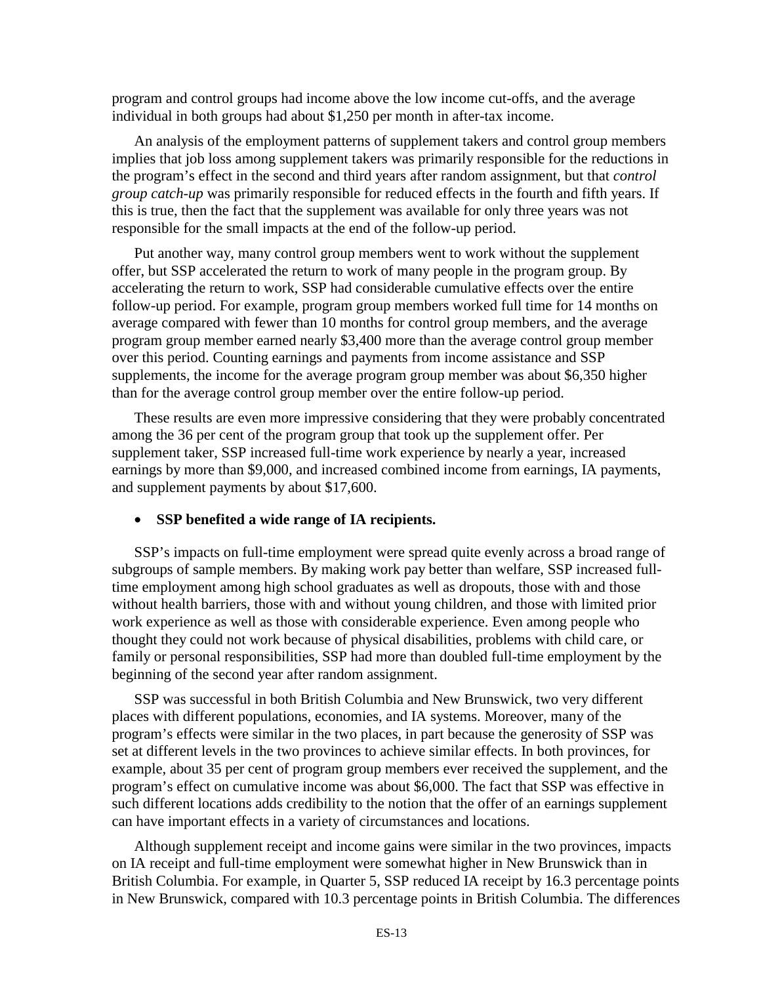program and control groups had income above the low income cut-offs, and the average individual in both groups had about \$1,250 per month in after-tax income.

An analysis of the employment patterns of supplement takers and control group members implies that job loss among supplement takers was primarily responsible for the reductions in the program's effect in the second and third years after random assignment, but that *control group catch-up* was primarily responsible for reduced effects in the fourth and fifth years. If this is true, then the fact that the supplement was available for only three years was not responsible for the small impacts at the end of the follow-up period.

Put another way, many control group members went to work without the supplement offer, but SSP accelerated the return to work of many people in the program group. By accelerating the return to work, SSP had considerable cumulative effects over the entire follow-up period. For example, program group members worked full time for 14 months on average compared with fewer than 10 months for control group members, and the average program group member earned nearly \$3,400 more than the average control group member over this period. Counting earnings and payments from income assistance and SSP supplements, the income for the average program group member was about \$6,350 higher than for the average control group member over the entire follow-up period.

These results are even more impressive considering that they were probably concentrated among the 36 per cent of the program group that took up the supplement offer. Per supplement taker, SSP increased full-time work experience by nearly a year, increased earnings by more than \$9,000, and increased combined income from earnings, IA payments, and supplement payments by about \$17,600.

### • **SSP benefited a wide range of IA recipients.**

SSP's impacts on full-time employment were spread quite evenly across a broad range of subgroups of sample members. By making work pay better than welfare, SSP increased fulltime employment among high school graduates as well as dropouts, those with and those without health barriers, those with and without young children, and those with limited prior work experience as well as those with considerable experience. Even among people who thought they could not work because of physical disabilities, problems with child care, or family or personal responsibilities, SSP had more than doubled full-time employment by the beginning of the second year after random assignment.

SSP was successful in both British Columbia and New Brunswick, two very different places with different populations, economies, and IA systems. Moreover, many of the program's effects were similar in the two places, in part because the generosity of SSP was set at different levels in the two provinces to achieve similar effects. In both provinces, for example, about 35 per cent of program group members ever received the supplement, and the program's effect on cumulative income was about \$6,000. The fact that SSP was effective in such different locations adds credibility to the notion that the offer of an earnings supplement can have important effects in a variety of circumstances and locations.

Although supplement receipt and income gains were similar in the two provinces, impacts on IA receipt and full-time employment were somewhat higher in New Brunswick than in British Columbia. For example, in Quarter 5, SSP reduced IA receipt by 16.3 percentage points in New Brunswick, compared with 10.3 percentage points in British Columbia. The differences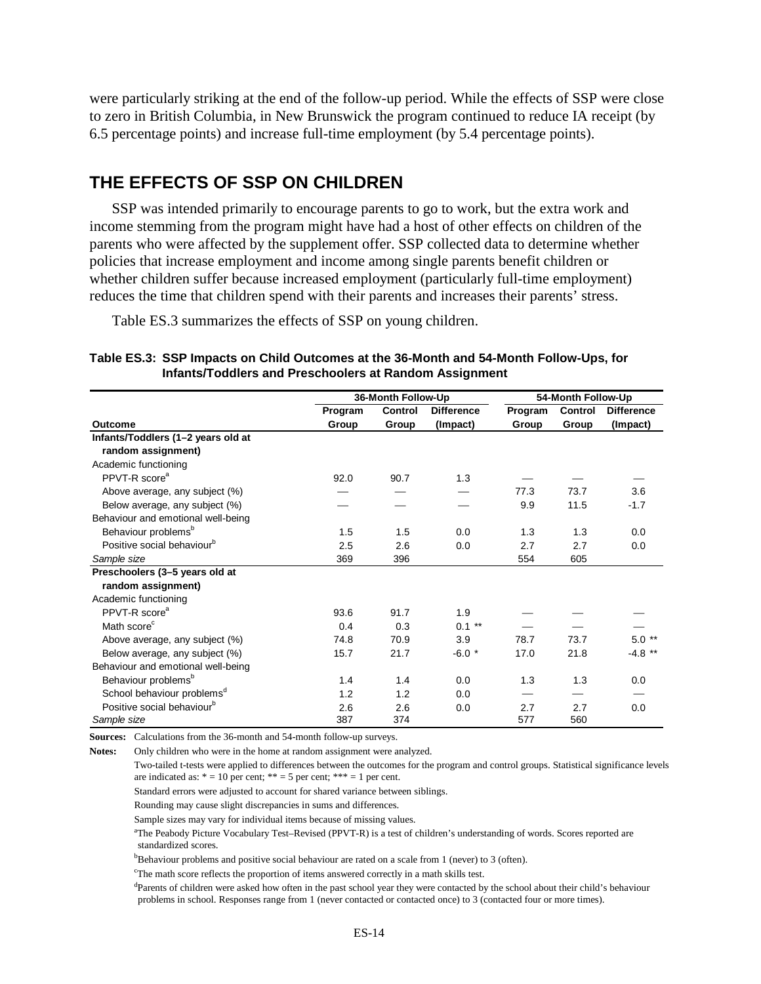were particularly striking at the end of the follow-up period. While the effects of SSP were close to zero in British Columbia, in New Brunswick the program continued to reduce IA receipt (by 6.5 percentage points) and increase full-time employment (by 5.4 percentage points).

# **THE EFFECTS OF SSP ON CHILDREN**

SSP was intended primarily to encourage parents to go to work, but the extra work and income stemming from the program might have had a host of other effects on children of the parents who were affected by the supplement offer. SSP collected data to determine whether policies that increase employment and income among single parents benefit children or whether children suffer because increased employment (particularly full-time employment) reduces the time that children spend with their parents and increases their parents' stress.

Table ES.3 summarizes the effects of SSP on young children.

|                                        | 36-Month Follow-Up |                |                   | 54-Month Follow-Up |         |                   |
|----------------------------------------|--------------------|----------------|-------------------|--------------------|---------|-------------------|
|                                        | Program            | <b>Control</b> | <b>Difference</b> | Program            | Control | <b>Difference</b> |
| <b>Outcome</b>                         | Group              | Group          | (Impact)          | Group              | Group   | (Impact)          |
| Infants/Toddlers (1-2 years old at     |                    |                |                   |                    |         |                   |
| random assignment)                     |                    |                |                   |                    |         |                   |
| Academic functioning                   |                    |                |                   |                    |         |                   |
| PPVT-R score <sup>a</sup>              | 92.0               | 90.7           | 1.3               |                    |         |                   |
| Above average, any subject (%)         |                    |                |                   | 77.3               | 73.7    | 3.6               |
| Below average, any subject (%)         |                    |                |                   | 9.9                | 11.5    | $-1.7$            |
| Behaviour and emotional well-being     |                    |                |                   |                    |         |                   |
| Behaviour problems <sup>b</sup>        | 1.5                | 1.5            | 0.0               | 1.3                | 1.3     | 0.0               |
| Positive social behaviour <sup>b</sup> | 2.5                | 2.6            | 0.0               | 2.7                | 2.7     | 0.0               |
| Sample size                            | 369                | 396            |                   | 554                | 605     |                   |
| Preschoolers (3-5 years old at         |                    |                |                   |                    |         |                   |
| random assignment)                     |                    |                |                   |                    |         |                   |
| Academic functioning                   |                    |                |                   |                    |         |                   |
| PPVT-R score <sup>a</sup>              | 93.6               | 91.7           | 1.9               |                    |         |                   |
| Math score <sup>c</sup>                | 0.4                | 0.3            | $0.1***$          |                    |         |                   |
| Above average, any subject (%)         | 74.8               | 70.9           | 3.9               | 78.7               | 73.7    | $5.0**$           |
| Below average, any subject (%)         | 15.7               | 21.7           | $-6.0*$           | 17.0               | 21.8    | $-4.8$ **         |
| Behaviour and emotional well-being     |                    |                |                   |                    |         |                   |
| Behaviour problems <sup>b</sup>        | 1.4                | 1.4            | 0.0               | 1.3                | 1.3     | 0.0               |
| School behaviour problems <sup>d</sup> | 1.2                | 1.2            | 0.0               |                    | __      |                   |
| Positive social behaviour <sup>b</sup> | 2.6                | 2.6            | 0.0               | 2.7                | 2.7     | 0.0               |
| Sample size                            | 387                | 374            |                   | 577                | 560     |                   |

**Table ES.3: SSP Impacts on Child Outcomes at the 36-Month and 54-Month Follow-Ups, for Infants/Toddlers and Preschoolers at Random Assignment** 

**Sources:** Calculations from the 36-month and 54-month follow-up surveys.

**Notes:** Only children who were in the home at random assignment were analyzed.

Rounding may cause slight discrepancies in sums and differences.

Sample sizes may vary for individual items because of missing values.

a The Peabody Picture Vocabulary Test–Revised (PPVT-R) is a test of children's understanding of words. Scores reported are standardized scores.

<sup>b</sup>Behaviour problems and positive social behaviour are rated on a scale from 1 (never) to 3 (often).

<sup>c</sup>The math score reflects the proportion of items answered correctly in a math skills test.

<sup>d</sup>Parents of children were asked how often in the past school year they were contacted by the school about their child's behaviour problems in school. Responses range from 1 (never contacted or contacted once) to 3 (contacted four or more times).

Two-tailed t-tests were applied to differences between the outcomes for the program and control groups. Statistical significance levels are indicated as:  $* = 10$  per cent;  $** = 5$  per cent;  $*** = 1$  per cent.

Standard errors were adjusted to account for shared variance between siblings.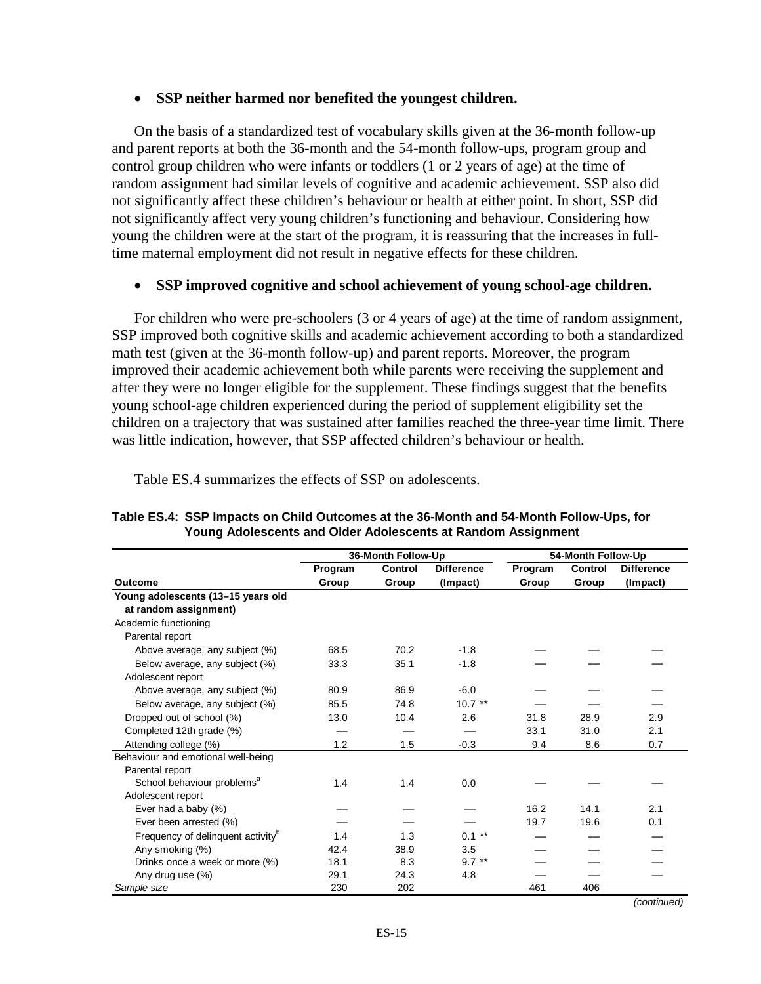### • **SSP neither harmed nor benefited the youngest children.**

On the basis of a standardized test of vocabulary skills given at the 36-month follow-up and parent reports at both the 36-month and the 54-month follow-ups, program group and control group children who were infants or toddlers (1 or 2 years of age) at the time of random assignment had similar levels of cognitive and academic achievement. SSP also did not significantly affect these children's behaviour or health at either point. In short, SSP did not significantly affect very young children's functioning and behaviour. Considering how young the children were at the start of the program, it is reassuring that the increases in fulltime maternal employment did not result in negative effects for these children.

# • **SSP improved cognitive and school achievement of young school-age children.**

For children who were pre-schoolers (3 or 4 years of age) at the time of random assignment, SSP improved both cognitive skills and academic achievement according to both a standardized math test (given at the 36-month follow-up) and parent reports. Moreover, the program improved their academic achievement both while parents were receiving the supplement and after they were no longer eligible for the supplement. These findings suggest that the benefits young school-age children experienced during the period of supplement eligibility set the children on a trajectory that was sustained after families reached the three-year time limit. There was little indication, however, that SSP affected children's behaviour or health.

Table ES.4 summarizes the effects of SSP on adolescents.

|                                               | 36-Month Follow-Up |                |                   |         | 54-Month Follow-Up |                   |
|-----------------------------------------------|--------------------|----------------|-------------------|---------|--------------------|-------------------|
|                                               | Program            | <b>Control</b> | <b>Difference</b> | Program | Control            | <b>Difference</b> |
| <b>Outcome</b>                                | Group              | Group          | (Impact)          | Group   | Group              | (Impact)          |
| Young adolescents (13-15 years old            |                    |                |                   |         |                    |                   |
| at random assignment)                         |                    |                |                   |         |                    |                   |
| Academic functioning                          |                    |                |                   |         |                    |                   |
| Parental report                               |                    |                |                   |         |                    |                   |
| Above average, any subject (%)                | 68.5               | 70.2           | $-1.8$            |         |                    |                   |
| Below average, any subject (%)                | 33.3               | 35.1           | $-1.8$            |         |                    |                   |
| Adolescent report                             |                    |                |                   |         |                    |                   |
| Above average, any subject (%)                | 80.9               | 86.9           | $-6.0$            |         |                    |                   |
| Below average, any subject (%)                | 85.5               | 74.8           | $10.7$ **         |         |                    |                   |
| Dropped out of school (%)                     | 13.0               | 10.4           | 2.6               | 31.8    | 28.9               | 2.9               |
| Completed 12th grade (%)                      |                    |                |                   | 33.1    | 31.0               | 2.1               |
| Attending college (%)                         | 1.2                | 1.5            | $-0.3$            | 9.4     | 8.6                | 0.7               |
| Behaviour and emotional well-being            |                    |                |                   |         |                    |                   |
| Parental report                               |                    |                |                   |         |                    |                   |
| School behaviour problems <sup>a</sup>        | 1.4                | 1.4            | 0.0               |         |                    |                   |
| Adolescent report                             |                    |                |                   |         |                    |                   |
| Ever had a baby (%)                           |                    |                |                   | 16.2    | 14.1               | 2.1               |
| Ever been arrested (%)                        |                    |                |                   | 19.7    | 19.6               | 0.1               |
| Frequency of delinquent activity <sup>p</sup> | 1.4                | 1.3            | $0.1***$          |         |                    |                   |
| Any smoking (%)                               | 42.4               | 38.9           | 3.5               |         |                    |                   |
| Drinks once a week or more (%)                | 18.1               | 8.3            | $9.7**$           |         |                    |                   |
| Any drug use (%)                              | 29.1               | 24.3           | 4.8               |         |                    |                   |
| Sample size                                   | 230                | 202            |                   | 461     | 406                |                   |

**Table ES.4: SSP Impacts on Child Outcomes at the 36-Month and 54-Month Follow-Ups, for Young Adolescents and Older Adolescents at Random Assignment** 

*(continued)*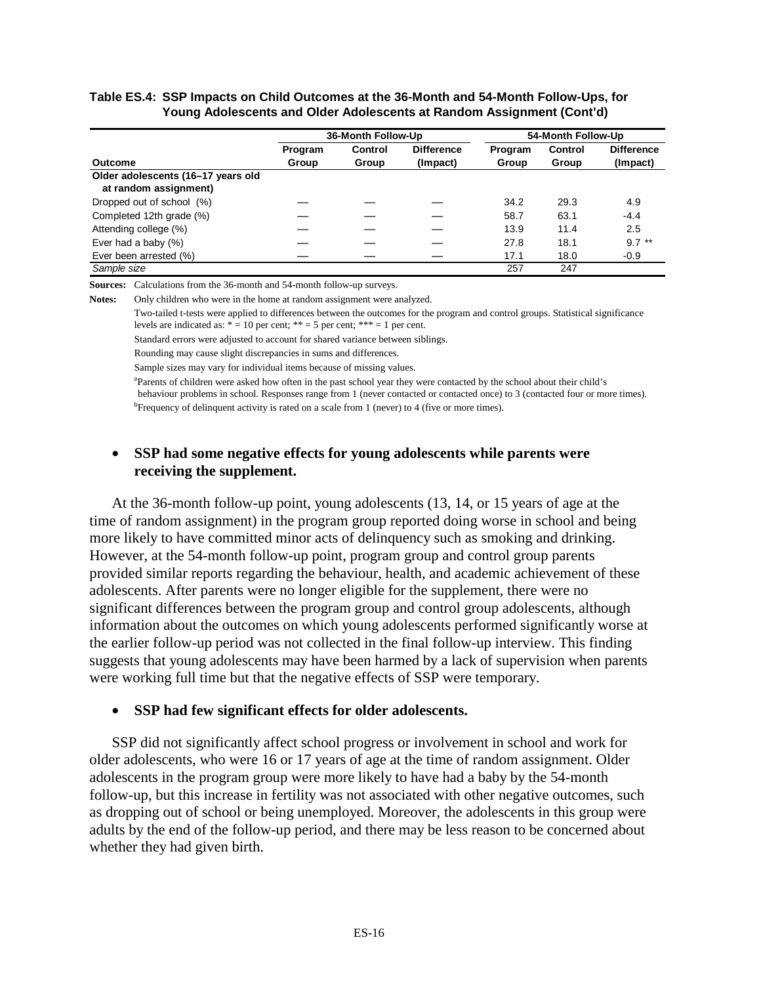### **Table ES.4: SSP Impacts on Child Outcomes at the 36-Month and 54-Month Follow-Ups, for Young Adolescents and Older Adolescents at Random Assignment (Cont'd)**

|                                    | 36-Month Follow-Up |         |                   |         | 54-Month Follow-Up |                   |
|------------------------------------|--------------------|---------|-------------------|---------|--------------------|-------------------|
|                                    | Program            | Control | <b>Difference</b> | Program | <b>Control</b>     | <b>Difference</b> |
| <b>Outcome</b>                     | Group              | Group   | (Impact)          | Group   | Group              | (Impact)          |
| Older adolescents (16-17 years old |                    |         |                   |         |                    |                   |
| at random assignment)              |                    |         |                   |         |                    |                   |
| Dropped out of school (%)          |                    |         |                   | 34.2    | 29.3               | 4.9               |
| Completed 12th grade (%)           |                    |         |                   | 58.7    | 63.1               | $-4.4$            |
| Attending college (%)              |                    |         |                   | 13.9    | 11.4               | 2.5               |
| Ever had a baby (%)                |                    |         |                   | 27.8    | 18.1               | $9.7***$          |
| Ever been arrested (%)             |                    |         |                   | 17.1    | 18.0               | $-0.9$            |
| Sample size                        |                    |         |                   | 257     | 247                |                   |

**Sources:** Calculations from the 36-month and 54-month follow-up surveys.

**Notes:** Only children who were in the home at random assignment were analyzed.

Two-tailed t-tests were applied to differences between the outcomes for the program and control groups. Statistical significance levels are indicated as:  $* = 10$  per cent;  $** = 5$  per cent;  $*** = 1$  per cent.

Standard errors were adjusted to account for shared variance between siblings.

Rounding may cause slight discrepancies in sums and differences.

Sample sizes may vary for individual items because of missing values.

a Parents of children were asked how often in the past school year they were contacted by the school about their child's behaviour problems in school. Responses range from 1 (never contacted or contacted once) to 3 (contacted four or more times). <sup>b</sup>Frequency of delinquent activity is rated on a scale from 1 (never) to 4 (five or more times).

# • **SSP had some negative effects for young adolescents while parents were receiving the supplement.**

At the 36-month follow-up point, young adolescents (13, 14, or 15 years of age at the time of random assignment) in the program group reported doing worse in school and being more likely to have committed minor acts of delinquency such as smoking and drinking. However, at the 54-month follow-up point, program group and control group parents provided similar reports regarding the behaviour, health, and academic achievement of these adolescents. After parents were no longer eligible for the supplement, there were no significant differences between the program group and control group adolescents, although information about the outcomes on which young adolescents performed significantly worse at the earlier follow-up period was not collected in the final follow-up interview. This finding suggests that young adolescents may have been harmed by a lack of supervision when parents were working full time but that the negative effects of SSP were temporary.

# • **SSP had few significant effects for older adolescents.**

SSP did not significantly affect school progress or involvement in school and work for older adolescents, who were 16 or 17 years of age at the time of random assignment. Older adolescents in the program group were more likely to have had a baby by the 54-month follow-up, but this increase in fertility was not associated with other negative outcomes, such as dropping out of school or being unemployed. Moreover, the adolescents in this group were adults by the end of the follow-up period, and there may be less reason to be concerned about whether they had given birth.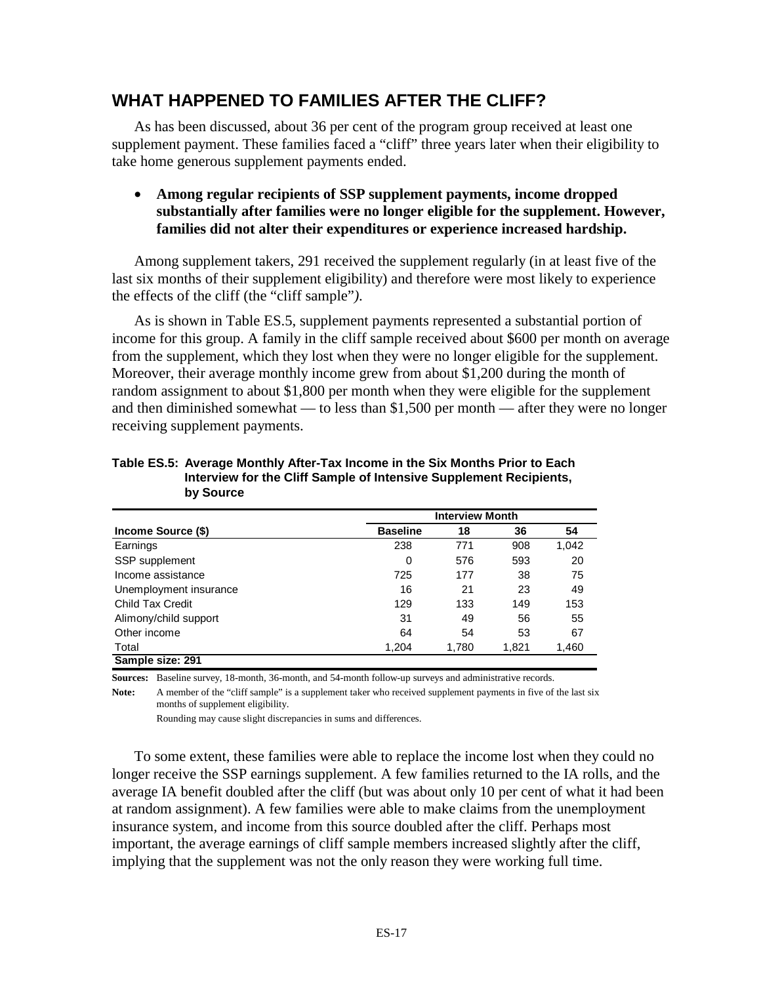# **WHAT HAPPENED TO FAMILIES AFTER THE CLIFF?**

As has been discussed, about 36 per cent of the program group received at least one supplement payment. These families faced a "cliff" three years later when their eligibility to take home generous supplement payments ended.

# • **Among regular recipients of SSP supplement payments, income dropped substantially after families were no longer eligible for the supplement. However, families did not alter their expenditures or experience increased hardship.**

Among supplement takers, 291 received the supplement regularly (in at least five of the last six months of their supplement eligibility) and therefore were most likely to experience the effects of the cliff (the "cliff sample"*)*.

As is shown in Table ES.5, supplement payments represented a substantial portion of income for this group. A family in the cliff sample received about \$600 per month on average from the supplement, which they lost when they were no longer eligible for the supplement. Moreover, their average monthly income grew from about \$1,200 during the month of random assignment to about \$1,800 per month when they were eligible for the supplement and then diminished somewhat — to less than \$1,500 per month — after they were no longer receiving supplement payments.

|                        | <b>Interview Month</b> |       |       |       |  |  |  |
|------------------------|------------------------|-------|-------|-------|--|--|--|
| Income Source (\$)     | <b>Baseline</b>        | 18    | 36    | 54    |  |  |  |
| Earnings               | 238                    | 771   | 908   | 1,042 |  |  |  |
| SSP supplement         | 0                      | 576   | 593   | 20    |  |  |  |
| Income assistance      | 725                    | 177   | 38    | 75    |  |  |  |
| Unemployment insurance | 16                     | 21    | 23    | 49    |  |  |  |
| Child Tax Credit       | 129                    | 133   | 149   | 153   |  |  |  |
| Alimony/child support  | 31                     | 49    | 56    | 55    |  |  |  |
| Other income           | 64                     | 54    | 53    | 67    |  |  |  |
| Total                  | 1,204                  | 1,780 | 1,821 | 1,460 |  |  |  |
| Sample size: 291       |                        |       |       |       |  |  |  |

**Table ES.5: Average Monthly After-Tax Income in the Six Months Prior to Each Interview for the Cliff Sample of Intensive Supplement Recipients, by Source** 

**Sources:** Baseline survey, 18-month, 36-month, and 54-month follow-up surveys and administrative records.

Note: A member of the "cliff sample" is a supplement taker who received supplement payments in five of the last six months of supplement eligibility.

Rounding may cause slight discrepancies in sums and differences.

To some extent, these families were able to replace the income lost when they could no longer receive the SSP earnings supplement. A few families returned to the IA rolls, and the average IA benefit doubled after the cliff (but was about only 10 per cent of what it had been at random assignment). A few families were able to make claims from the unemployment insurance system, and income from this source doubled after the cliff. Perhaps most important, the average earnings of cliff sample members increased slightly after the cliff, implying that the supplement was not the only reason they were working full time.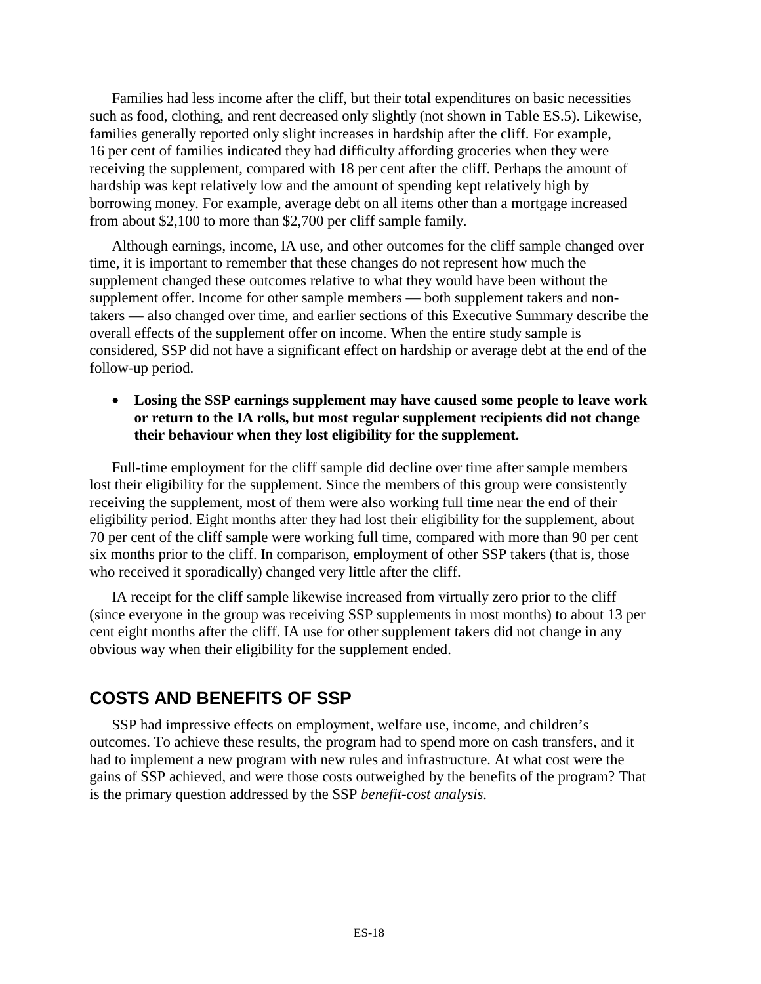Families had less income after the cliff, but their total expenditures on basic necessities such as food, clothing, and rent decreased only slightly (not shown in Table ES.5). Likewise, families generally reported only slight increases in hardship after the cliff. For example, 16 per cent of families indicated they had difficulty affording groceries when they were receiving the supplement, compared with 18 per cent after the cliff. Perhaps the amount of hardship was kept relatively low and the amount of spending kept relatively high by borrowing money. For example, average debt on all items other than a mortgage increased from about \$2,100 to more than \$2,700 per cliff sample family.

Although earnings, income, IA use, and other outcomes for the cliff sample changed over time, it is important to remember that these changes do not represent how much the supplement changed these outcomes relative to what they would have been without the supplement offer. Income for other sample members — both supplement takers and nontakers — also changed over time, and earlier sections of this Executive Summary describe the overall effects of the supplement offer on income. When the entire study sample is considered, SSP did not have a significant effect on hardship or average debt at the end of the follow-up period.

# • **Losing the SSP earnings supplement may have caused some people to leave work or return to the IA rolls, but most regular supplement recipients did not change their behaviour when they lost eligibility for the supplement.**

Full-time employment for the cliff sample did decline over time after sample members lost their eligibility for the supplement. Since the members of this group were consistently receiving the supplement, most of them were also working full time near the end of their eligibility period. Eight months after they had lost their eligibility for the supplement, about 70 per cent of the cliff sample were working full time, compared with more than 90 per cent six months prior to the cliff. In comparison, employment of other SSP takers (that is, those who received it sporadically) changed very little after the cliff.

IA receipt for the cliff sample likewise increased from virtually zero prior to the cliff (since everyone in the group was receiving SSP supplements in most months) to about 13 per cent eight months after the cliff. IA use for other supplement takers did not change in any obvious way when their eligibility for the supplement ended.

# **COSTS AND BENEFITS OF SSP**

SSP had impressive effects on employment, welfare use, income, and children's outcomes. To achieve these results, the program had to spend more on cash transfers, and it had to implement a new program with new rules and infrastructure. At what cost were the gains of SSP achieved, and were those costs outweighed by the benefits of the program? That is the primary question addressed by the SSP *benefit-cost analysis*.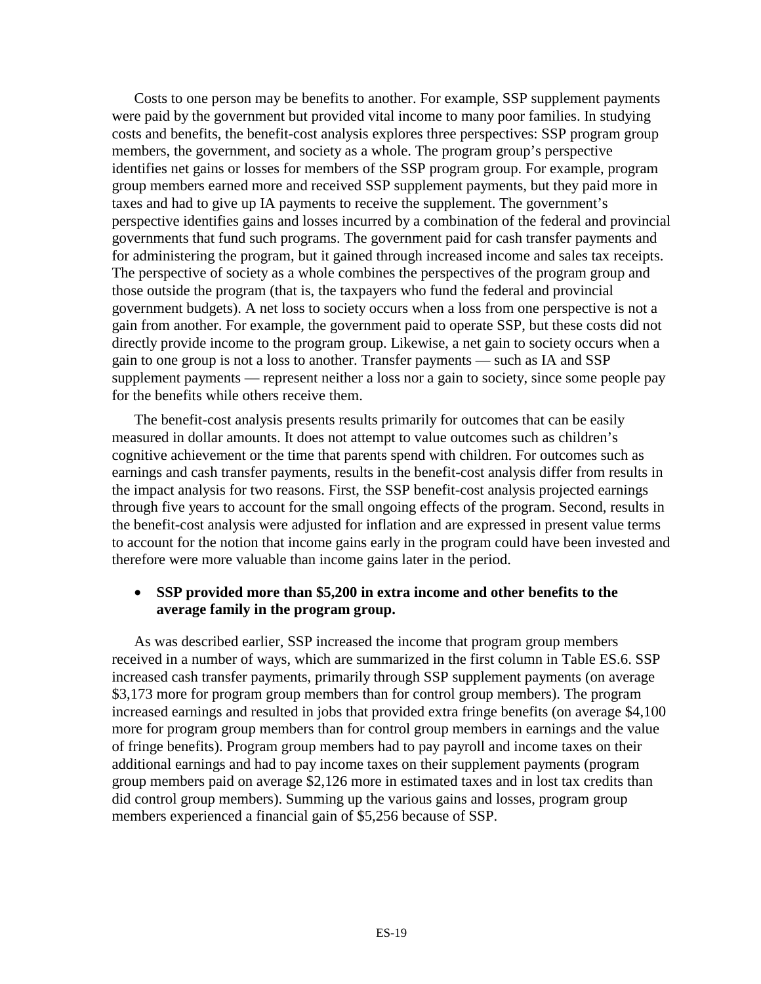Costs to one person may be benefits to another. For example, SSP supplement payments were paid by the government but provided vital income to many poor families. In studying costs and benefits, the benefit-cost analysis explores three perspectives: SSP program group members, the government, and society as a whole. The program group's perspective identifies net gains or losses for members of the SSP program group. For example, program group members earned more and received SSP supplement payments, but they paid more in taxes and had to give up IA payments to receive the supplement. The government's perspective identifies gains and losses incurred by a combination of the federal and provincial governments that fund such programs. The government paid for cash transfer payments and for administering the program, but it gained through increased income and sales tax receipts. The perspective of society as a whole combines the perspectives of the program group and those outside the program (that is, the taxpayers who fund the federal and provincial government budgets). A net loss to society occurs when a loss from one perspective is not a gain from another. For example, the government paid to operate SSP, but these costs did not directly provide income to the program group. Likewise, a net gain to society occurs when a gain to one group is not a loss to another. Transfer payments — such as IA and SSP supplement payments — represent neither a loss nor a gain to society, since some people pay for the benefits while others receive them.

The benefit-cost analysis presents results primarily for outcomes that can be easily measured in dollar amounts. It does not attempt to value outcomes such as children's cognitive achievement or the time that parents spend with children. For outcomes such as earnings and cash transfer payments, results in the benefit-cost analysis differ from results in the impact analysis for two reasons. First, the SSP benefit-cost analysis projected earnings through five years to account for the small ongoing effects of the program. Second, results in the benefit-cost analysis were adjusted for inflation and are expressed in present value terms to account for the notion that income gains early in the program could have been invested and therefore were more valuable than income gains later in the period.

# • **SSP provided more than \$5,200 in extra income and other benefits to the average family in the program group.**

As was described earlier, SSP increased the income that program group members received in a number of ways, which are summarized in the first column in Table ES.6. SSP increased cash transfer payments, primarily through SSP supplement payments (on average \$3,173 more for program group members than for control group members). The program increased earnings and resulted in jobs that provided extra fringe benefits (on average \$4,100 more for program group members than for control group members in earnings and the value of fringe benefits). Program group members had to pay payroll and income taxes on their additional earnings and had to pay income taxes on their supplement payments (program group members paid on average \$2,126 more in estimated taxes and in lost tax credits than did control group members). Summing up the various gains and losses, program group members experienced a financial gain of \$5,256 because of SSP.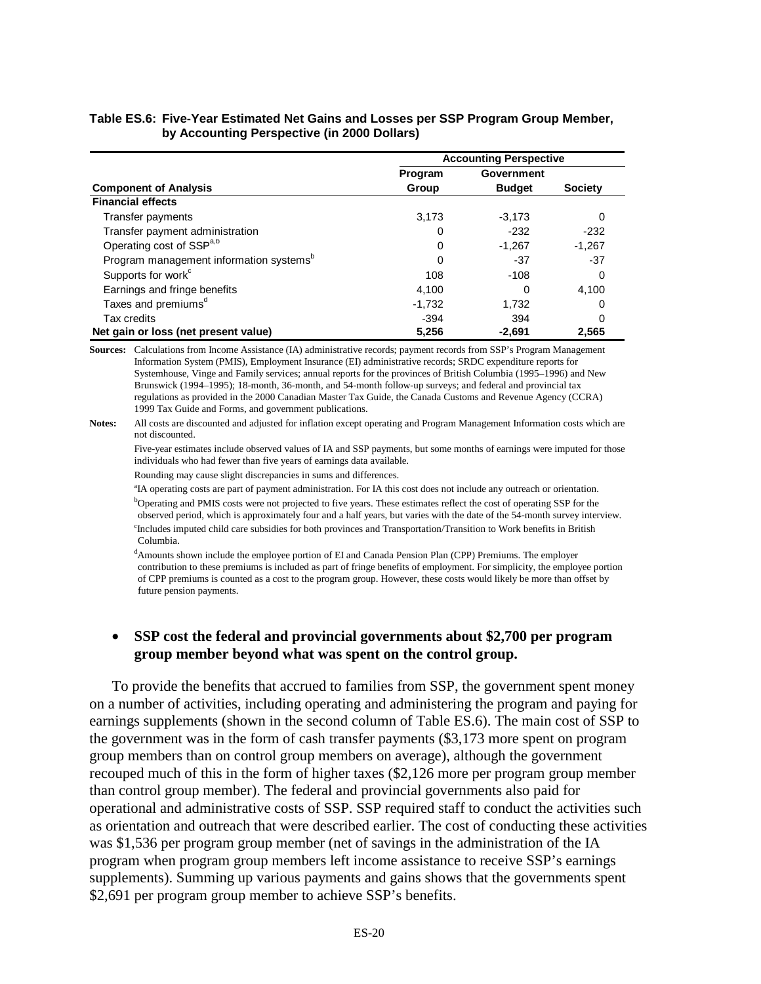|                                                     | <b>Accounting Perspective</b> |               |                |  |  |
|-----------------------------------------------------|-------------------------------|---------------|----------------|--|--|
|                                                     | Program                       | Government    |                |  |  |
| <b>Component of Analysis</b>                        | Group                         | <b>Budget</b> | <b>Society</b> |  |  |
| <b>Financial effects</b>                            |                               |               |                |  |  |
| Transfer payments                                   | 3.173                         | $-3.173$      |                |  |  |
| Transfer payment administration                     | 0                             | $-232$        | $-232$         |  |  |
| Operating cost of SSPa,b                            | 0                             | $-1.267$      | $-1,267$       |  |  |
| Program management information systems <sup>b</sup> | 0                             | -37           | $-37$          |  |  |
| Supports for work <sup>c</sup>                      | 108                           | $-108$        | 0              |  |  |
| Earnings and fringe benefits                        | 4.100                         | $\Omega$      | 4,100          |  |  |
| Taxes and premiums <sup>d</sup>                     | $-1.732$                      | 1.732         |                |  |  |
| Tax credits                                         | $-394$                        | 394           |                |  |  |
| Net gain or loss (net present value)                | 5,256                         | $-2.691$      | 2.565          |  |  |

### **Table ES.6: Five-Year Estimated Net Gains and Losses per SSP Program Group Member, by Accounting Perspective (in 2000 Dollars)**

**Sources:** Calculations from Income Assistance (IA) administrative records; payment records from SSP's Program Management Information System (PMIS), Employment Insurance (EI) administrative records; SRDC expenditure reports for Systemhouse, Vinge and Family services; annual reports for the provinces of British Columbia (1995–1996) and New Brunswick (1994–1995); 18-month, 36-month, and 54-month follow-up surveys; and federal and provincial tax regulations as provided in the 2000 Canadian Master Tax Guide, the Canada Customs and Revenue Agency (CCRA) 1999 Tax Guide and Forms, and government publications.

**Notes:** All costs are discounted and adjusted for inflation except operating and Program Management Information costs which are not discounted.

Five-year estimates include observed values of IA and SSP payments, but some months of earnings were imputed for those individuals who had fewer than five years of earnings data available.

Rounding may cause slight discrepancies in sums and differences.

<sup>a</sup>IA operating costs are part of payment administration. For IA this cost does not include any outreach or orientation. <sup>b</sup>Operating and PMIS costs were not projected to five years. These estimates reflect the cost of operating SSP for the observed period, which is approximately four and a half years, but varies with the date of the 54-month survey interview. c Includes imputed child care subsidies for both provinces and Transportation/Transition to Work benefits in British Columbia.

<sup>d</sup>Amounts shown include the employee portion of EI and Canada Pension Plan (CPP) Premiums. The employer contribution to these premiums is included as part of fringe benefits of employment. For simplicity, the employee portion of CPP premiums is counted as a cost to the program group. However, these costs would likely be more than offset by future pension payments.

# • **SSP cost the federal and provincial governments about \$2,700 per program group member beyond what was spent on the control group.**

To provide the benefits that accrued to families from SSP, the government spent money on a number of activities, including operating and administering the program and paying for earnings supplements (shown in the second column of Table ES.6). The main cost of SSP to the government was in the form of cash transfer payments (\$3,173 more spent on program group members than on control group members on average), although the government recouped much of this in the form of higher taxes (\$2,126 more per program group member than control group member). The federal and provincial governments also paid for operational and administrative costs of SSP. SSP required staff to conduct the activities such as orientation and outreach that were described earlier. The cost of conducting these activities was \$1,536 per program group member (net of savings in the administration of the IA program when program group members left income assistance to receive SSP's earnings supplements). Summing up various payments and gains shows that the governments spent \$2,691 per program group member to achieve SSP's benefits.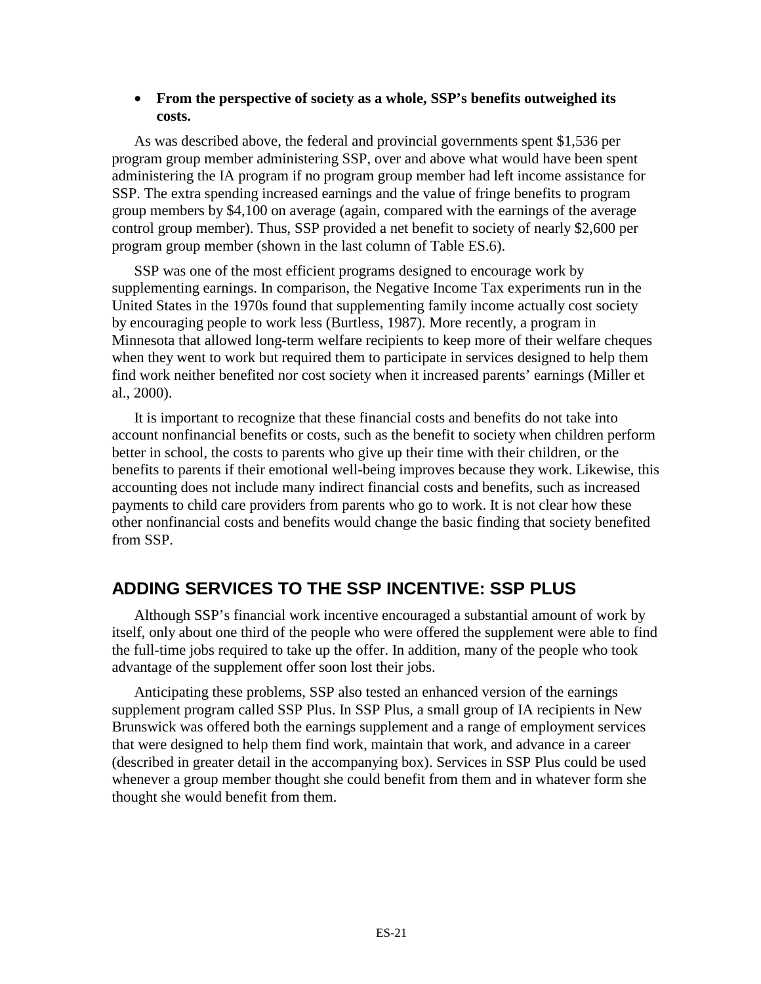# • **From the perspective of society as a whole, SSP's benefits outweighed its costs.**

As was described above, the federal and provincial governments spent \$1,536 per program group member administering SSP, over and above what would have been spent administering the IA program if no program group member had left income assistance for SSP. The extra spending increased earnings and the value of fringe benefits to program group members by \$4,100 on average (again, compared with the earnings of the average control group member). Thus, SSP provided a net benefit to society of nearly \$2,600 per program group member (shown in the last column of Table ES.6).

SSP was one of the most efficient programs designed to encourage work by supplementing earnings. In comparison, the Negative Income Tax experiments run in the United States in the 1970s found that supplementing family income actually cost society by encouraging people to work less (Burtless, 1987). More recently, a program in Minnesota that allowed long-term welfare recipients to keep more of their welfare cheques when they went to work but required them to participate in services designed to help them find work neither benefited nor cost society when it increased parents' earnings (Miller et al., 2000).

It is important to recognize that these financial costs and benefits do not take into account nonfinancial benefits or costs, such as the benefit to society when children perform better in school, the costs to parents who give up their time with their children, or the benefits to parents if their emotional well-being improves because they work. Likewise, this accounting does not include many indirect financial costs and benefits, such as increased payments to child care providers from parents who go to work. It is not clear how these other nonfinancial costs and benefits would change the basic finding that society benefited from SSP.

# **ADDING SERVICES TO THE SSP INCENTIVE: SSP PLUS**

Although SSP's financial work incentive encouraged a substantial amount of work by itself, only about one third of the people who were offered the supplement were able to find the full-time jobs required to take up the offer. In addition, many of the people who took advantage of the supplement offer soon lost their jobs.

Anticipating these problems, SSP also tested an enhanced version of the earnings supplement program called SSP Plus. In SSP Plus, a small group of IA recipients in New Brunswick was offered both the earnings supplement and a range of employment services that were designed to help them find work, maintain that work, and advance in a career (described in greater detail in the accompanying box). Services in SSP Plus could be used whenever a group member thought she could benefit from them and in whatever form she thought she would benefit from them.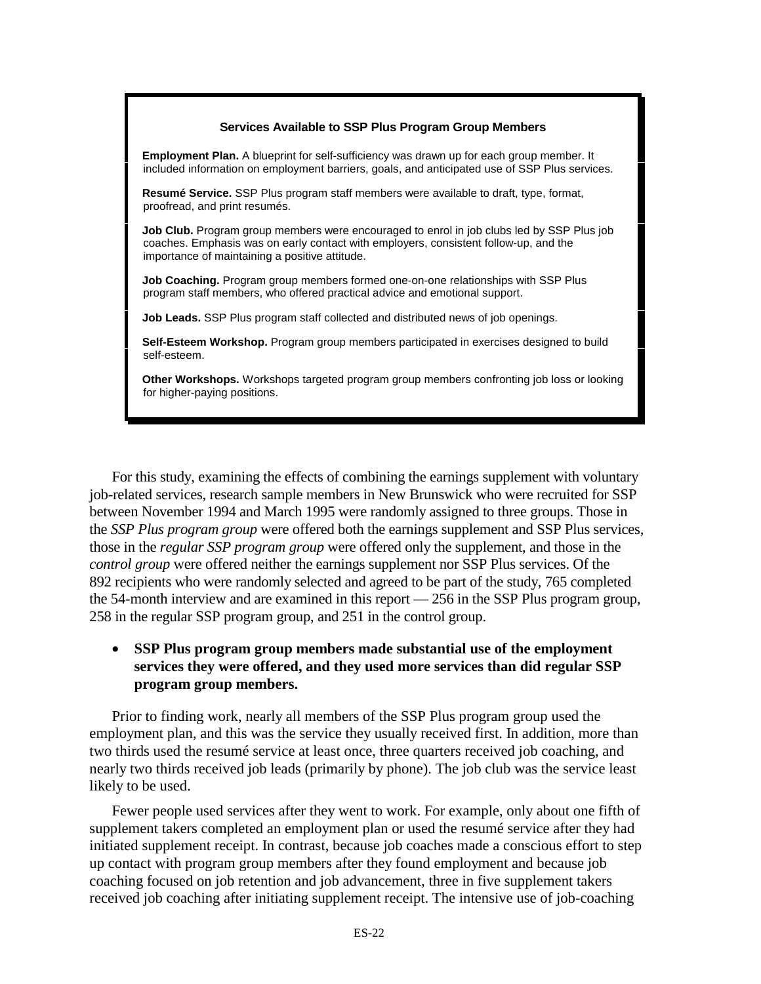### **Services Available to SSP Plus Program Group Members**

**Employment Plan.** A blueprint for self-sufficiency was drawn up for each group member. It included information on employment barriers, goals, and anticipated use of SSP Plus services.

**Resumé Service.** SSP Plus program staff members were available to draft, type, format, proofread, and print resumés.

**Job Club.** Program group members were encouraged to enrol in job clubs led by SSP Plus job coaches. Emphasis was on early contact with employers, consistent follow-up, and the importance of maintaining a positive attitude.

**Job Coaching.** Program group members formed one-on-one relationships with SSP Plus program staff members, who offered practical advice and emotional support.

**Job Leads.** SSP Plus program staff collected and distributed news of job openings.

**Self-Esteem Workshop.** Program group members participated in exercises designed to build self-esteem.

**Other Workshops.** Workshops targeted program group members confronting job loss or looking for higher-paying positions.

For this study, examining the effects of combining the earnings supplement with voluntary job-related services, research sample members in New Brunswick who were recruited for SSP between November 1994 and March 1995 were randomly assigned to three groups. Those in the *SSP Plus program group* were offered both the earnings supplement and SSP Plus services, those in the *regular SSP program group* were offered only the supplement, and those in the *control group* were offered neither the earnings supplement nor SSP Plus services. Of the 892 recipients who were randomly selected and agreed to be part of the study, 765 completed the 54-month interview and are examined in this report — 256 in the SSP Plus program group, 258 in the regular SSP program group, and 251 in the control group.

# • **SSP Plus program group members made substantial use of the employment services they were offered, and they used more services than did regular SSP program group members.**

Prior to finding work, nearly all members of the SSP Plus program group used the employment plan, and this was the service they usually received first. In addition, more than two thirds used the resumé service at least once, three quarters received job coaching, and nearly two thirds received job leads (primarily by phone). The job club was the service least likely to be used.

Fewer people used services after they went to work. For example, only about one fifth of supplement takers completed an employment plan or used the resumé service after they had initiated supplement receipt. In contrast, because job coaches made a conscious effort to step up contact with program group members after they found employment and because job coaching focused on job retention and job advancement, three in five supplement takers received job coaching after initiating supplement receipt. The intensive use of job-coaching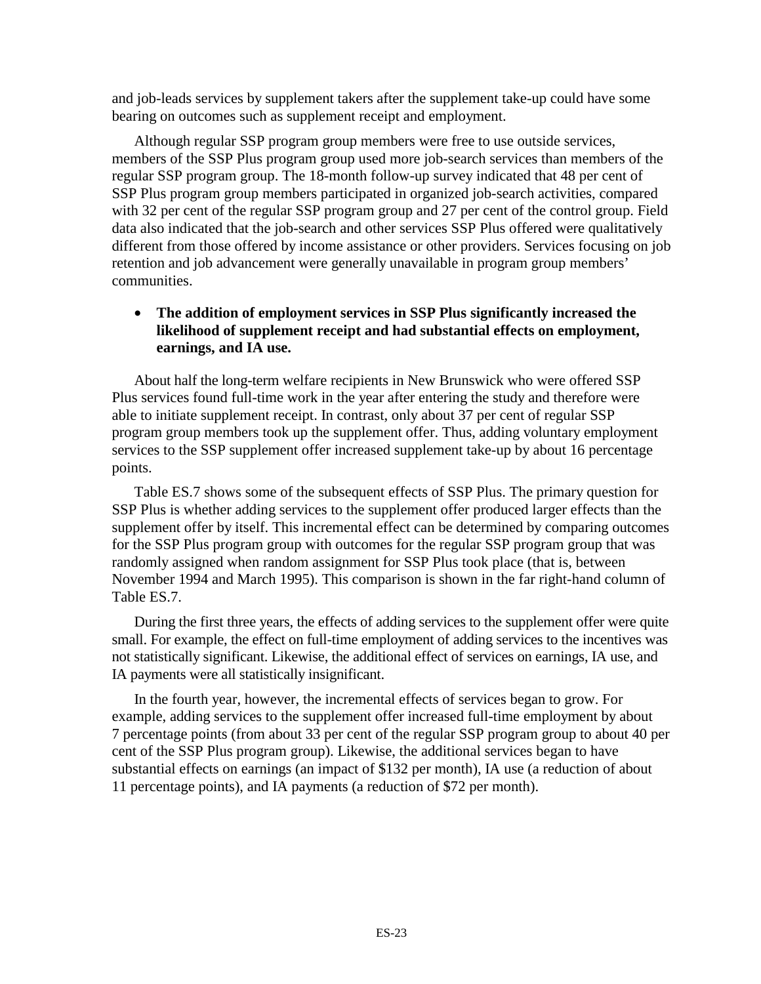and job-leads services by supplement takers after the supplement take-up could have some bearing on outcomes such as supplement receipt and employment.

Although regular SSP program group members were free to use outside services, members of the SSP Plus program group used more job-search services than members of the regular SSP program group. The 18-month follow-up survey indicated that 48 per cent of SSP Plus program group members participated in organized job-search activities, compared with 32 per cent of the regular SSP program group and 27 per cent of the control group. Field data also indicated that the job-search and other services SSP Plus offered were qualitatively different from those offered by income assistance or other providers. Services focusing on job retention and job advancement were generally unavailable in program group members' communities.

# • **The addition of employment services in SSP Plus significantly increased the likelihood of supplement receipt and had substantial effects on employment, earnings, and IA use.**

About half the long-term welfare recipients in New Brunswick who were offered SSP Plus services found full-time work in the year after entering the study and therefore were able to initiate supplement receipt. In contrast, only about 37 per cent of regular SSP program group members took up the supplement offer. Thus, adding voluntary employment services to the SSP supplement offer increased supplement take-up by about 16 percentage points.

Table ES.7 shows some of the subsequent effects of SSP Plus. The primary question for SSP Plus is whether adding services to the supplement offer produced larger effects than the supplement offer by itself. This incremental effect can be determined by comparing outcomes for the SSP Plus program group with outcomes for the regular SSP program group that was randomly assigned when random assignment for SSP Plus took place (that is, between November 1994 and March 1995). This comparison is shown in the far right-hand column of Table ES.7.

During the first three years, the effects of adding services to the supplement offer were quite small. For example, the effect on full-time employment of adding services to the incentives was not statistically significant. Likewise, the additional effect of services on earnings, IA use, and IA payments were all statistically insignificant.

In the fourth year, however, the incremental effects of services began to grow. For example, adding services to the supplement offer increased full-time employment by about 7 percentage points (from about 33 per cent of the regular SSP program group to about 40 per cent of the SSP Plus program group). Likewise, the additional services began to have substantial effects on earnings (an impact of \$132 per month), IA use (a reduction of about 11 percentage points), and IA payments (a reduction of \$72 per month).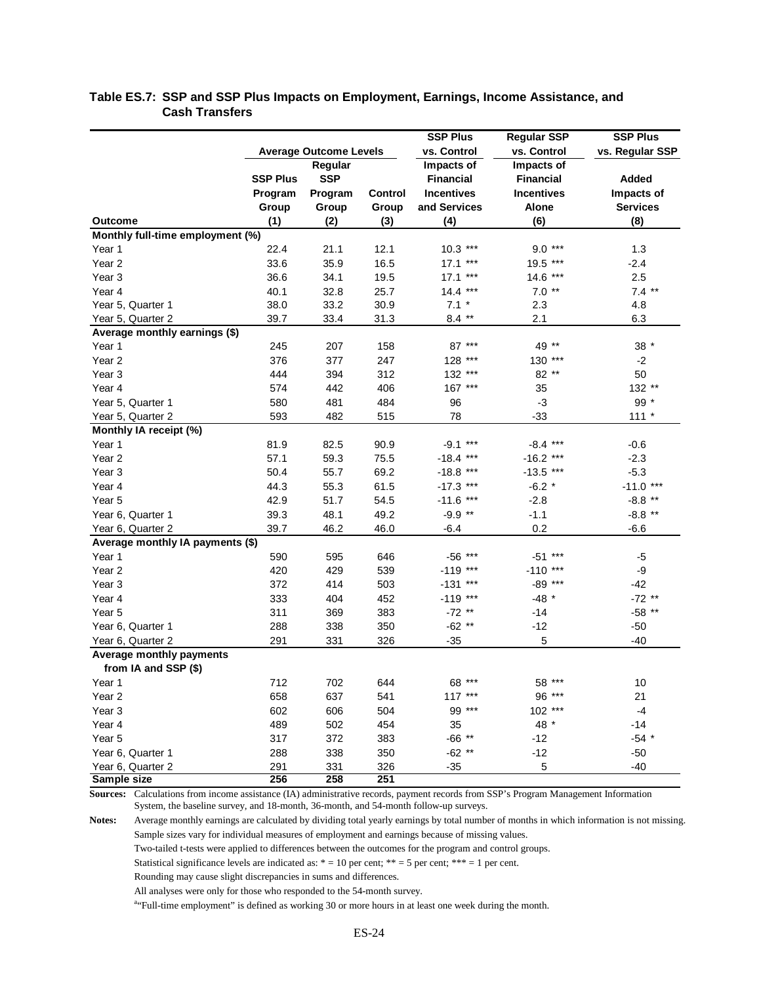|                                  |                 |                               |                | <b>SSP Plus</b>   | <b>Regular SSP</b> | <b>SSP Plus</b> |
|----------------------------------|-----------------|-------------------------------|----------------|-------------------|--------------------|-----------------|
|                                  |                 | <b>Average Outcome Levels</b> |                | vs. Control       | vs. Control        | vs. Regular SSP |
|                                  |                 | Regular                       |                | Impacts of        | Impacts of         |                 |
|                                  | <b>SSP Plus</b> | <b>SSP</b>                    |                | <b>Financial</b>  | <b>Financial</b>   | Added           |
|                                  | Program         | Program                       | <b>Control</b> | <b>Incentives</b> | <b>Incentives</b>  | Impacts of      |
|                                  | Group           | Group                         | Group          | and Services      | Alone              | <b>Services</b> |
| Outcome                          | (1)             | (2)                           | (3)            | (4)               | (6)                | (8)             |
| Monthly full-time employment (%) |                 |                               |                |                   |                    |                 |
| Year 1                           | 22.4            | 21.1                          | 12.1           | $10.3***$         | $9.0***$           | 1.3             |
| Year 2                           | 33.6            | 35.9                          | 16.5           | $17.1***$         | 19.5 ***           | $-2.4$          |
| Year <sub>3</sub>                | 36.6            | 34.1                          | 19.5           | $17.1***$         | 14.6 ***           | 2.5             |
| Year 4                           | 40.1            | 32.8                          | 25.7           | $14.4***$         | $7.0**$            | $7.4$ **        |
| Year 5, Quarter 1                | 38.0            | 33.2                          | 30.9           | $7.1*$            | 2.3                | 4.8             |
| Year 5, Quarter 2                | 39.7            | 33.4                          | 31.3           | $8.4$ **          | 2.1                | 6.3             |
| Average monthly earnings (\$)    |                 |                               |                |                   |                    |                 |
| Year 1                           | 245             | 207                           | 158            | 87 ***            | 49 **              | 38 *            |
| Year <sub>2</sub>                | 376             | 377                           | 247            | 128 ***           | 130 ***            | $-2$            |
| Year <sub>3</sub>                | 444             | 394                           | 312            | 132 ***           | 82 **              | 50              |
| Year 4                           | 574             | 442                           | 406            | 167 ***           | 35                 | 132 **          |
| Year 5, Quarter 1                | 580             | 481                           | 484            | 96                | $-3$               | 99 *            |
| Year 5, Quarter 2                | 593             | 482                           | 515            | 78                | $-33$              | $111 *$         |
| Monthly IA receipt (%)           |                 |                               |                |                   |                    |                 |
| Year 1                           | 81.9            | 82.5                          | 90.9           | $-9.1***$         | $-8.4***$          | $-0.6$          |
| Year <sub>2</sub>                | 57.1            | 59.3                          | 75.5           | $-18.4$ ***       | $-16.2$ ***        | $-2.3$          |
| Year <sub>3</sub>                | 50.4            | 55.7                          | 69.2           | $-18.8$ ***       | $-13.5$ ***        | $-5.3$          |
| Year 4                           | 44.3            | 55.3                          | 61.5           | $-17.3$ ***       | $-6.2$ *           | $-11.0$ ***     |
| Year 5                           | 42.9            | 51.7                          | 54.5           | $-11.6$ ***       | $-2.8$             | $-8.8$ **       |
| Year 6, Quarter 1                | 39.3            | 48.1                          | 49.2           | $-9.9**$          | $-1.1$             | $-8.8$ **       |
| Year 6, Quarter 2                | 39.7            | 46.2                          | 46.0           | $-6.4$            | 0.2                | $-6.6$          |
| Average monthly IA payments (\$) |                 |                               |                |                   |                    |                 |
| Year 1                           | 590             | 595                           | 646            | $-56$ ***         | $-51$ ***          | -5              |
| Year <sub>2</sub>                | 420             | 429                           | 539            | $-119$ ***        | $-110$ ***         | -9              |
| Year <sub>3</sub>                | 372             | 414                           | 503            | $-131$ ***        | $-89$ ***          | $-42$           |
| Year 4                           | 333             | 404                           | 452            | $-119$ ***        | $-48$ *            | $-72$ **        |
| Year 5                           | 311             | 369                           | 383            | $-72$ **          | $-14$              | $-58$ **        |
| Year 6, Quarter 1                | 288             | 338                           | 350            | $-62$ **          | $-12$              | $-50$           |
| Year 6, Quarter 2                | 291             | 331                           | 326            | $-35$             | 5                  | $-40$           |
| Average monthly payments         |                 |                               |                |                   |                    |                 |
| from IA and SSP (\$)             |                 |                               |                |                   |                    |                 |
| Year 1                           | 712             | 702                           | 644            | 68 ***            | 58 ***             | 10              |
| Year <sub>2</sub>                | 658             | 637                           | 541            | $117***$          | 96 ***             | 21              |
| Year <sub>3</sub>                | 602             | 606                           | 504            | 99 ***            | 102 ***            | $-4$            |
| Year 4                           | 489             | 502                           | 454            | 35                | 48 *               | $-14$           |
| Year 5                           | 317             | 372                           | 383            | $-66$ **          | $-12$              | $-54$ *         |
| Year 6, Quarter 1                | 288             | 338                           | 350            | $-62$ **          | $-12$              | $-50$           |
| Year 6, Quarter 2                | 291             | 331                           | 326            | $-35$             | 5                  | $-40$           |
| Sample size                      | 256             | 258                           | 251            |                   |                    |                 |

### **Table ES.7: SSP and SSP Plus Impacts on Employment, Earnings, Income Assistance, and Cash Transfers**

**Sources:** Calculations from income assistance (IA) administrative records, payment records from SSP's Program Management Information System, the baseline survey, and 18-month, 36-month, and 54-month follow-up surveys.

**Notes:** Average monthly earnings are calculated by dividing total yearly earnings by total number of months in which information is not missing. Sample sizes vary for individual measures of employment and earnings because of missing values.

Two-tailed t-tests were applied to differences between the outcomes for the program and control groups.

Statistical significance levels are indicated as:  $* = 10$  per cent;  $** = 5$  per cent;  $*** = 1$  per cent.

Rounding may cause slight discrepancies in sums and differences.

All analyses were only for those who responded to the 54-month survey.

a "Full-time employment" is defined as working 30 or more hours in at least one week during the month.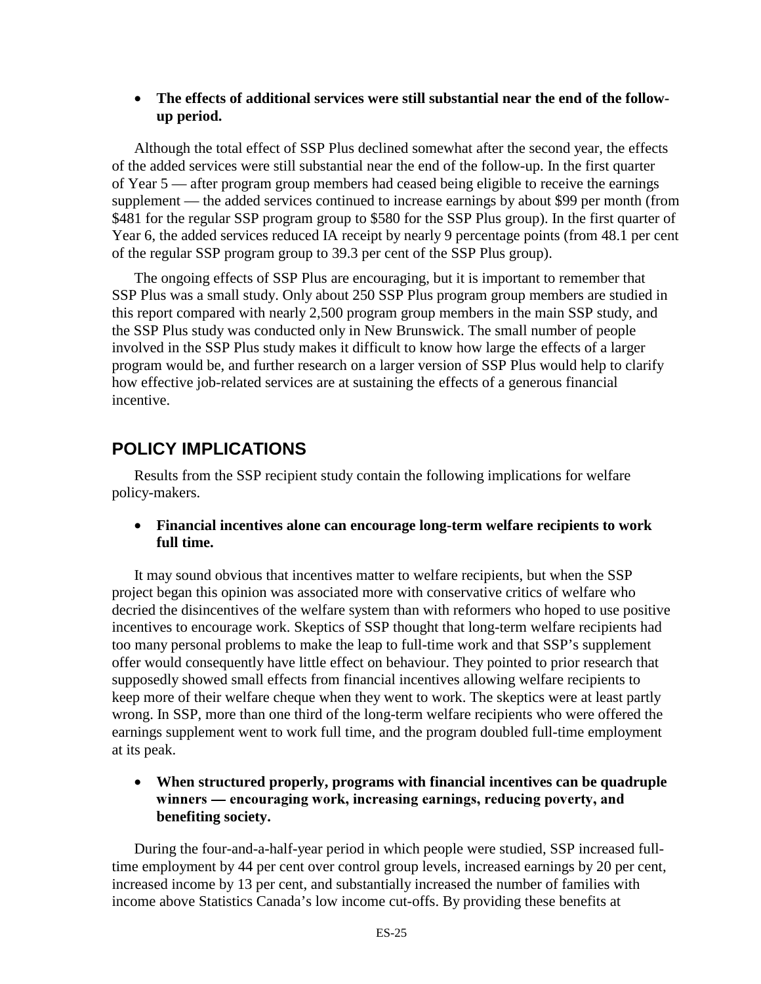# • **The effects of additional services were still substantial near the end of the followup period.**

Although the total effect of SSP Plus declined somewhat after the second year, the effects of the added services were still substantial near the end of the follow-up. In the first quarter of Year 5 — after program group members had ceased being eligible to receive the earnings supplement — the added services continued to increase earnings by about \$99 per month (from \$481 for the regular SSP program group to \$580 for the SSP Plus group). In the first quarter of Year 6, the added services reduced IA receipt by nearly 9 percentage points (from 48.1 per cent of the regular SSP program group to 39.3 per cent of the SSP Plus group).

The ongoing effects of SSP Plus are encouraging, but it is important to remember that SSP Plus was a small study. Only about 250 SSP Plus program group members are studied in this report compared with nearly 2,500 program group members in the main SSP study, and the SSP Plus study was conducted only in New Brunswick. The small number of people involved in the SSP Plus study makes it difficult to know how large the effects of a larger program would be, and further research on a larger version of SSP Plus would help to clarify how effective job-related services are at sustaining the effects of a generous financial incentive.

# **POLICY IMPLICATIONS**

Results from the SSP recipient study contain the following implications for welfare policy-makers.

# • **Financial incentives alone can encourage long-term welfare recipients to work full time.**

It may sound obvious that incentives matter to welfare recipients, but when the SSP project began this opinion was associated more with conservative critics of welfare who decried the disincentives of the welfare system than with reformers who hoped to use positive incentives to encourage work. Skeptics of SSP thought that long-term welfare recipients had too many personal problems to make the leap to full-time work and that SSP's supplement offer would consequently have little effect on behaviour. They pointed to prior research that supposedly showed small effects from financial incentives allowing welfare recipients to keep more of their welfare cheque when they went to work. The skeptics were at least partly wrong. In SSP, more than one third of the long-term welfare recipients who were offered the earnings supplement went to work full time, and the program doubled full-time employment at its peak.

• **When structured properly, programs with financial incentives can be quadruple**  winners — encouraging work, increasing earnings, reducing poverty, and **benefiting society.** 

During the four-and-a-half-year period in which people were studied, SSP increased fulltime employment by 44 per cent over control group levels, increased earnings by 20 per cent, increased income by 13 per cent, and substantially increased the number of families with income above Statistics Canada's low income cut-offs. By providing these benefits at